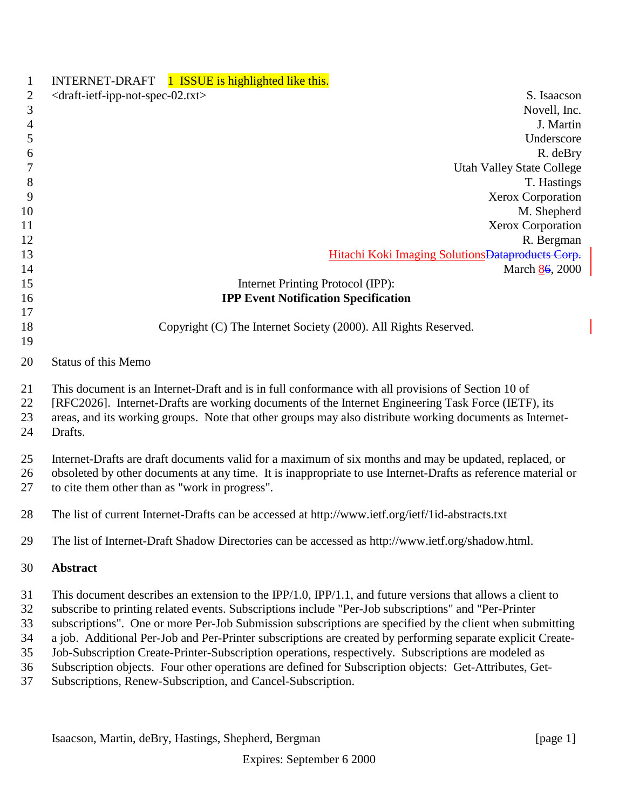| $\mathbf{1}$         | INTERNET-DRAFT 1 ISSUE is highlighted like this.                                                                                                                                                                                                                                                                                 |
|----------------------|----------------------------------------------------------------------------------------------------------------------------------------------------------------------------------------------------------------------------------------------------------------------------------------------------------------------------------|
| $\mathbf{2}$         | <draft-ietf-ipp-not-spec-02.txt><br/>S. Isaacson</draft-ietf-ipp-not-spec-02.txt>                                                                                                                                                                                                                                                |
| $\mathfrak{Z}$       | Novell, Inc.                                                                                                                                                                                                                                                                                                                     |
| $\overline{4}$       | J. Martin                                                                                                                                                                                                                                                                                                                        |
| 5                    | Underscore                                                                                                                                                                                                                                                                                                                       |
| 6                    | R. deBry                                                                                                                                                                                                                                                                                                                         |
| 7                    | <b>Utah Valley State College</b>                                                                                                                                                                                                                                                                                                 |
| 8                    | T. Hastings                                                                                                                                                                                                                                                                                                                      |
| 9                    | Xerox Corporation                                                                                                                                                                                                                                                                                                                |
| 10                   | M. Shepherd                                                                                                                                                                                                                                                                                                                      |
| 11                   | Xerox Corporation                                                                                                                                                                                                                                                                                                                |
| 12                   | R. Bergman                                                                                                                                                                                                                                                                                                                       |
| 13                   | Hitachi Koki Imaging Solutions Dataproducts Corp.                                                                                                                                                                                                                                                                                |
| 14                   | March 86, 2000                                                                                                                                                                                                                                                                                                                   |
| 15                   | Internet Printing Protocol (IPP):                                                                                                                                                                                                                                                                                                |
| 16                   | <b>IPP Event Notification Specification</b>                                                                                                                                                                                                                                                                                      |
| 17                   |                                                                                                                                                                                                                                                                                                                                  |
| 18                   | Copyright (C) The Internet Society (2000). All Rights Reserved.                                                                                                                                                                                                                                                                  |
| 19                   |                                                                                                                                                                                                                                                                                                                                  |
| 20                   | <b>Status of this Memo</b>                                                                                                                                                                                                                                                                                                       |
| 21<br>22<br>23<br>24 | This document is an Internet-Draft and is in full conformance with all provisions of Section 10 of<br>[RFC2026]. Internet-Drafts are working documents of the Internet Engineering Task Force (IETF), its<br>areas, and its working groups. Note that other groups may also distribute working documents as Internet-<br>Drafts. |
| 25<br>26<br>27       | Internet-Drafts are draft documents valid for a maximum of six months and may be updated, replaced, or<br>obsoleted by other documents at any time. It is inappropriate to use Internet-Drafts as reference material or<br>to cite them other than as "work in progress".                                                        |
| 28                   | The list of current Internet-Drafts can be accessed at http://www.ietf.org/ietf/1id-abstracts.txt                                                                                                                                                                                                                                |
| 29                   | The list of Internet-Draft Shadow Directories can be accessed as http://www.ietf.org/shadow.html.                                                                                                                                                                                                                                |
| 30                   | Abstract                                                                                                                                                                                                                                                                                                                         |
| 31                   | This document describes an extension to the IPP/1.0, IPP/1.1, and future versions that allows a client to                                                                                                                                                                                                                        |
| 32                   | subscribe to printing related events. Subscriptions include "Per-Job subscriptions" and "Per-Printer                                                                                                                                                                                                                             |
| 33                   | subscriptions". One or more Per-Job Submission subscriptions are specified by the client when submitting                                                                                                                                                                                                                         |
| 34                   | a job. Additional Per-Job and Per-Printer subscriptions are created by performing separate explicit Create-                                                                                                                                                                                                                      |
| 35                   | Job-Subscription Create-Printer-Subscription operations, respectively. Subscriptions are modeled as                                                                                                                                                                                                                              |
| 36                   | Subscription objects. Four other operations are defined for Subscription objects: Get-Attributes, Get-                                                                                                                                                                                                                           |
| 37                   | Subscriptions, Renew-Subscription, and Cancel-Subscription.                                                                                                                                                                                                                                                                      |

Isaacson, Martin, deBry, Hastings, Shepherd, Bergman [page 1]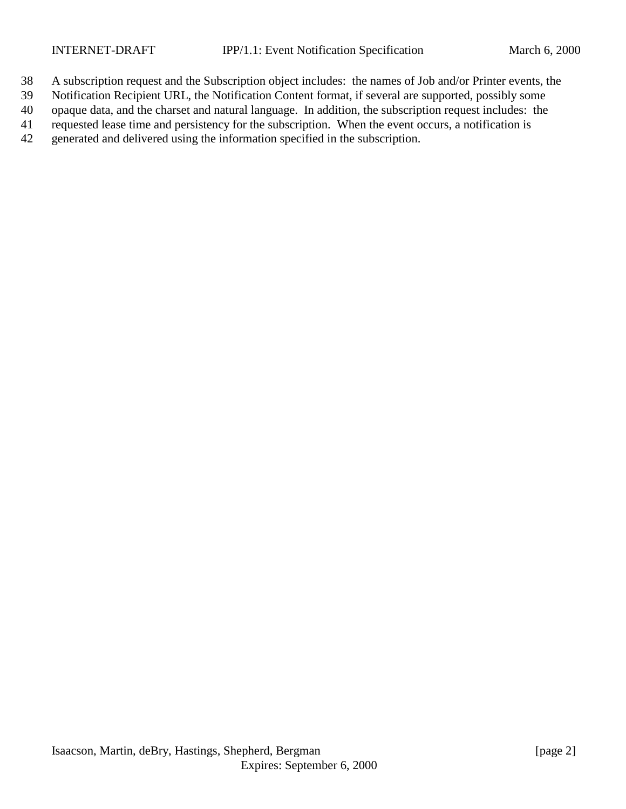- A subscription request and the Subscription object includes: the names of Job and/or Printer events, the
- Notification Recipient URL, the Notification Content format, if several are supported, possibly some
- opaque data, and the charset and natural language. In addition, the subscription request includes: the
- requested lease time and persistency for the subscription. When the event occurs, a notification is
- generated and delivered using the information specified in the subscription.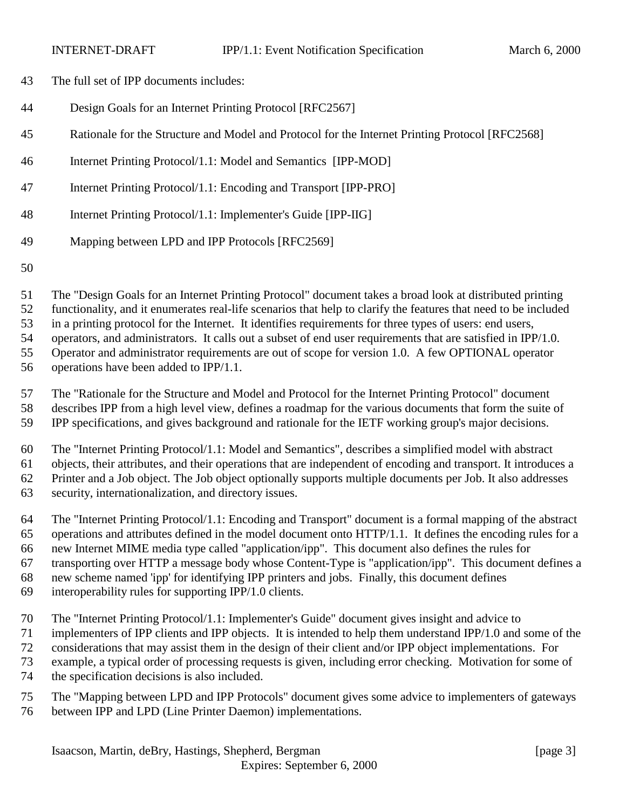- The full set of IPP documents includes:
- Design Goals for an Internet Printing Protocol [RFC2567]
- Rationale for the Structure and Model and Protocol for the Internet Printing Protocol [RFC2568]
- Internet Printing Protocol/1.1: Model and Semantics [IPP-MOD]
- Internet Printing Protocol/1.1: Encoding and Transport [IPP-PRO]
- Internet Printing Protocol/1.1: Implementer's Guide [IPP-IIG]
- Mapping between LPD and IPP Protocols [RFC2569]
- 

 The "Design Goals for an Internet Printing Protocol" document takes a broad look at distributed printing functionality, and it enumerates real-life scenarios that help to clarify the features that need to be included

in a printing protocol for the Internet. It identifies requirements for three types of users: end users,

operators, and administrators. It calls out a subset of end user requirements that are satisfied in IPP/1.0.

Operator and administrator requirements are out of scope for version 1.0. A few OPTIONAL operator

operations have been added to IPP/1.1.

 The "Rationale for the Structure and Model and Protocol for the Internet Printing Protocol" document describes IPP from a high level view, defines a roadmap for the various documents that form the suite of IPP specifications, and gives background and rationale for the IETF working group's major decisions.

The "Internet Printing Protocol/1.1: Model and Semantics", describes a simplified model with abstract

 objects, their attributes, and their operations that are independent of encoding and transport. It introduces a Printer and a Job object. The Job object optionally supports multiple documents per Job. It also addresses security, internationalization, and directory issues.

 The "Internet Printing Protocol/1.1: Encoding and Transport" document is a formal mapping of the abstract operations and attributes defined in the model document onto HTTP/1.1. It defines the encoding rules for a

new Internet MIME media type called "application/ipp". This document also defines the rules for

transporting over HTTP a message body whose Content-Type is "application/ipp". This document defines a

- new scheme named 'ipp' for identifying IPP printers and jobs. Finally, this document defines
- interoperability rules for supporting IPP/1.0 clients.
- The "Internet Printing Protocol/1.1: Implementer's Guide" document gives insight and advice to
- implementers of IPP clients and IPP objects. It is intended to help them understand IPP/1.0 and some of the
- considerations that may assist them in the design of their client and/or IPP object implementations. For
- example, a typical order of processing requests is given, including error checking. Motivation for some of
- the specification decisions is also included.
- The "Mapping between LPD and IPP Protocols" document gives some advice to implementers of gateways between IPP and LPD (Line Printer Daemon) implementations.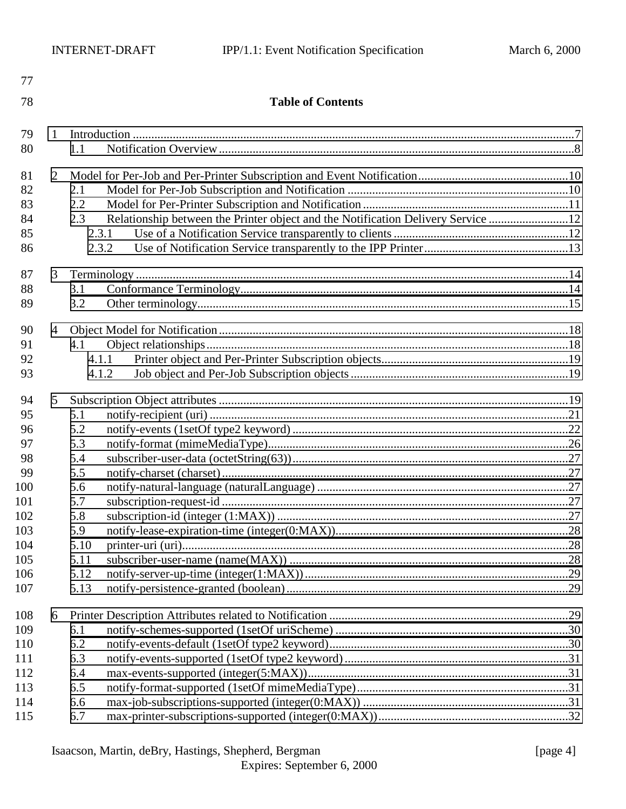| 77         |                |                |                                                                                  |  |  |  |
|------------|----------------|----------------|----------------------------------------------------------------------------------|--|--|--|
| 78         |                |                | <b>Table of Contents</b>                                                         |  |  |  |
| 79         | 1              |                |                                                                                  |  |  |  |
| 80         |                | 1.1            |                                                                                  |  |  |  |
| 81         | $\overline{2}$ |                |                                                                                  |  |  |  |
| 82         |                | 2.1            |                                                                                  |  |  |  |
| 83         |                | 2.2            |                                                                                  |  |  |  |
| 84         |                | 2.3            | Relationship between the Printer object and the Notification Delivery Service 12 |  |  |  |
| 85         |                | 2.3.1          |                                                                                  |  |  |  |
| 86         |                | 2.3.2          |                                                                                  |  |  |  |
| 87         | 3              |                |                                                                                  |  |  |  |
| 88         |                | 3.1            |                                                                                  |  |  |  |
| 89         |                | 3.2            |                                                                                  |  |  |  |
|            |                |                |                                                                                  |  |  |  |
| 90<br>91   | $\overline{4}$ |                |                                                                                  |  |  |  |
| 92         |                | 4.1            |                                                                                  |  |  |  |
| 93         |                | 4.1.1<br>4.1.2 |                                                                                  |  |  |  |
|            |                |                |                                                                                  |  |  |  |
| 94         | 5              |                |                                                                                  |  |  |  |
| 95         |                | 5.1            |                                                                                  |  |  |  |
| 96         |                | 5.2            |                                                                                  |  |  |  |
| 97         |                | 5.3            |                                                                                  |  |  |  |
| 98         |                | 5.4            |                                                                                  |  |  |  |
| 99         |                | 5.5            |                                                                                  |  |  |  |
| 100        |                | 5.6            |                                                                                  |  |  |  |
| 101        |                | 5.7            |                                                                                  |  |  |  |
| 102        |                | 5.8            |                                                                                  |  |  |  |
| 103        |                | 5.9            |                                                                                  |  |  |  |
| 104        |                | 5.10           |                                                                                  |  |  |  |
| 105        |                | 5.11           |                                                                                  |  |  |  |
| 106<br>107 |                | 5.12<br>5.13   |                                                                                  |  |  |  |
|            |                |                |                                                                                  |  |  |  |
| 108        | 6              |                |                                                                                  |  |  |  |
| 109        |                | 6.1            |                                                                                  |  |  |  |
| 110        |                | 6.2            |                                                                                  |  |  |  |
| 111        |                | 6.3            |                                                                                  |  |  |  |
| 112        |                | 6.4            |                                                                                  |  |  |  |
| 113        |                | 6.5            |                                                                                  |  |  |  |
| 114        |                | 6.6            |                                                                                  |  |  |  |
| 115        |                | 6.7            |                                                                                  |  |  |  |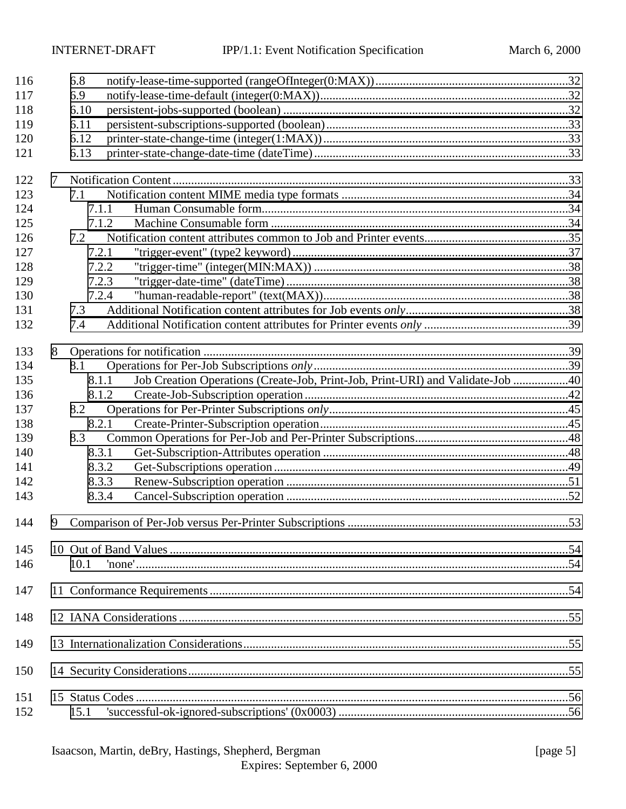| 116 |   | 6.8   |                                                                                |  |
|-----|---|-------|--------------------------------------------------------------------------------|--|
| 117 |   | 6.9   |                                                                                |  |
| 118 |   | 6.10  |                                                                                |  |
| 119 |   | 6.11  |                                                                                |  |
| 120 |   | 6.12  |                                                                                |  |
| 121 |   | 6.13  |                                                                                |  |
| 122 | 7 |       |                                                                                |  |
| 123 |   | 7.1   |                                                                                |  |
| 124 |   | 7.1.1 |                                                                                |  |
| 125 |   | 7.1.2 |                                                                                |  |
| 126 |   | 7.2   |                                                                                |  |
| 127 |   | 7.2.1 |                                                                                |  |
| 128 |   | 7.2.2 |                                                                                |  |
| 129 |   | 7.2.3 |                                                                                |  |
| 130 |   | 7.2.4 |                                                                                |  |
| 131 |   | 7.3   |                                                                                |  |
| 132 |   | 7.4   |                                                                                |  |
|     |   |       |                                                                                |  |
| 133 | 8 |       |                                                                                |  |
| 134 |   | 8.1   |                                                                                |  |
| 135 |   | 8.1.1 | Job Creation Operations (Create-Job, Print-Job, Print-URI) and Validate-Job 40 |  |
| 136 |   | 8.1.2 |                                                                                |  |
| 137 |   | 8.2   |                                                                                |  |
| 138 |   | 8.2.1 |                                                                                |  |
| 139 |   | 8.3   |                                                                                |  |
| 140 |   | 8.3.1 |                                                                                |  |
| 141 |   | 8.3.2 |                                                                                |  |
| 142 |   | 8.3.3 |                                                                                |  |
| 143 |   | 8.3.4 |                                                                                |  |
| 144 | 9 |       |                                                                                |  |
| 145 |   |       |                                                                                |  |
| 146 |   | 10.1  |                                                                                |  |
| 147 |   |       |                                                                                |  |
| 148 |   |       |                                                                                |  |
| 149 |   |       |                                                                                |  |
| 150 |   |       |                                                                                |  |
| 151 |   |       |                                                                                |  |
| 152 |   | 15.1  |                                                                                |  |

Expires: September 6, 2000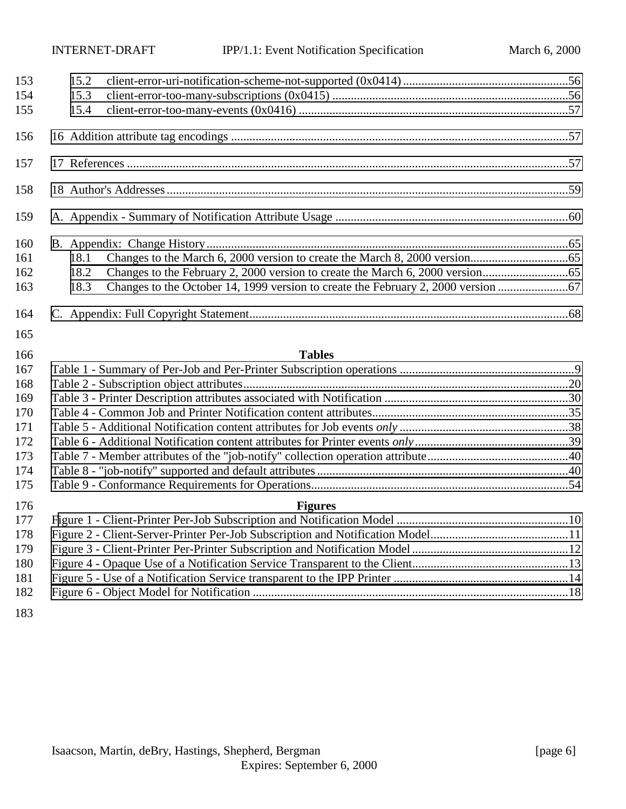| 153<br>154<br>155 | 15.2<br>15.3<br>15.4 |  |
|-------------------|----------------------|--|
| 156               |                      |  |
|                   |                      |  |
| 157               |                      |  |
| 158               |                      |  |
| 159               |                      |  |
| 160               |                      |  |
| 161               | 18.1                 |  |
| 162               | 18.2                 |  |
| 163               | 18.3                 |  |
| 164               |                      |  |
| 165               |                      |  |
| 166               | <b>Tables</b>        |  |
| 167               |                      |  |
| 168               |                      |  |
| 169               |                      |  |
| 170               |                      |  |
| 171               |                      |  |
| 172               |                      |  |
| 173               |                      |  |
| 174               |                      |  |
| 175               |                      |  |
| 176               | <b>Figures</b>       |  |
| 177               |                      |  |
| 178               |                      |  |
| 179               |                      |  |
| 180               |                      |  |
| 181               |                      |  |
| 182               |                      |  |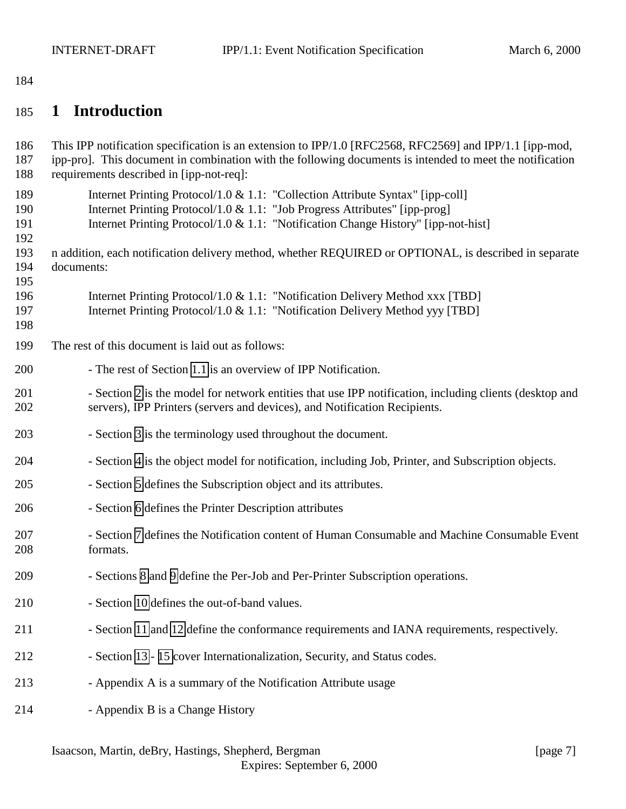# <span id="page-6-0"></span>185 **1 Introduction**

| 186<br>187<br>188        | This IPP notification specification is an extension to IPP/1.0 [RFC2568, RFC2569] and IPP/1.1 [ipp-mod,<br>ipp-pro]. This document in combination with the following documents is intended to meet the notification<br>requirements described in [ipp-not-req]: |
|--------------------------|-----------------------------------------------------------------------------------------------------------------------------------------------------------------------------------------------------------------------------------------------------------------|
| 189<br>190<br>191<br>192 | Internet Printing Protocol/1.0 & 1.1: "Collection Attribute Syntax" [ipp-coll]<br>Internet Printing Protocol/1.0 & 1.1: "Job Progress Attributes" [ipp-prog]<br>Internet Printing Protocol/1.0 & 1.1: "Notification Change History" [ipp-not-hist]              |
| 193<br>194<br>195        | n addition, each notification delivery method, whether REQUIRED or OPTIONAL, is described in separate<br>documents:                                                                                                                                             |
| 196<br>197<br>198        | Internet Printing Protocol/1.0 & 1.1: "Notification Delivery Method xxx [TBD]<br>Internet Printing Protocol/1.0 & 1.1: "Notification Delivery Method yyy [TBD]                                                                                                  |
| 199                      | The rest of this document is laid out as follows:                                                                                                                                                                                                               |
| 200                      | - The rest of Section 1.1 is an overview of IPP Notification.                                                                                                                                                                                                   |
| 201<br>202               | - Section 2 is the model for network entities that use IPP notification, including clients (desktop and<br>servers), IPP Printers (servers and devices), and Notification Recipients.                                                                           |
| 203                      | - Section 3 is the terminology used throughout the document.                                                                                                                                                                                                    |
| 204                      | - Section 4 is the object model for notification, including Job, Printer, and Subscription objects.                                                                                                                                                             |
| 205                      | - Section 5 defines the Subscription object and its attributes.                                                                                                                                                                                                 |
| 206                      | - Section 6 defines the Printer Description attributes                                                                                                                                                                                                          |
| 207<br>208               | - Section 7 defines the Notification content of Human Consumable and Machine Consumable Event<br>formats.                                                                                                                                                       |
| 209                      | - Sections 8 and 9 define the Per-Job and Per-Printer Subscription operations.                                                                                                                                                                                  |
| 210                      | - Section 10 defines the out-of-band values.                                                                                                                                                                                                                    |
| 211                      | - Section 11 and 12 define the conformance requirements and IANA requirements, respectively.                                                                                                                                                                    |
| 212                      | - Section 13 - 15 cover Internationalization, Security, and Status codes.                                                                                                                                                                                       |
| 213                      | - Appendix A is a summary of the Notification Attribute usage                                                                                                                                                                                                   |
| 214                      | - Appendix B is a Change History                                                                                                                                                                                                                                |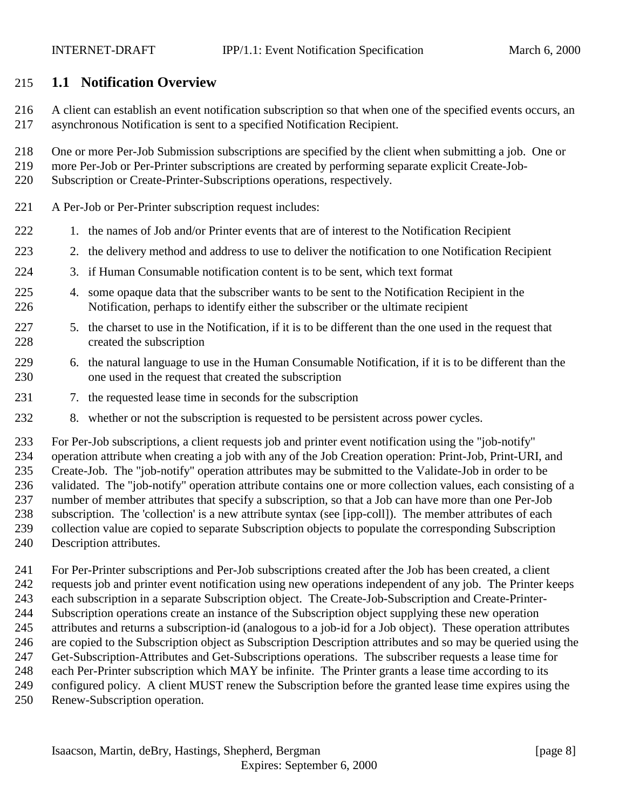# <span id="page-7-0"></span>**1.1 Notification Overview**

- A client can establish an event notification subscription so that when one of the specified events occurs, an asynchronous Notification is sent to a specified Notification Recipient.
- One or more Per-Job Submission subscriptions are specified by the client when submitting a job. One or
- more Per-Job or Per-Printer subscriptions are created by performing separate explicit Create-Job-
- Subscription or Create-Printer-Subscriptions operations, respectively.
- A Per-Job or Per-Printer subscription request includes:
- 1. the names of Job and/or Printer events that are of interest to the Notification Recipient
- 2. the delivery method and address to use to deliver the notification to one Notification Recipient
- 3. if Human Consumable notification content is to be sent, which text format
- 4. some opaque data that the subscriber wants to be sent to the Notification Recipient in the Notification, perhaps to identify either the subscriber or the ultimate recipient
- 5. the charset to use in the Notification, if it is to be different than the one used in the request that created the subscription
- 6. the natural language to use in the Human Consumable Notification, if it is to be different than the one used in the request that created the subscription
- 7. the requested lease time in seconds for the subscription
- 8. whether or not the subscription is requested to be persistent across power cycles.

 For Per-Job subscriptions, a client requests job and printer event notification using the "job-notify" operation attribute when creating a job with any of the Job Creation operation: Print-Job, Print-URI, and Create-Job. The "job-notify" operation attributes may be submitted to the Validate-Job in order to be validated. The "job-notify" operation attribute contains one or more collection values, each consisting of a number of member attributes that specify a subscription, so that a Job can have more than one Per-Job subscription. The 'collection' is a new attribute syntax (see [ipp-coll]). The member attributes of each collection value are copied to separate Subscription objects to populate the corresponding Subscription Description attributes.

 For Per-Printer subscriptions and Per-Job subscriptions created after the Job has been created, a client requests job and printer event notification using new operations independent of any job. The Printer keeps each subscription in a separate Subscription object. The Create-Job-Subscription and Create-Printer- Subscription operations create an instance of the Subscription object supplying these new operation attributes and returns a subscription-id (analogous to a job-id for a Job object). These operation attributes are copied to the Subscription object as Subscription Description attributes and so may be queried using the Get-Subscription-Attributes and Get-Subscriptions operations. The subscriber requests a lease time for each Per-Printer subscription which MAY be infinite. The Printer grants a lease time according to its configured policy. A client MUST renew the Subscription before the granted lease time expires using the Renew-Subscription operation.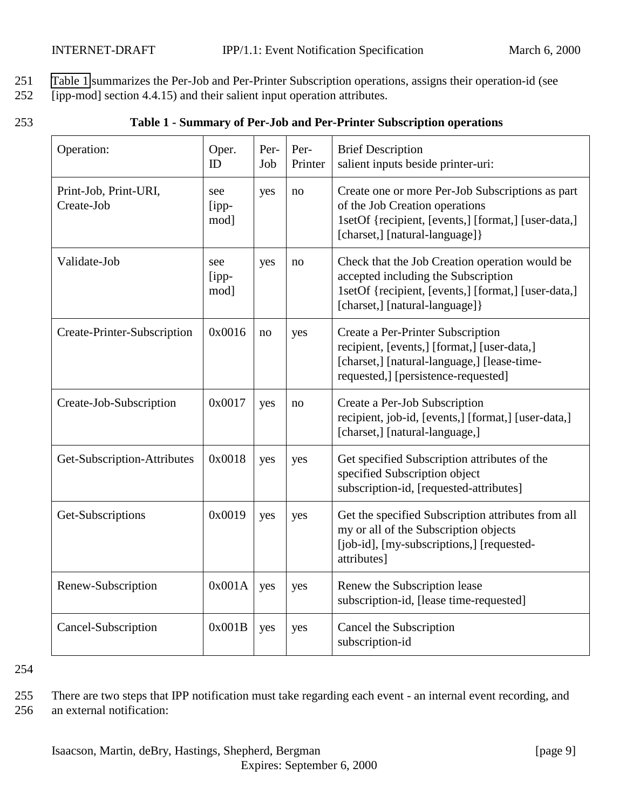- <span id="page-8-0"></span>251 Table 1 summarizes the Per-Job and Per-Printer Subscription operations, assigns their operation-id (see
- 252 [ipp-mod] section 4.4.15) and their salient input operation attributes.

| ۰. |   |
|----|---|
| ×  | v |
|    | ٠ |
|    |   |

| 253 | Table 1 - Summary of Per-Job and Per-Printer Subscription operations |  |  |
|-----|----------------------------------------------------------------------|--|--|
|     |                                                                      |  |  |

| Operation:                          | Oper.<br>ID             | Per-<br>Job | Per-<br>Printer | <b>Brief Description</b><br>salient inputs beside printer-uri:                                                                                                                  |
|-------------------------------------|-------------------------|-------------|-----------------|---------------------------------------------------------------------------------------------------------------------------------------------------------------------------------|
| Print-Job, Print-URI,<br>Create-Job | see<br>$[$ ipp-<br>mod] | yes         | no              | Create one or more Per-Job Subscriptions as part<br>of the Job Creation operations<br>1setOf {recipient, [events,] [format,] [user-data,]<br>[charset,] [natural-language]}     |
| Validate-Job                        | see<br>[ipp-<br>mod]    | yes         | no              | Check that the Job Creation operation would be<br>accepted including the Subscription<br>1setOf {recipient, [events,] [format,] [user-data,]<br>[charset,] [natural-language] } |
| Create-Printer-Subscription         | 0x0016                  | no          | yes             | Create a Per-Printer Subscription<br>recipient, [events,] [format,] [user-data,]<br>[charset,] [natural-language,] [lease-time-<br>requested,] [persistence-requested]          |
| Create-Job-Subscription             | 0x0017                  | yes         | no              | Create a Per-Job Subscription<br>recipient, job-id, [events,] [format,] [user-data,]<br>[charset,] [natural-language,]                                                          |
| Get-Subscription-Attributes         | 0x0018                  | yes         | yes             | Get specified Subscription attributes of the<br>specified Subscription object<br>subscription-id, [requested-attributes]                                                        |
| Get-Subscriptions                   | 0x0019                  | yes         | yes             | Get the specified Subscription attributes from all<br>my or all of the Subscription objects<br>[job-id], [my-subscriptions,] [requested-<br>attributes]                         |
| Renew-Subscription                  | 0x001A                  | yes         | yes             | Renew the Subscription lease<br>subscription-id, [lease time-requested]                                                                                                         |
| Cancel-Subscription                 | 0x001B                  | yes         | yes             | Cancel the Subscription<br>subscription-id                                                                                                                                      |

255 There are two steps that IPP notification must take regarding each event - an internal event recording, and 256 an external notification: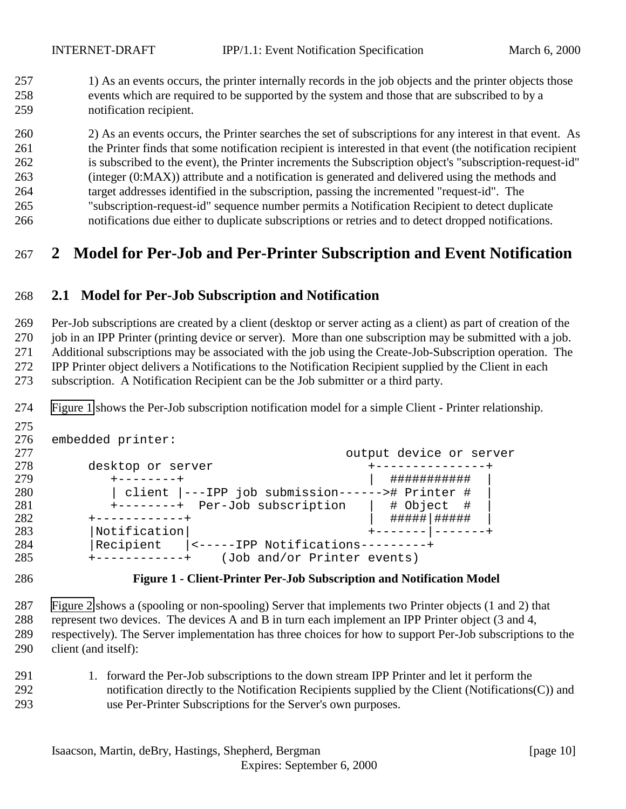<span id="page-9-0"></span>257 1) As an events occurs, the printer internally records in the job objects and the printer objects those events which are required to be supported by the system and those that are subscribed to by a notification recipient.

 2) As an events occurs, the Printer searches the set of subscriptions for any interest in that event. As the Printer finds that some notification recipient is interested in that event (the notification recipient is subscribed to the event), the Printer increments the Subscription object's "subscription-request-id" (integer (0:MAX)) attribute and a notification is generated and delivered using the methods and target addresses identified in the subscription, passing the incremented "request-id". The "subscription-request-id" sequence number permits a Notification Recipient to detect duplicate notifications due either to duplicate subscriptions or retries and to detect dropped notifications.

**2 Model for Per-Job and Per-Printer Subscription and Event Notification**

# **2.1 Model for Per-Job Subscription and Notification**

 Per-Job subscriptions are created by a client (desktop or server acting as a client) as part of creation of the 270 job in an IPP Printer (printing device or server). More than one subscription may be submitted with a job. Additional subscriptions may be associated with the job using the Create-Job-Subscription operation. The IPP Printer object delivers a Notifications to the Notification Recipient supplied by the Client in each subscription. A Notification Recipient can be the Job submitter or a third party.

Figure 1 shows the Per-Job subscription notification model for a simple Client - Printer relationship.

| 277<br>output device or server<br>278<br>desktop or server<br>279<br>###########<br>$+ - - - - - - - +$<br>280<br>client  ---IPP job submission------># Printer #<br>281<br>+--------+ Per-Job subscription<br># Object #<br>282<br>#####   #####<br>------------+<br>283<br>Notification<br>284<br>Recipient<br> <-----IPP Notifications---------+<br>285<br>(Job and/or Printer events) | 276 | embedded printer: |  |
|-------------------------------------------------------------------------------------------------------------------------------------------------------------------------------------------------------------------------------------------------------------------------------------------------------------------------------------------------------------------------------------------|-----|-------------------|--|
|                                                                                                                                                                                                                                                                                                                                                                                           |     |                   |  |
|                                                                                                                                                                                                                                                                                                                                                                                           |     |                   |  |
|                                                                                                                                                                                                                                                                                                                                                                                           |     |                   |  |
|                                                                                                                                                                                                                                                                                                                                                                                           |     |                   |  |
|                                                                                                                                                                                                                                                                                                                                                                                           |     |                   |  |
|                                                                                                                                                                                                                                                                                                                                                                                           |     |                   |  |
|                                                                                                                                                                                                                                                                                                                                                                                           |     |                   |  |
|                                                                                                                                                                                                                                                                                                                                                                                           |     |                   |  |
|                                                                                                                                                                                                                                                                                                                                                                                           |     |                   |  |

#### **Figure 1 - Client-Printer Per-Job Subscription and Notification Model**

 [Figure 2](#page-10-0) shows a (spooling or non-spooling) Server that implements two Printer objects (1 and 2) that represent two devices. The devices A and B in turn each implement an IPP Printer object (3 and 4, respectively). The Server implementation has three choices for how to support Per-Job subscriptions to the

- client (and itself):
- 1. forward the Per-Job subscriptions to the down stream IPP Printer and let it perform the notification directly to the Notification Recipients supplied by the Client (Notifications(C)) and use Per-Printer Subscriptions for the Server's own purposes.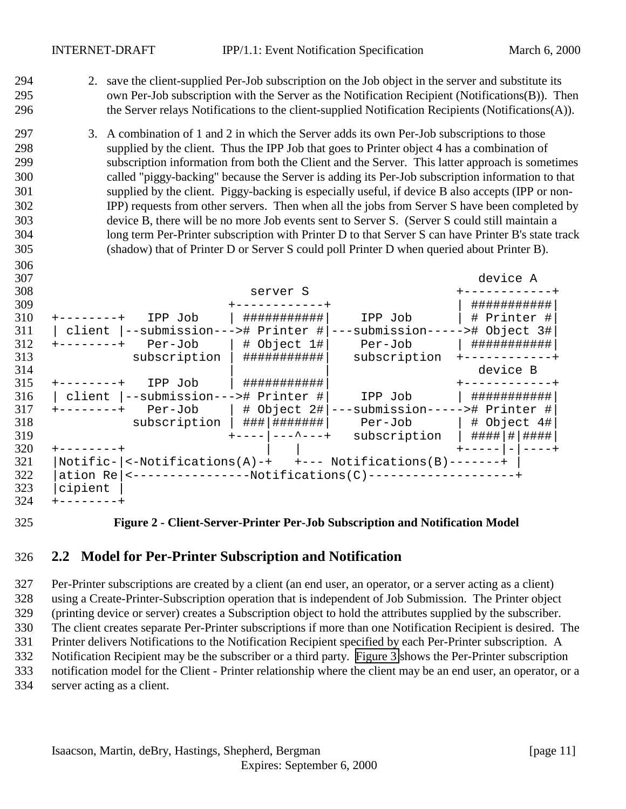- <span id="page-10-0"></span> 2. save the client-supplied Per-Job subscription on the Job object in the server and substitute its own Per-Job subscription with the Server as the Notification Recipient (Notifications(B)). Then the Server relays Notifications to the client-supplied Notification Recipients (Notifications(A)).
- 3. A combination of 1 and 2 in which the Server adds its own Per-Job subscriptions to those supplied by the client. Thus the IPP Job that goes to Printer object 4 has a combination of subscription information from both the Client and the Server. This latter approach is sometimes called "piggy-backing" because the Server is adding its Per-Job subscription information to that supplied by the client. Piggy-backing is especially useful, if device B also accepts (IPP or non- IPP) requests from other servers. Then when all the jobs from Server S have been completed by device B, there will be no more Job events sent to Server S. (Server S could still maintain a long term Per-Printer subscription with Printer D to that Server S can have Printer B's state track (shadow) that of Printer D or Server S could poll Printer D when queried about Printer B).



#### **Figure 2 - Client-Server-Printer Per-Job Subscription and Notification Model**

#### **2.2 Model for Per-Printer Subscription and Notification**

 Per-Printer subscriptions are created by a client (an end user, an operator, or a server acting as a client) using a Create-Printer-Subscription operation that is independent of Job Submission. The Printer object (printing device or server) creates a Subscription object to hold the attributes supplied by the subscriber. The client creates separate Per-Printer subscriptions if more than one Notification Recipient is desired. The Printer delivers Notifications to the Notification Recipient specified by each Per-Printer subscription. A Notification Recipient may be the subscriber or a third party. [Figure 3](#page-11-0) shows the Per-Printer subscription notification model for the Client - Printer relationship where the client may be an end user, an operator, or a server acting as a client.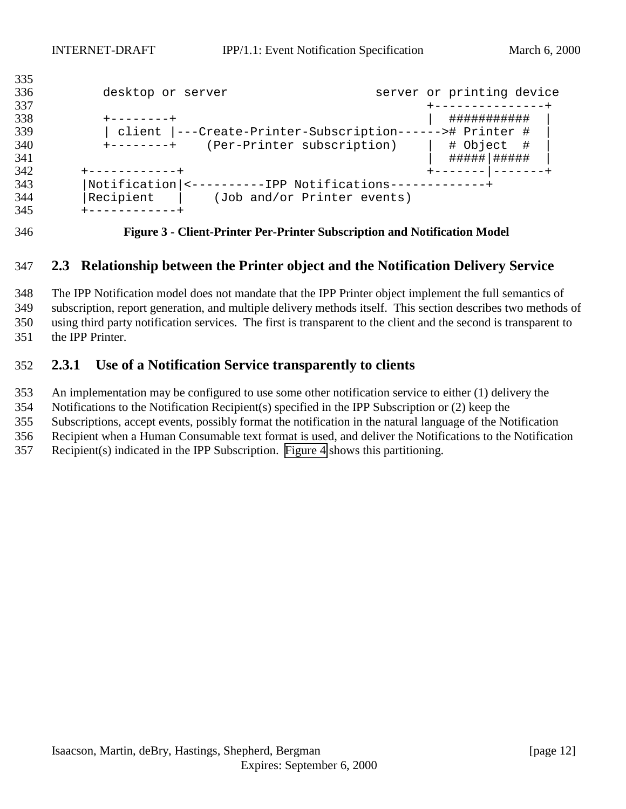<span id="page-11-0"></span>

| 333 |                                                          |                           |  |
|-----|----------------------------------------------------------|---------------------------|--|
| 336 | desktop or server                                        | server or printing device |  |
| 337 |                                                          |                           |  |
| 338 | --------+                                                | ###########               |  |
| 339 | client  ---Create-Printer-Subscription------># Printer # |                           |  |
| 340 | (Per-Printer subscription)<br>+--------+                 | # Object #                |  |
| 341 |                                                          |                           |  |
| 342 | +-----------+                                            |                           |  |
| 343 | Notification  <----------IPP Notifications-------------  |                           |  |
| 344 | Recipient<br>(Job and/or Printer events)                 |                           |  |
| 345 |                                                          |                           |  |
|     |                                                          |                           |  |

**Figure 3 - Client-Printer Per-Printer Subscription and Notification Model**

# **2.3 Relationship between the Printer object and the Notification Delivery Service**

 The IPP Notification model does not mandate that the IPP Printer object implement the full semantics of subscription, report generation, and multiple delivery methods itself. This section describes two methods of using third party notification services. The first is transparent to the client and the second is transparent to the IPP Printer.

# **2.3.1 Use of a Notification Service transparently to clients**

An implementation may be configured to use some other notification service to either (1) delivery the

Notifications to the Notification Recipient(s) specified in the IPP Subscription or (2) keep the

Subscriptions, accept events, possibly format the notification in the natural language of the Notification

Recipient when a Human Consumable text format is used, and deliver the Notifications to the Notification

Recipient(s) indicated in the IPP Subscription. [Figure 4](#page-12-0) shows this partitioning.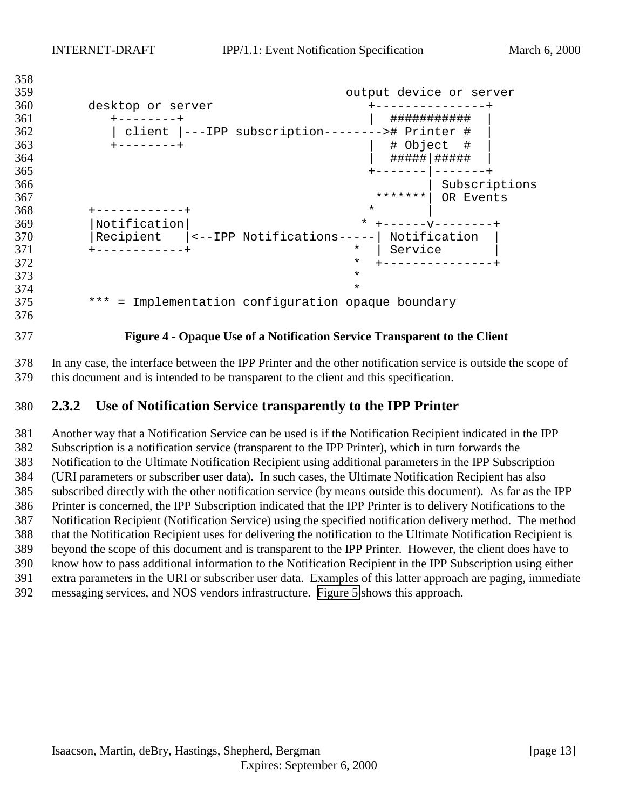```
358
359 output device or server
360 desktop or server +---------------+
361 +--------+ | ########### |
362 | client |---IPP subscription--------># Printer # |
363 +--------+ | # Object # |
364 | #####|##### |
365 +-------|-------+
366 | Subscriptions
367 *******| OR Events
368 + - - - - - - - - - +369 |Notification| * +------v--------+
370 | Recipient | <--IPP Notifications-----| Notification<br>371 +-----------+
                        * | Service
372 * +---------------+
373 *
374 *
375 *** = Implementation configuration opaque boundary
```
#### **Figure 4 - Opaque Use of a Notification Service Transparent to the Client**

 In any case, the interface between the IPP Printer and the other notification service is outside the scope of this document and is intended to be transparent to the client and this specification.

#### **2.3.2 Use of Notification Service transparently to the IPP Printer**

 Another way that a Notification Service can be used is if the Notification Recipient indicated in the IPP Subscription is a notification service (transparent to the IPP Printer), which in turn forwards the Notification to the Ultimate Notification Recipient using additional parameters in the IPP Subscription (URI parameters or subscriber user data). In such cases, the Ultimate Notification Recipient has also subscribed directly with the other notification service (by means outside this document). As far as the IPP Printer is concerned, the IPP Subscription indicated that the IPP Printer is to delivery Notifications to the Notification Recipient (Notification Service) using the specified notification delivery method. The method that the Notification Recipient uses for delivering the notification to the Ultimate Notification Recipient is beyond the scope of this document and is transparent to the IPP Printer. However, the client does have to know how to pass additional information to the Notification Recipient in the IPP Subscription using either extra parameters in the URI or subscriber user data. Examples of this latter approach are paging, immediate messaging services, and NOS vendors infrastructure. [Figure 5](#page-13-0) shows this approach.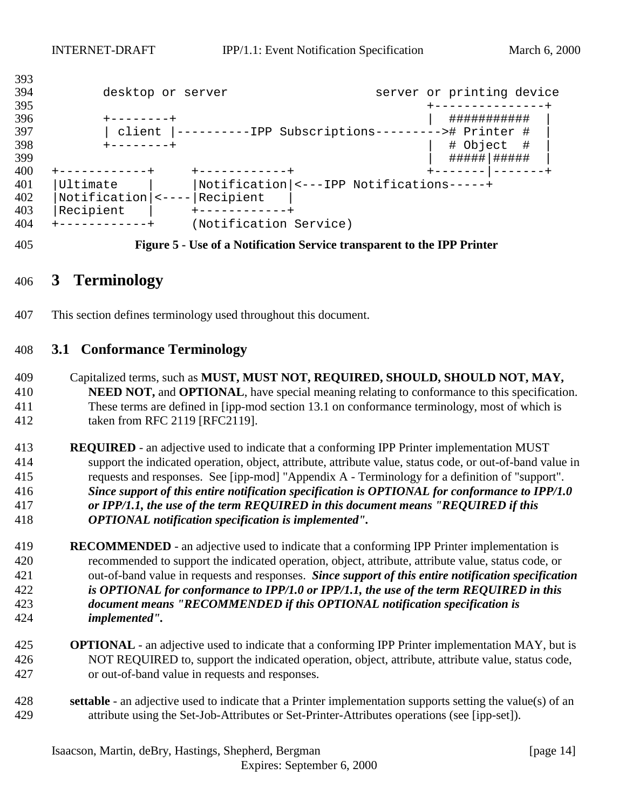```
393
394 desktop or server server server or printing device
395 +---------------+
396 +--------+ | ########### |
397 | client |----------IPP Subscriptions---------># Printer # |
398 +--------+ | # Object # |
                                        399 | #####|##### |
400 +------------+ +------------+ +-------|-------+
401 |Ultimate | |Notification|<---IPP Notifications-----+
402 | Notification | <---- | Recipient | 403 | Recipient |
403 | Recipient |
404 +------------+ (Notification Service)
```
**Figure 5 - Use of a Notification Service transparent to the IPP Printer**

# **3 Terminology**

This section defines terminology used throughout this document.

# **3.1 Conformance Terminology**

- Capitalized terms, such as **MUST, MUST NOT, REQUIRED, SHOULD, SHOULD NOT, MAY, NEED NOT,** and **OPTIONAL**, have special meaning relating to conformance to this specification. These terms are defined in [ipp-mod section 13.1 on conformance terminology, most of which is taken from RFC 2119 [RFC2119].
- **REQUIRED**  an adjective used to indicate that a conforming IPP Printer implementation MUST support the indicated operation, object, attribute, attribute value, status code, or out-of-band value in requests and responses. See [ipp-mod] "Appendix A - Terminology for a definition of "support". *Since support of this entire notification specification is OPTIONAL for conformance to IPP/1.0 or IPP/1.1, the use of the term REQUIRED in this document means "REQUIRED if this OPTIONAL notification specification is implemented".*
- **RECOMMENDED**  an adjective used to indicate that a conforming IPP Printer implementation is recommended to support the indicated operation, object, attribute, attribute value, status code, or out-of-band value in requests and responses. *Since support of this entire notification specification is OPTIONAL for conformance to IPP/1.0 or IPP/1.1, the use of the term REQUIRED in this document means "RECOMMENDED if this OPTIONAL notification specification is implemented".*
- **OPTIONAL**  an adjective used to indicate that a conforming IPP Printer implementation MAY, but is NOT REQUIRED to, support the indicated operation, object, attribute, attribute value, status code, or out-of-band value in requests and responses.
- **settable**  an adjective used to indicate that a Printer implementation supports setting the value(s) of an attribute using the Set-Job-Attributes or Set-Printer-Attributes operations (see [ipp-set]).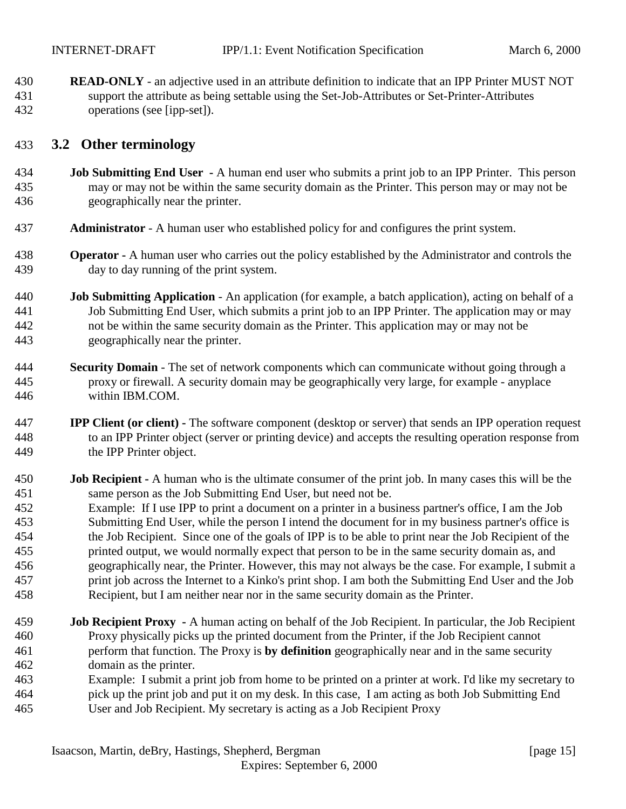<span id="page-14-0"></span> **READ-ONLY** - an adjective used in an attribute definition to indicate that an IPP Printer MUST NOT support the attribute as being settable using the Set-Job-Attributes or Set-Printer-Attributes operations (see [ipp-set]).

## **3.2 Other terminology**

- **Job Submitting End User** A human end user who submits a print job to an IPP Printer. This person may or may not be within the same security domain as the Printer. This person may or may not be geographically near the printer.
- **Administrator**  A human user who established policy for and configures the print system.
- **Operator** A human user who carries out the policy established by the Administrator and controls the day to day running of the print system.
- **Job Submitting Application** An application (for example, a batch application), acting on behalf of a Job Submitting End User, which submits a print job to an IPP Printer. The application may or may not be within the same security domain as the Printer. This application may or may not be geographically near the printer.
- **Security Domain** The set of network components which can communicate without going through a proxy or firewall. A security domain may be geographically very large, for example - anyplace within IBM.COM.
- **IPP Client (or client)** The software component (desktop or server) that sends an IPP operation request to an IPP Printer object (server or printing device) and accepts the resulting operation response from the IPP Printer object.
- **Job Recipient** A human who is the ultimate consumer of the print job. In many cases this will be the same person as the Job Submitting End User, but need not be.
- Example: If I use IPP to print a document on a printer in a business partner's office, I am the Job Submitting End User, while the person I intend the document for in my business partner's office is the Job Recipient. Since one of the goals of IPP is to be able to print near the Job Recipient of the printed output, we would normally expect that person to be in the same security domain as, and geographically near, the Printer. However, this may not always be the case. For example, I submit a print job across the Internet to a Kinko's print shop. I am both the Submitting End User and the Job Recipient, but I am neither near nor in the same security domain as the Printer.
- **Job Recipient Proxy** A human acting on behalf of the Job Recipient. In particular, the Job Recipient Proxy physically picks up the printed document from the Printer, if the Job Recipient cannot perform that function. The Proxy is **by definition** geographically near and in the same security domain as the printer.
- Example: I submit a print job from home to be printed on a printer at work. I'd like my secretary to pick up the print job and put it on my desk. In this case, I am acting as both Job Submitting End User and Job Recipient. My secretary is acting as a Job Recipient Proxy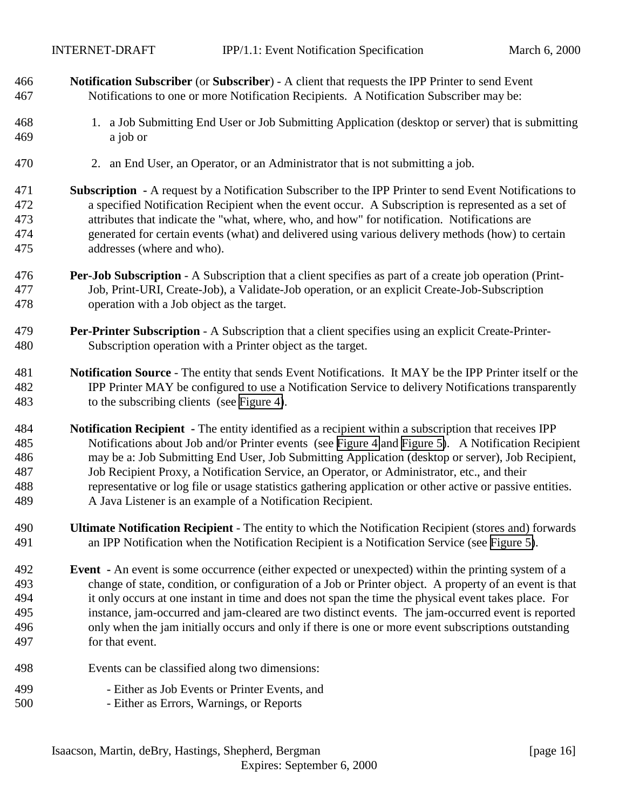- **Notification Subscriber** (or **Subscriber**) A client that requests the IPP Printer to send Event Notifications to one or more Notification Recipients. A Notification Subscriber may be:
- 1. a Job Submitting End User or Job Submitting Application (desktop or server) that is submitting a job or
- 2. an End User, an Operator, or an Administrator that is not submitting a job.
- **Subscription** A request by a Notification Subscriber to the IPP Printer to send Event Notifications to a specified Notification Recipient when the event occur. A Subscription is represented as a set of attributes that indicate the "what, where, who, and how" for notification. Notifications are generated for certain events (what) and delivered using various delivery methods (how) to certain addresses (where and who).
- **Per-Job Subscription** A Subscription that a client specifies as part of a create job operation (Print- Job, Print-URI, Create-Job), a Validate-Job operation, or an explicit Create-Job-Subscription operation with a Job object as the target.
- **Per-Printer Subscription** A Subscription that a client specifies using an explicit Create-Printer-Subscription operation with a Printer object as the target.
- **Notification Source** The entity that sends Event Notifications. It MAY be the IPP Printer itself or the IPP Printer MAY be configured to use a Notification Service to delivery Notifications transparently to the subscribing clients (see [Figure 4\)](#page-12-0).
- **Notification Recipient** The entity identified as a recipient within a subscription that receives IPP Notifications about Job and/or Printer events (see [Figure 4](#page-12-0) and [Figure 5\)](#page-13-0). A Notification Recipient may be a: Job Submitting End User, Job Submitting Application (desktop or server), Job Recipient, Job Recipient Proxy, a Notification Service, an Operator, or Administrator, etc., and their representative or log file or usage statistics gathering application or other active or passive entities. A Java Listener is an example of a Notification Recipient.
- **Ultimate Notification Recipient**  The entity to which the Notification Recipient (stores and) forwards an IPP Notification when the Notification Recipient is a Notification Service (see [Figure 5\)](#page-13-0).
- **Event** An event is some occurrence (either expected or unexpected) within the printing system of a change of state, condition, or configuration of a Job or Printer object. A property of an event is that it only occurs at one instant in time and does not span the time the physical event takes place. For instance, jam-occurred and jam-cleared are two distinct events. The jam-occurred event is reported only when the jam initially occurs and only if there is one or more event subscriptions outstanding for that event.
- Events can be classified along two dimensions: - Either as Job Events or Printer Events, and
- Either as Errors, Warnings, or Reports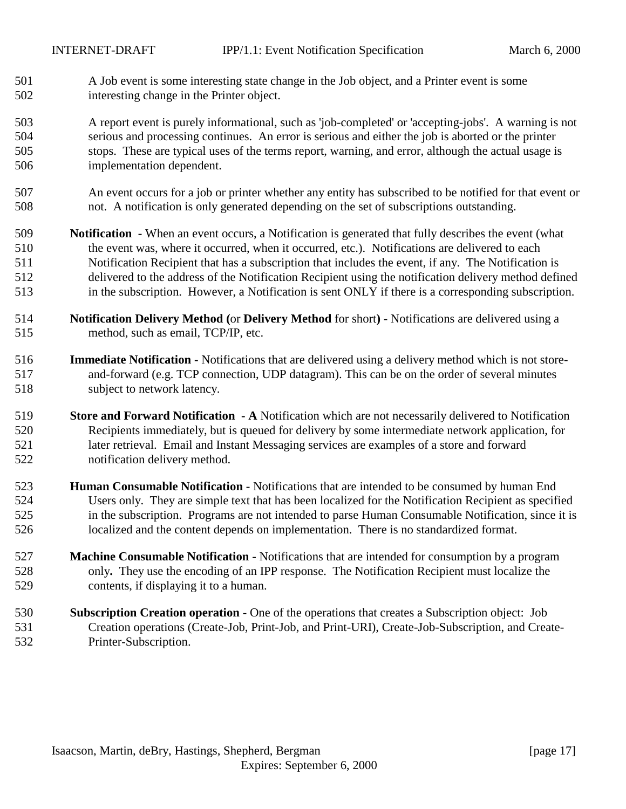- A Job event is some interesting state change in the Job object, and a Printer event is some interesting change in the Printer object.
- A report event is purely informational, such as 'job-completed' or 'accepting-jobs'. A warning is not serious and processing continues. An error is serious and either the job is aborted or the printer stops. These are typical uses of the terms report, warning, and error, although the actual usage is implementation dependent.
- An event occurs for a job or printer whether any entity has subscribed to be notified for that event or not. A notification is only generated depending on the set of subscriptions outstanding.
- **Notification** When an event occurs, a Notification is generated that fully describes the event (what the event was, where it occurred, when it occurred, etc.). Notifications are delivered to each Notification Recipient that has a subscription that includes the event, if any. The Notification is delivered to the address of the Notification Recipient using the notification delivery method defined in the subscription. However, a Notification is sent ONLY if there is a corresponding subscription.
- **Notification Delivery Method (**or **Delivery Method** for short**)**  Notifications are delivered using a method, such as email, TCP/IP, etc.
- **Immediate Notification** Notifications that are delivered using a delivery method which is not store- and-forward (e.g. TCP connection, UDP datagram). This can be on the order of several minutes subject to network latency.
- **Store and Forward Notification A** Notification which are not necessarily delivered to Notification Recipients immediately, but is queued for delivery by some intermediate network application, for later retrieval. Email and Instant Messaging services are examples of a store and forward notification delivery method.
- **Human Consumable Notification** Notifications that are intended to be consumed by human End Users only. They are simple text that has been localized for the Notification Recipient as specified in the subscription. Programs are not intended to parse Human Consumable Notification, since it is localized and the content depends on implementation. There is no standardized format.
- **Machine Consumable Notification** Notifications that are intended for consumption by a program only**.** They use the encoding of an IPP response. The Notification Recipient must localize the contents, if displaying it to a human.
- **Subscription Creation operation**  One of the operations that creates a Subscription object: Job Creation operations (Create-Job, Print-Job, and Print-URI), Create-Job-Subscription, and Create-Printer-Subscription.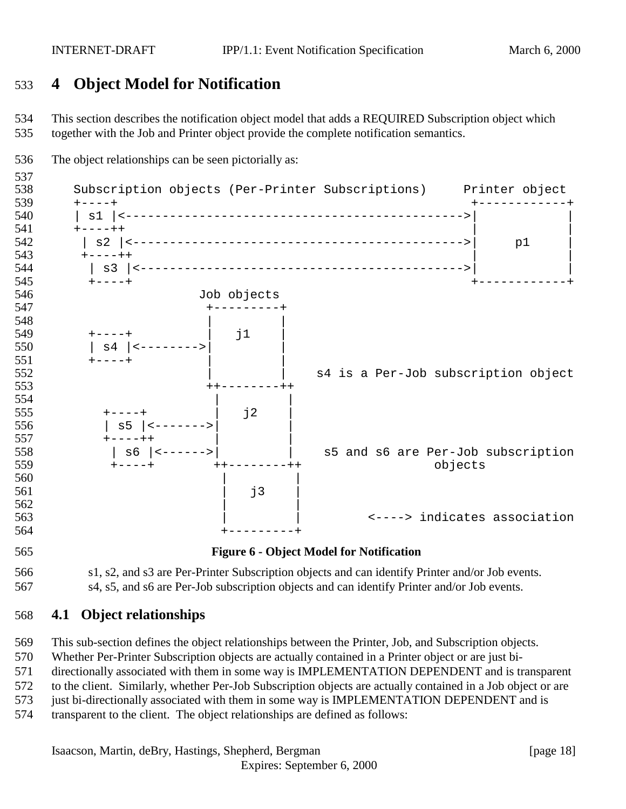# <span id="page-17-0"></span>**4 Object Model for Notification**

 This section describes the notification object model that adds a REQUIRED Subscription object which together with the Job and Printer object provide the complete notification semantics.



s4, s5, and s6 are Per-Job subscription objects and can identify Printer and/or Job events.

# **4.1 Object relationships**

This sub-section defines the object relationships between the Printer, Job, and Subscription objects.

Whether Per-Printer Subscription objects are actually contained in a Printer object or are just bi-

directionally associated with them in some way is IMPLEMENTATION DEPENDENT and is transparent

to the client. Similarly, whether Per-Job Subscription objects are actually contained in a Job object or are

573 just bi-directionally associated with them in some way is IMPLEMENTATION DEPENDENT and is

transparent to the client. The object relationships are defined as follows: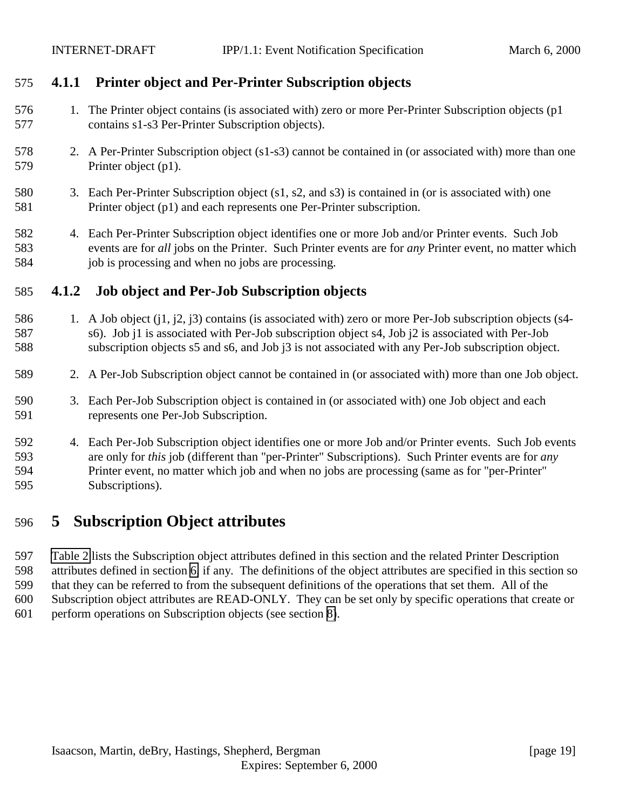# <span id="page-18-0"></span>**4.1.1 Printer object and Per-Printer Subscription objects**

- 1. The Printer object contains (is associated with) zero or more Per-Printer Subscription objects (p1 contains s1-s3 Per-Printer Subscription objects).
- 2. A Per-Printer Subscription object (s1-s3) cannot be contained in (or associated with) more than one Printer object (p1).
- 3. Each Per-Printer Subscription object (s1, s2, and s3) is contained in (or is associated with) one Printer object (p1) and each represents one Per-Printer subscription.
- 4. Each Per-Printer Subscription object identifies one or more Job and/or Printer events. Such Job events are for *all* jobs on the Printer. Such Printer events are for *any* Printer event, no matter which 584 job is processing and when no jobs are processing.

# **4.1.2 Job object and Per-Job Subscription objects**

- 1. A Job object (j1, j2, j3) contains (is associated with) zero or more Per-Job subscription objects (s4- s6). Job j1 is associated with Per-Job subscription object s4, Job j2 is associated with Per-Job subscription objects s5 and s6, and Job j3 is not associated with any Per-Job subscription object.
- 2. A Per-Job Subscription object cannot be contained in (or associated with) more than one Job object.
- 3. Each Per-Job Subscription object is contained in (or associated with) one Job object and each represents one Per-Job Subscription.
- 4. Each Per-Job Subscription object identifies one or more Job and/or Printer events. Such Job events are only for *this* job (different than "per-Printer" Subscriptions). Such Printer events are for *any* Printer event, no matter which job and when no jobs are processing (same as for "per-Printer" Subscriptions).

# **5 Subscription Object attributes**

 [Table 2](#page-19-0) lists the Subscription object attributes defined in this section and the related Printer Description attributes defined in section [6,](#page-28-0) if any. The definitions of the object attributes are specified in this section so that they can be referred to from the subsequent definitions of the operations that set them. All of the Subscription object attributes are READ-ONLY. They can be set only by specific operations that create or perform operations on Subscription objects (see section [8\)](#page-38-0).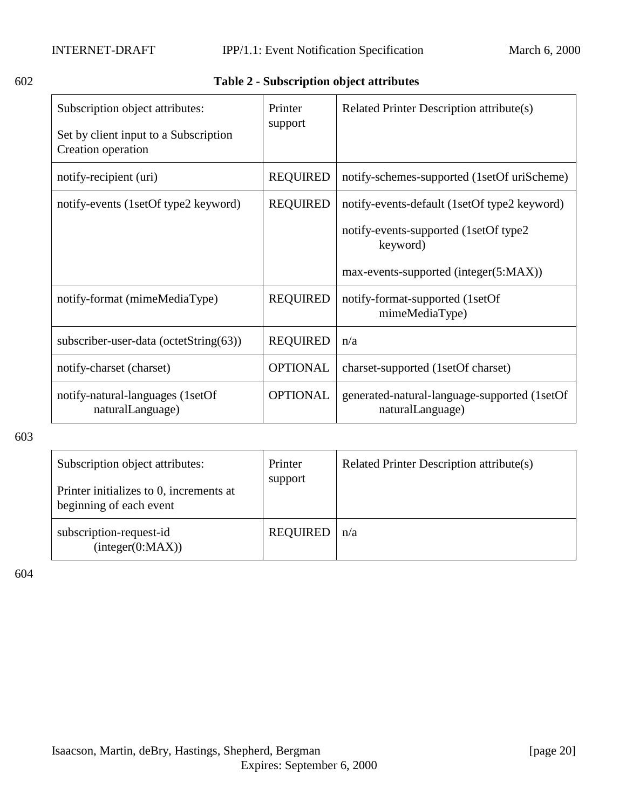# <span id="page-19-0"></span>602 **Table 2 - Subscription object attributes**

| Subscription object attributes:<br>Set by client input to a Subscription<br>Creation operation | Printer<br>support | Related Printer Description attribute(s)                         |
|------------------------------------------------------------------------------------------------|--------------------|------------------------------------------------------------------|
| notify-recipient (uri)                                                                         | <b>REQUIRED</b>    | notify-schemes-supported (1setOf uriScheme)                      |
| notify-events (1setOf type2 keyword)                                                           | <b>REQUIRED</b>    | notify-events-default (1setOf type2 keyword)                     |
|                                                                                                |                    | notify-events-supported (1setOf type2)<br>keyword)               |
|                                                                                                |                    | max-events-supported (integer(5:MAX))                            |
| notify-format (mimeMediaType)                                                                  | <b>REQUIRED</b>    | notify-format-supported (1setOf<br>mimeMediaType)                |
| subscriber-user-data (octetString(63))                                                         | <b>REQUIRED</b>    | n/a                                                              |
| notify-charset (charset)                                                                       | <b>OPTIONAL</b>    | charset-supported (1setOf charset)                               |
| notify-natural-languages (1setOf<br>naturalLanguage)                                           | <b>OPTIONAL</b>    | generated-natural-language-supported (1setOf<br>naturalLanguage) |

603

| Subscription object attributes:<br>Printer initializes to 0, increments at<br>beginning of each event | Printer<br>support | Related Printer Description attribute(s) |
|-------------------------------------------------------------------------------------------------------|--------------------|------------------------------------------|
| subscription-request-id<br>interger(0:MAX))                                                           | <b>REQUIRED</b>    | n/a                                      |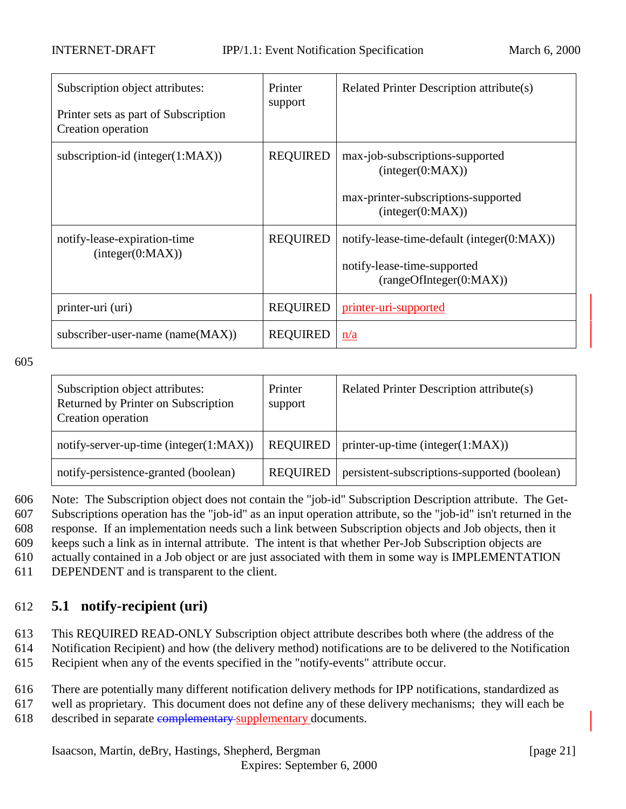<span id="page-20-0"></span>

| Subscription object attributes:<br>Printer sets as part of Subscription<br>Creation operation | Printer<br>support | Related Printer Description attribute(s)                                                                       |
|-----------------------------------------------------------------------------------------------|--------------------|----------------------------------------------------------------------------------------------------------------|
| subscription-id (integer $(1:MAX)$ )                                                          | <b>REQUIRED</b>    | max-job-subscriptions-supported<br>interger(0:MAX))<br>max-printer-subscriptions-supported<br>(integer(0:MAX)) |
| notify-lease-expiration-time<br>interger(0:MAX))                                              | <b>REQUIRED</b>    | notify-lease-time-default (integer(0:MAX))<br>notify-lease-time-supported<br>(rangeOfInteger(0:MAX))           |
| printer-uri (uri)                                                                             | <b>REQUIRED</b>    | printer-uri-supported                                                                                          |
| subscriber-user-name (name(MAX))                                                              | <b>REQUIRED</b>    | n/a                                                                                                            |

| Subscription object attributes:<br>Returned by Printer on Subscription<br>Creation operation | Printer<br>support | Related Printer Description attribute(s)     |
|----------------------------------------------------------------------------------------------|--------------------|----------------------------------------------|
| notify-server-up-time (integer $(1:MAX)$ )                                                   | <b>REQUIRED</b>    | printer-up-time (integer $(1:MAX)$ )         |
| notify-persistence-granted (boolean)                                                         | <b>REQUIRED</b>    | persistent-subscriptions-supported (boolean) |

606 Note: The Subscription object does not contain the "job-id" Subscription Description attribute. The Get-607 Subscriptions operation has the "job-id" as an input operation attribute, so the "job-id" isn't returned in the 608 response. If an implementation needs such a link between Subscription objects and Job objects, then it

609 keeps such a link as in internal attribute. The intent is that whether Per-Job Subscription objects are

610 actually contained in a Job object or are just associated with them in some way is IMPLEMENTATION

611 DEPENDENT and is transparent to the client.

# 612 **5.1 notify-recipient (uri)**

- 613 This REQUIRED READ-ONLY Subscription object attribute describes both where (the address of the
- 614 Notification Recipient) and how (the delivery method) notifications are to be delivered to the Notification
- 615 Recipient when any of the events specified in the "notify-events" attribute occur.
- 616 There are potentially many different notification delivery methods for IPP notifications, standardized as
- 617 well as proprietary. This document does not define any of these delivery mechanisms; they will each be 618 described in separate complementary supplementary documents.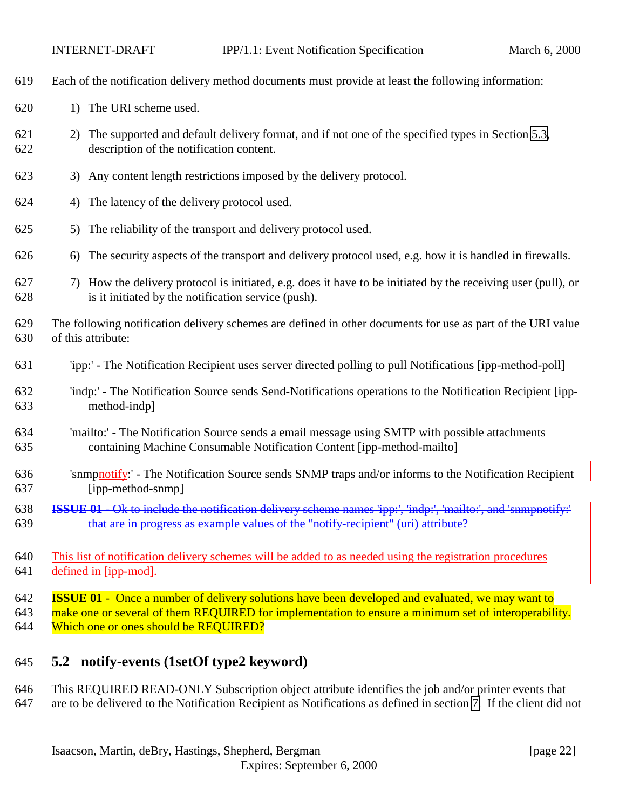<span id="page-21-0"></span>

| 619               | Each of the notification delivery method documents must provide at least the following information:                                                                                                                                                      |
|-------------------|----------------------------------------------------------------------------------------------------------------------------------------------------------------------------------------------------------------------------------------------------------|
| 620               | 1) The URI scheme used.                                                                                                                                                                                                                                  |
| 621<br>622        | The supported and default delivery format, and if not one of the specified types in Section 5.3,<br>2)<br>description of the notification content.                                                                                                       |
| 623               | Any content length restrictions imposed by the delivery protocol.<br>3)                                                                                                                                                                                  |
| 624               | The latency of the delivery protocol used.<br>4)                                                                                                                                                                                                         |
| 625               | The reliability of the transport and delivery protocol used.<br>5)                                                                                                                                                                                       |
| 626               | The security aspects of the transport and delivery protocol used, e.g. how it is handled in firewalls.<br>6)                                                                                                                                             |
| 627<br>628        | How the delivery protocol is initiated, e.g. does it have to be initiated by the receiving user (pull), or<br>7)<br>is it initiated by the notification service (push).                                                                                  |
| 629<br>630        | The following notification delivery schemes are defined in other documents for use as part of the URI value<br>of this attribute:                                                                                                                        |
| 631               | 'ipp:' - The Notification Recipient uses server directed polling to pull Notifications [ipp-method-poll]                                                                                                                                                 |
| 632<br>633        | 'indp:' - The Notification Source sends Send-Notifications operations to the Notification Recipient [ipp-<br>method-indp]                                                                                                                                |
| 634<br>635        | 'mailto:' - The Notification Source sends a email message using SMTP with possible attachments<br>containing Machine Consumable Notification Content [ipp-method-mailto]                                                                                 |
| 636<br>637        | 'snmpnotify:' - The Notification Source sends SNMP traps and/or informs to the Notification Recipient<br>[ipp-method-snmp]                                                                                                                               |
| 638<br>639        | ISSUE 01 - Ok to include the notification delivery scheme names 'ipp:', 'indp:', 'mailto:', and 'snmpnotify:'<br>that are in progress as example values of the "notify-recipient" (uri) attribute?                                                       |
| 640<br>641        | This list of notification delivery schemes will be added to as needed using the registration procedures<br>defined in [ipp-mod].                                                                                                                         |
| 642<br>643<br>644 | <b>ISSUE 01</b> - Once a number of delivery solutions have been developed and evaluated, we may want to<br>make one or several of them REQUIRED for implementation to ensure a minimum set of interoperability.<br>Which one or ones should be REQUIRED? |
|                   |                                                                                                                                                                                                                                                          |

# **5.2 notify-events (1setOf type2 keyword)**

# This REQUIRED READ-ONLY Subscription object attribute identifies the job and/or printer events that are to be delivered to the Notification Recipient as Notifications as defined in section [7.](#page-32-0) If the client did not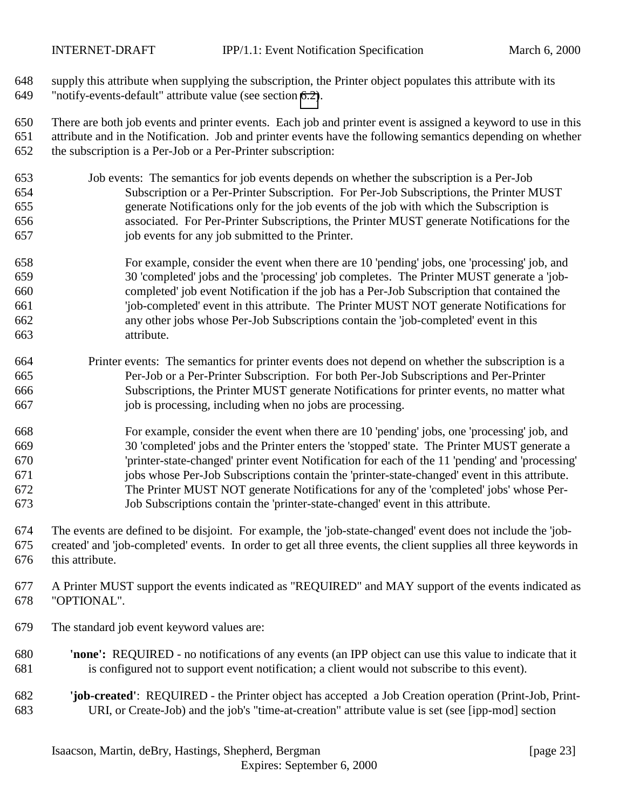supply this attribute when supplying the subscription, the Printer object populates this attribute with its "notify-events-default" attribute value (see section [6.2\)](#page-29-0).

 There are both job events and printer events. Each job and printer event is assigned a keyword to use in this attribute and in the Notification. Job and printer events have the following semantics depending on whether the subscription is a Per-Job or a Per-Printer subscription:

- Job events: The semantics for job events depends on whether the subscription is a Per-Job Subscription or a Per-Printer Subscription. For Per-Job Subscriptions, the Printer MUST generate Notifications only for the job events of the job with which the Subscription is associated. For Per-Printer Subscriptions, the Printer MUST generate Notifications for the job events for any job submitted to the Printer.
- For example, consider the event when there are 10 'pending' jobs, one 'processing' job, and 30 'completed' jobs and the 'processing' job completes. The Printer MUST generate a 'job- completed' job event Notification if the job has a Per-Job Subscription that contained the 'job-completed' event in this attribute. The Printer MUST NOT generate Notifications for any other jobs whose Per-Job Subscriptions contain the 'job-completed' event in this attribute.
- Printer events: The semantics for printer events does not depend on whether the subscription is a Per-Job or a Per-Printer Subscription. For both Per-Job Subscriptions and Per-Printer Subscriptions, the Printer MUST generate Notifications for printer events, no matter what job is processing, including when no jobs are processing.
- For example, consider the event when there are 10 'pending' jobs, one 'processing' job, and 30 'completed' jobs and the Printer enters the 'stopped' state. The Printer MUST generate a 'printer-state-changed' printer event Notification for each of the 11 'pending' and 'processing' jobs whose Per-Job Subscriptions contain the 'printer-state-changed' event in this attribute. The Printer MUST NOT generate Notifications for any of the 'completed' jobs' whose Per-Job Subscriptions contain the 'printer-state-changed' event in this attribute.
- The events are defined to be disjoint. For example, the 'job-state-changed' event does not include the 'job- created' and 'job-completed' events. In order to get all three events, the client supplies all three keywords in this attribute.
- A Printer MUST support the events indicated as "REQUIRED" and MAY support of the events indicated as "OPTIONAL".
- The standard job event keyword values are:
- **'none':** REQUIRED no notifications of any events (an IPP object can use this value to indicate that it is configured not to support event notification; a client would not subscribe to this event).
- **'job-created'**: REQUIRED the Printer object has accepted a Job Creation operation (Print-Job, Print-URI, or Create-Job) and the job's "time-at-creation" attribute value is set (see [ipp-mod] section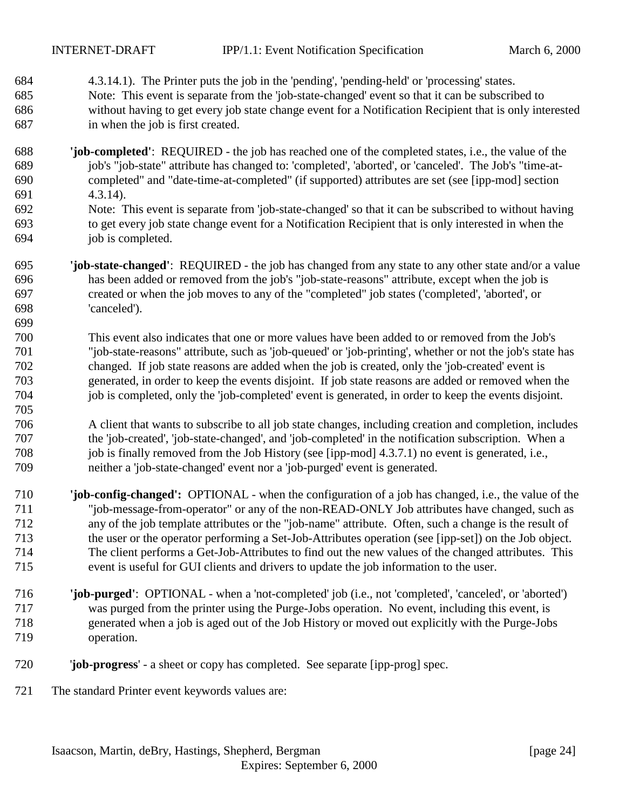- 4.3.14.1). The Printer puts the job in the 'pending', 'pending-held' or 'processing' states. Note: This event is separate from the 'job-state-changed' event so that it can be subscribed to without having to get every job state change event for a Notification Recipient that is only interested in when the job is first created.
- **'job-completed'**: REQUIRED the job has reached one of the completed states, i.e., the value of the job's "job-state" attribute has changed to: 'completed', 'aborted', or 'canceled'. The Job's "time-at- completed" and "date-time-at-completed" (if supported) attributes are set (see [ipp-mod] section 4.3.14). Note: This event is separate from 'job-state-changed' so that it can be subscribed to without having
- to get every job state change event for a Notification Recipient that is only interested in when the job is completed.
- **'job-state-changed'**: REQUIRED the job has changed from any state to any other state and/or a value has been added or removed from the job's "job-state-reasons" attribute, except when the job is created or when the job moves to any of the "completed" job states ('completed', 'aborted', or 'canceled').
- This event also indicates that one or more values have been added to or removed from the Job's "job-state-reasons" attribute, such as 'job-queued' or 'job-printing', whether or not the job's state has changed. If job state reasons are added when the job is created, only the 'job-created' event is generated, in order to keep the events disjoint. If job state reasons are added or removed when the job is completed, only the 'job-completed' event is generated, in order to keep the events disjoint.
- A client that wants to subscribe to all job state changes, including creation and completion, includes the 'job-created', 'job-state-changed', and 'job-completed' in the notification subscription. When a job is finally removed from the Job History (see [ipp-mod] 4.3.7.1) no event is generated, i.e., neither a 'job-state-changed' event nor a 'job-purged' event is generated.
- **'job-config-changed':** OPTIONAL when the configuration of a job has changed, i.e., the value of the "job-message-from-operator" or any of the non-READ-ONLY Job attributes have changed, such as any of the job template attributes or the "job-name" attribute. Often, such a change is the result of the user or the operator performing a Set-Job-Attributes operation (see [ipp-set]) on the Job object. The client performs a Get-Job-Attributes to find out the new values of the changed attributes. This event is useful for GUI clients and drivers to update the job information to the user.
- **'job-purged'**: OPTIONAL when a 'not-completed' job (i.e., not 'completed', 'canceled', or 'aborted') was purged from the printer using the Purge-Jobs operation. No event, including this event, is generated when a job is aged out of the Job History or moved out explicitly with the Purge-Jobs operation.
- '**job-progress**' a sheet or copy has completed. See separate [ipp-prog] spec.
- The standard Printer event keywords values are: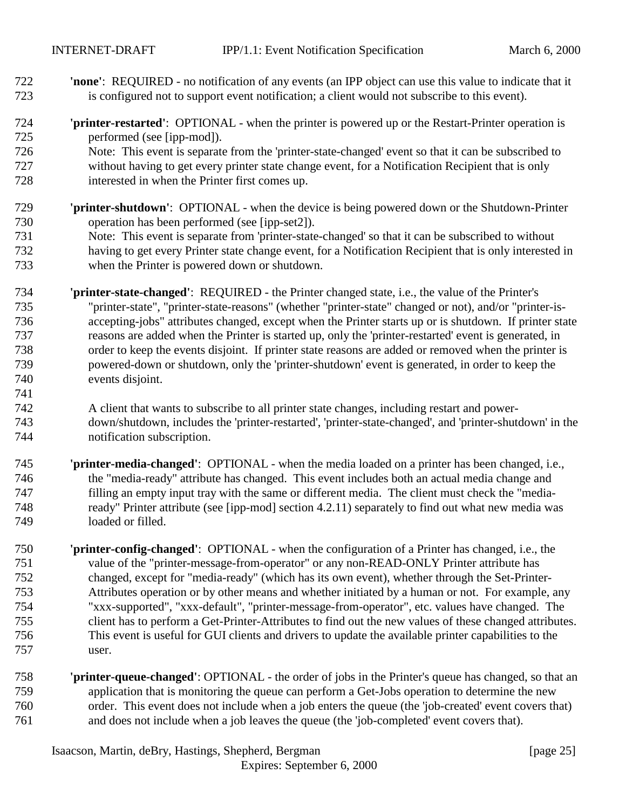- **'none'**: REQUIRED no notification of any events (an IPP object can use this value to indicate that it is configured not to support event notification; a client would not subscribe to this event).
- **'printer-restarted'**: OPTIONAL when the printer is powered up or the Restart-Printer operation is performed (see [ipp-mod]).
- Note: This event is separate from the 'printer-state-changed' event so that it can be subscribed to without having to get every printer state change event, for a Notification Recipient that is only interested in when the Printer first comes up.
- **'printer-shutdown'**: OPTIONAL when the device is being powered down or the Shutdown-Printer operation has been performed (see [ipp-set2]).
- Note: This event is separate from 'printer-state-changed' so that it can be subscribed to without having to get every Printer state change event, for a Notification Recipient that is only interested in when the Printer is powered down or shutdown.
- **'printer-state-changed'**: REQUIRED the Printer changed state, i.e., the value of the Printer's "printer-state", "printer-state-reasons" (whether "printer-state" changed or not), and/or "printer-is- accepting-jobs" attributes changed, except when the Printer starts up or is shutdown. If printer state reasons are added when the Printer is started up, only the 'printer-restarted' event is generated, in order to keep the events disjoint. If printer state reasons are added or removed when the printer is powered-down or shutdown, only the 'printer-shutdown' event is generated, in order to keep the events disjoint.
- A client that wants to subscribe to all printer state changes, including restart and power- down/shutdown, includes the 'printer-restarted', 'printer-state-changed', and 'printer-shutdown' in the notification subscription.
- **'printer-media-changed'**:OPTIONAL when the media loaded on a printer has been changed, i.e., the "media-ready" attribute has changed. This event includes both an actual media change and filling an empty input tray with the same or different media. The client must check the "media- ready" Printer attribute (see [ipp-mod] section 4.2.11) separately to find out what new media was loaded or filled.
- **'printer-config-changed'**:OPTIONAL when the configuration of a Printer has changed, i.e., the value of the "printer-message-from-operator" or any non-READ-ONLY Printer attribute has changed, except for "media-ready" (which has its own event), whether through the Set-Printer- Attributes operation or by other means and whether initiated by a human or not. For example, any "xxx-supported", "xxx-default", "printer-message-from-operator", etc. values have changed. The client has to perform a Get-Printer-Attributes to find out the new values of these changed attributes. This event is useful for GUI clients and drivers to update the available printer capabilities to the user.
- **'printer-queue-changed'**: OPTIONAL the order of jobs in the Printer's queue has changed, so that an application that is monitoring the queue can perform a Get-Jobs operation to determine the new order. This event does not include when a job enters the queue (the 'job-created' event covers that) and does not include when a job leaves the queue (the 'job-completed' event covers that).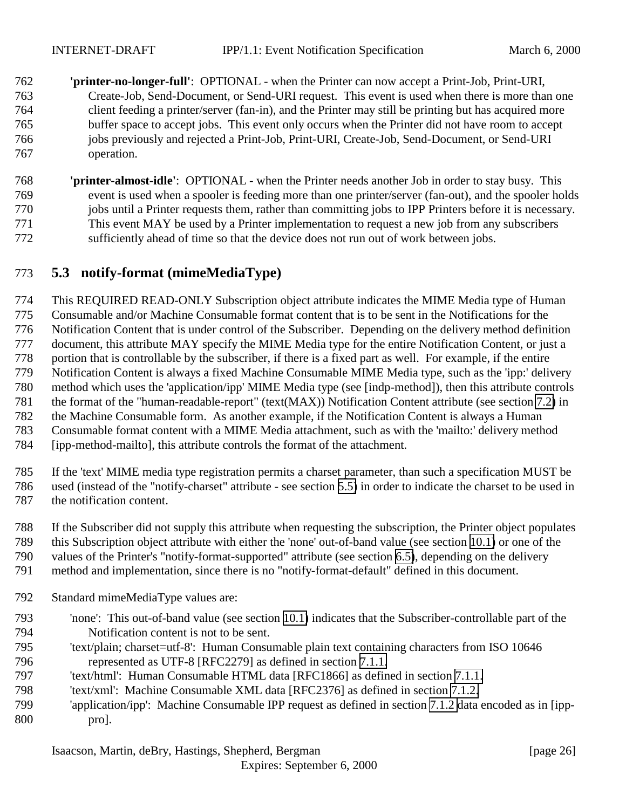- <span id="page-25-0"></span> **'printer-no-longer-full'**: OPTIONAL - when the Printer can now accept a Print-Job, Print-URI, Create-Job, Send-Document, or Send-URI request. This event is used when there is more than one client feeding a printer/server (fan-in), and the Printer may still be printing but has acquired more buffer space to accept jobs. This event only occurs when the Printer did not have room to accept jobs previously and rejected a Print-Job, Print-URI, Create-Job, Send-Document, or Send-URI operation.
- **'printer-almost-idle'**:OPTIONAL when the Printer needs another Job in order to stay busy. This event is used when a spooler is feeding more than one printer/server (fan-out), and the spooler holds jobs until a Printer requests them, rather than committing jobs to IPP Printers before it is necessary. This event MAY be used by a Printer implementation to request a new job from any subscribers sufficiently ahead of time so that the device does not run out of work between jobs.

# **5.3 notify-format (mimeMediaType)**

 This REQUIRED READ-ONLY Subscription object attribute indicates the MIME Media type of Human Consumable and/or Machine Consumable format content that is to be sent in the Notifications for the Notification Content that is under control of the Subscriber. Depending on the delivery method definition document, this attribute MAY specify the MIME Media type for the entire Notification Content, or just a portion that is controllable by the subscriber, if there is a fixed part as well. For example, if the entire Notification Content is always a fixed Machine Consumable MIME Media type, such as the 'ipp:' delivery method which uses the 'application/ipp' MIME Media type (see [indp-method]), then this attribute controls the format of the "human-readable-report" (text(MAX)) Notification Content attribute (see section [7.2\)](#page-34-0) in the Machine Consumable form. As another example, if the Notification Content is always a Human Consumable format content with a MIME Media attachment, such as with the 'mailto:' delivery method [ipp-method-mailto], this attribute controls the format of the attachment.

 If the 'text' MIME media type registration permits a charset parameter, than such a specification MUST be used (instead of the "notify-charset" attribute - see section [5.5\)](#page-26-0) in order to indicate the charset to be used in the notification content.

- If the Subscriber did not supply this attribute when requesting the subscription, the Printer object populates
- this Subscription object attribute with either the 'none' out-of-band value (see section [10.1\)](#page-53-0) or one of the
- values of the Printer's "notify-format-supported" attribute (see section [6.5\)](#page-30-0), depending on the delivery
- method and implementation, since there is no "notify-format-default" defined in this document.
- Standard mimeMediaType values are:
- 'none': This out-of-band value (see section [10.1\)](#page-53-0) indicates that the Subscriber-controllable part of the Notification content is not to be sent.
- 'text/plain; charset=utf-8': Human Consumable plain text containing characters from ISO 10646 represented as UTF-8 [RFC2279] as defined in section [7.1.1.](#page-33-0)
- 'text/html': Human Consumable HTML data [RFC1866] as defined in section [7.1.1.](#page-33-0)
- 'text/xml': Machine Consumable XML data [RFC2376] as defined in section [7.1.2.](#page-33-0)
- 'application/ipp': Machine Consumable IPP request as defined in section [7.1.2](#page-33-0) data encoded as in [ipp-pro].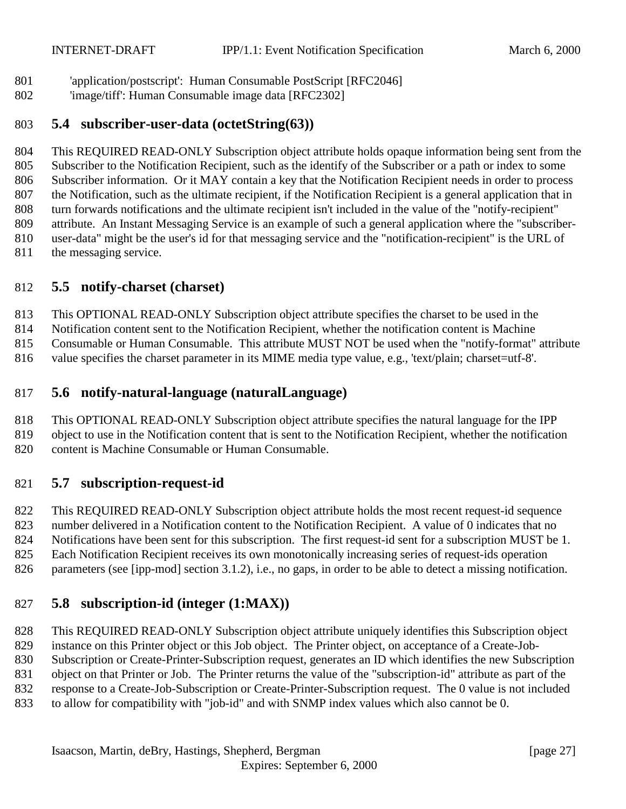<span id="page-26-0"></span>'application/postscript': Human Consumable PostScript [RFC2046]

'image/tiff': Human Consumable image data [RFC2302]

### **5.4 subscriber-user-data (octetString(63))**

 This REQUIRED READ-ONLY Subscription object attribute holds opaque information being sent from the Subscriber to the Notification Recipient, such as the identify of the Subscriber or a path or index to some Subscriber information. Or it MAY contain a key that the Notification Recipient needs in order to process the Notification, such as the ultimate recipient, if the Notification Recipient is a general application that in turn forwards notifications and the ultimate recipient isn't included in the value of the "notify-recipient" attribute. An Instant Messaging Service is an example of such a general application where the "subscriber- user-data" might be the user's id for that messaging service and the "notification-recipient" is the URL of 811 the messaging service.

# **5.5 notify-charset (charset)**

This OPTIONAL READ-ONLY Subscription object attribute specifies the charset to be used in the

Notification content sent to the Notification Recipient, whether the notification content is Machine

Consumable or Human Consumable. This attribute MUST NOT be used when the "notify-format" attribute

816 value specifies the charset parameter in its MIME media type value, e.g., 'text/plain; charset=utf-8'.

# **5.6 notify-natural-language (naturalLanguage)**

This OPTIONAL READ-ONLY Subscription object attribute specifies the natural language for the IPP

 object to use in the Notification content that is sent to the Notification Recipient, whether the notification content is Machine Consumable or Human Consumable.

# **5.7 subscription-request-id**

 This REQUIRED READ-ONLY Subscription object attribute holds the most recent request-id sequence number delivered in a Notification content to the Notification Recipient. A value of 0 indicates that no Notifications have been sent for this subscription. The first request-id sent for a subscription MUST be 1.

Each Notification Recipient receives its own monotonically increasing series of request-ids operation

826 parameters (see [ipp-mod] section 3.1.2), i.e., no gaps, in order to be able to detect a missing notification.

# **5.8 subscription-id (integer (1:MAX))**

 This REQUIRED READ-ONLY Subscription object attribute uniquely identifies this Subscription object instance on this Printer object or this Job object. The Printer object, on acceptance of a Create-Job- Subscription or Create-Printer-Subscription request, generates an ID which identifies the new Subscription object on that Printer or Job. The Printer returns the value of the "subscription-id" attribute as part of the response to a Create-Job-Subscription or Create-Printer-Subscription request. The 0 value is not included

to allow for compatibility with "job-id" and with SNMP index values which also cannot be 0.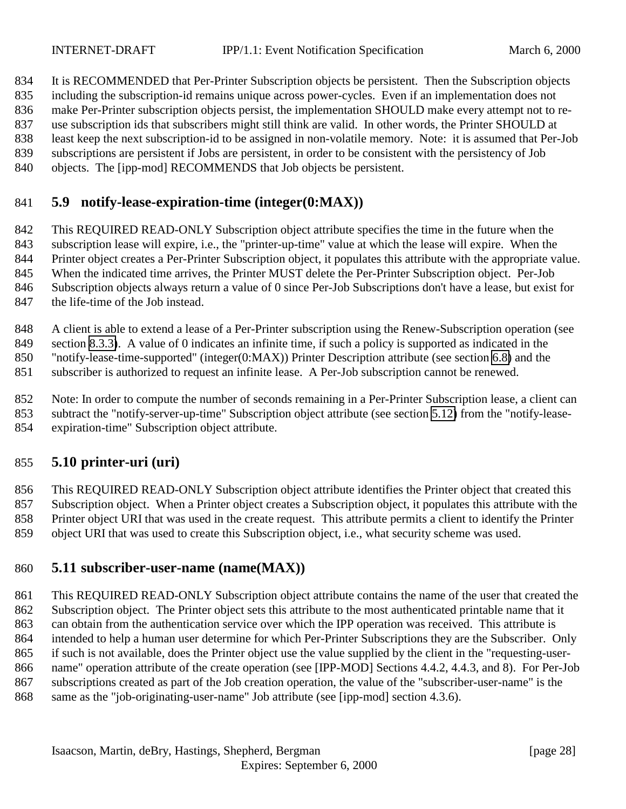<span id="page-27-0"></span>It is RECOMMENDED that Per-Printer Subscription objects be persistent. Then the Subscription objects

including the subscription-id remains unique across power-cycles. Even if an implementation does not

make Per-Printer subscription objects persist, the implementation SHOULD make every attempt not to re-

use subscription ids that subscribers might still think are valid. In other words, the Printer SHOULD at

 least keep the next subscription-id to be assigned in non-volatile memory. Note: it is assumed that Per-Job subscriptions are persistent if Jobs are persistent, in order to be consistent with the persistency of Job

objects. The [ipp-mod] RECOMMENDS that Job objects be persistent.

# **5.9 notify-lease-expiration-time (integer(0:MAX))**

 This REQUIRED READ-ONLY Subscription object attribute specifies the time in the future when the subscription lease will expire, i.e., the "printer-up-time" value at which the lease will expire. When the Printer object creates a Per-Printer Subscription object, it populates this attribute with the appropriate value.

When the indicated time arrives, the Printer MUST delete the Per-Printer Subscription object. Per-Job

Subscription objects always return a value of 0 since Per-Job Subscriptions don't have a lease, but exist for

the life-time of the Job instead.

848 A client is able to extend a lease of a Per-Printer subscription using the Renew-Subscription operation (see

section [8.3.3\)](#page-50-0). A value of 0 indicates an infinite time, if such a policy is supported as indicated in the

"notify-lease-time-supported" (integer(0:MAX)) Printer Description attribute (see section [6.8\)](#page-31-0) and the

subscriber is authorized to request an infinite lease. A Per-Job subscription cannot be renewed.

 Note: In order to compute the number of seconds remaining in a Per-Printer Subscription lease, a client can subtract the "notify-server-up-time" Subscription object attribute (see section [5.12\)](#page-28-0) from the "notify-lease-

expiration-time" Subscription object attribute.

# **5.10 printer-uri (uri)**

 This REQUIRED READ-ONLY Subscription object attribute identifies the Printer object that created this Subscription object. When a Printer object creates a Subscription object, it populates this attribute with the Printer object URI that was used in the create request. This attribute permits a client to identify the Printer object URI that was used to create this Subscription object, i.e., what security scheme was used.

# **5.11 subscriber-user-name (name(MAX))**

 This REQUIRED READ-ONLY Subscription object attribute contains the name of the user that created the Subscription object. The Printer object sets this attribute to the most authenticated printable name that it can obtain from the authentication service over which the IPP operation was received. This attribute is intended to help a human user determine for which Per-Printer Subscriptions they are the Subscriber. Only if such is not available, does the Printer object use the value supplied by the client in the "requesting-user- name" operation attribute of the create operation (see [IPP-MOD] Sections 4.4.2, 4.4.3, and 8). For Per-Job subscriptions created as part of the Job creation operation, the value of the "subscriber-user-name" is the same as the "job-originating-user-name" Job attribute (see [ipp-mod] section 4.3.6).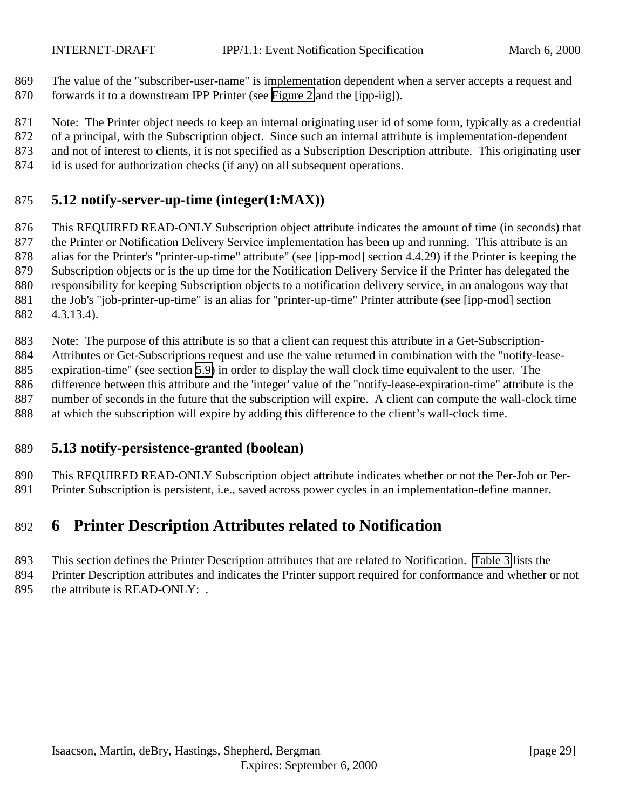<span id="page-28-0"></span> The value of the "subscriber-user-name" is implementation dependent when a server accepts a request and forwards it to a downstream IPP Printer (see [Figure 2](#page-10-0) and the [ipp-iig]).

Note: The Printer object needs to keep an internal originating user id of some form, typically as a credential

of a principal, with the Subscription object. Since such an internal attribute is implementation-dependent

and not of interest to clients, it is not specified as a Subscription Description attribute. This originating user

id is used for authorization checks (if any) on all subsequent operations.

# **5.12 notify-server-up-time (integer(1:MAX))**

 This REQUIRED READ-ONLY Subscription object attribute indicates the amount of time (in seconds) that the Printer or Notification Delivery Service implementation has been up and running. This attribute is an alias for the Printer's "printer-up-time" attribute" (see [ipp-mod] section 4.4.29) if the Printer is keeping the Subscription objects or is the up time for the Notification Delivery Service if the Printer has delegated the responsibility for keeping Subscription objects to a notification delivery service, in an analogous way that the Job's "job-printer-up-time" is an alias for "printer-up-time" Printer attribute (see [ipp-mod] section 4.3.13.4).

 Note: The purpose of this attribute is so that a client can request this attribute in a Get-Subscription- Attributes or Get-Subscriptions request and use the value returned in combination with the "notify-lease- expiration-time" (see section [5.9\)](#page-27-0) in order to display the wall clock time equivalent to the user. The difference between this attribute and the 'integer' value of the "notify-lease-expiration-time" attribute is the number of seconds in the future that the subscription will expire. A client can compute the wall-clock time at which the subscription will expire by adding this difference to the client's wall-clock time.

# **5.13 notify-persistence-granted (boolean)**

 This REQUIRED READ-ONLY Subscription object attribute indicates whether or not the Per-Job or Per-Printer Subscription is persistent, i.e., saved across power cycles in an implementation-define manner.

# **6 Printer Description Attributes related to Notification**

 This section defines the Printer Description attributes that are related to Notification. [Table 3](#page-29-0) lists the Printer Description attributes and indicates the Printer support required for conformance and whether or not

895 the attribute is READ-ONLY: .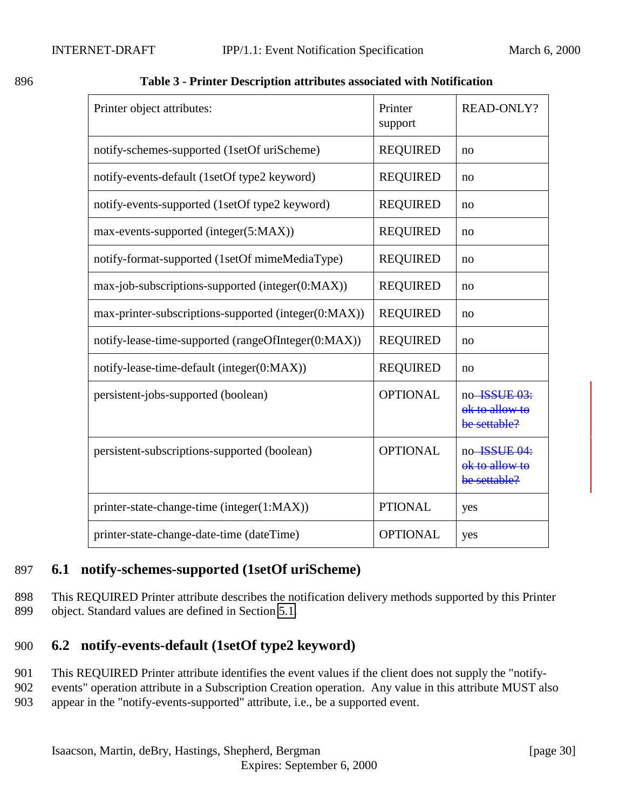<span id="page-29-0"></span>

| I<br>۰.<br>۰,<br>۰, |
|---------------------|
|                     |

896 **Table 3 - Printer Description attributes associated with Notification**

| Printer object attributes:                           | Printer<br>support | <b>READ-ONLY?</b>                              |
|------------------------------------------------------|--------------------|------------------------------------------------|
| notify-schemes-supported (1setOf uriScheme)          | <b>REQUIRED</b>    | no                                             |
| notify-events-default (1setOf type2 keyword)         | <b>REQUIRED</b>    | no                                             |
| notify-events-supported (1setOf type2 keyword)       | <b>REQUIRED</b>    | no                                             |
| max-events-supported (integer(5:MAX))                | <b>REQUIRED</b>    | no                                             |
| notify-format-supported (1setOf mimeMediaType)       | <b>REQUIRED</b>    | no                                             |
| max-job-subscriptions-supported (integer(0:MAX))     | <b>REQUIRED</b>    | no                                             |
| max-printer-subscriptions-supported (integer(0:MAX)) | <b>REQUIRED</b>    | no                                             |
| notify-lease-time-supported (rangeOfInteger(0:MAX))  | <b>REQUIRED</b>    | no                                             |
| notify-lease-time-default (integer(0:MAX))           | <b>REQUIRED</b>    | no                                             |
| persistent-jobs-supported (boolean)                  | <b>OPTIONAL</b>    | no-ISSUE 03:<br>ok to allow to<br>be settable? |
| persistent-subscriptions-supported (boolean)         | <b>OPTIONAL</b>    | no-ISSUE 04:<br>ok to allow to<br>be settable? |
| printer-state-change-time (integer(1:MAX))           | <b>PTIONAL</b>     | yes                                            |
| printer-state-change-date-time (dateTime)            | <b>OPTIONAL</b>    | yes                                            |

# 897 **6.1 notify-schemes-supported (1setOf uriScheme)**

898 This REQUIRED Printer attribute describes the notification delivery methods supported by this Printer 899 object. Standard values are defined in Section [5.1.](#page-20-0)

# 900 **6.2 notify-events-default (1setOf type2 keyword)**

- 901 This REQUIRED Printer attribute identifies the event values if the client does not supply the "notify-
- 902 events" operation attribute in a Subscription Creation operation. Any value in this attribute MUST also 903 appear in the "notify-events-supported" attribute, i.e., be a supported event.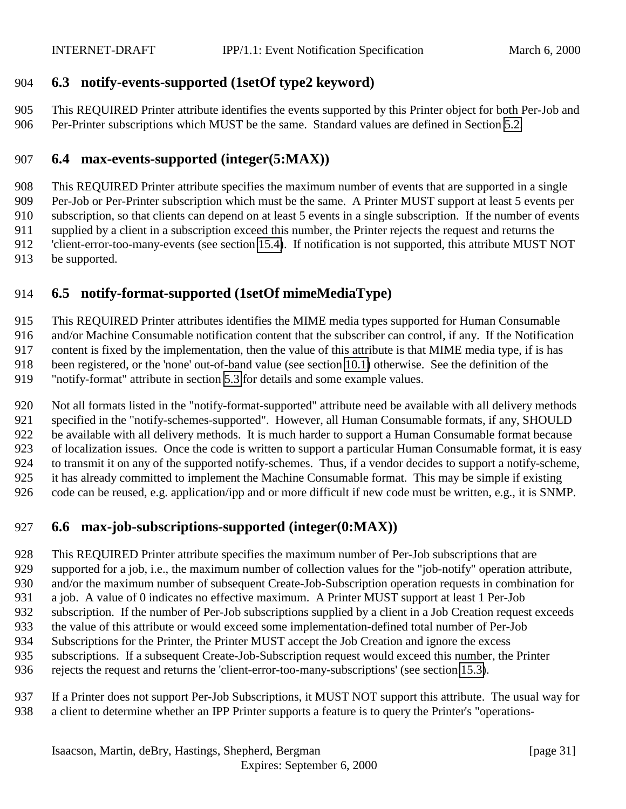# <span id="page-30-0"></span>**6.3 notify-events-supported (1setOf type2 keyword)**

 This REQUIRED Printer attribute identifies the events supported by this Printer object for both Per-Job and Per-Printer subscriptions which MUST be the same. Standard values are defined in Section [5.2.](#page-21-0)

# **6.4 max-events-supported (integer(5:MAX))**

 This REQUIRED Printer attribute specifies the maximum number of events that are supported in a single Per-Job or Per-Printer subscription which must be the same. A Printer MUST support at least 5 events per subscription, so that clients can depend on at least 5 events in a single subscription. If the number of events supplied by a client in a subscription exceed this number, the Printer rejects the request and returns the 'client-error-too-many-events (see section [15.4\)](#page-56-0). If notification is not supported, this attribute MUST NOT be supported.

# **6.5 notify-format-supported (1setOf mimeMediaType)**

This REQUIRED Printer attributes identifies the MIME media types supported for Human Consumable

and/or Machine Consumable notification content that the subscriber can control, if any. If the Notification

content is fixed by the implementation, then the value of this attribute is that MIME media type, if is has

been registered, or the 'none' out-of-band value (see section [10.1\)](#page-53-0) otherwise. See the definition of the

"notify-format" attribute in section [5.3](#page-25-0) for details and some example values.

 Not all formats listed in the "notify-format-supported" attribute need be available with all delivery methods specified in the "notify-schemes-supported". However, all Human Consumable formats, if any, SHOULD be available with all delivery methods. It is much harder to support a Human Consumable format because of localization issues. Once the code is written to support a particular Human Consumable format, it is easy to transmit it on any of the supported notify-schemes. Thus, if a vendor decides to support a notify-scheme, it has already committed to implement the Machine Consumable format. This may be simple if existing code can be reused, e.g. application/ipp and or more difficult if new code must be written, e.g., it is SNMP.

# **6.6 max-job-subscriptions-supported (integer(0:MAX))**

This REQUIRED Printer attribute specifies the maximum number of Per-Job subscriptions that are

929 supported for a job, i.e., the maximum number of collection values for the "job-notify" operation attribute,

and/or the maximum number of subsequent Create-Job-Subscription operation requests in combination for

- a job. A value of 0 indicates no effective maximum. A Printer MUST support at least 1 Per-Job
- subscription. If the number of Per-Job subscriptions supplied by a client in a Job Creation request exceeds
- the value of this attribute or would exceed some implementation-defined total number of Per-Job
- Subscriptions for the Printer, the Printer MUST accept the Job Creation and ignore the excess
- subscriptions. If a subsequent Create-Job-Subscription request would exceed this number, the Printer
- rejects the request and returns the 'client-error-too-many-subscriptions' (see section [15.3\)](#page-55-0).
- If a Printer does not support Per-Job Subscriptions, it MUST NOT support this attribute. The usual way for a client to determine whether an IPP Printer supports a feature is to query the Printer's "operations-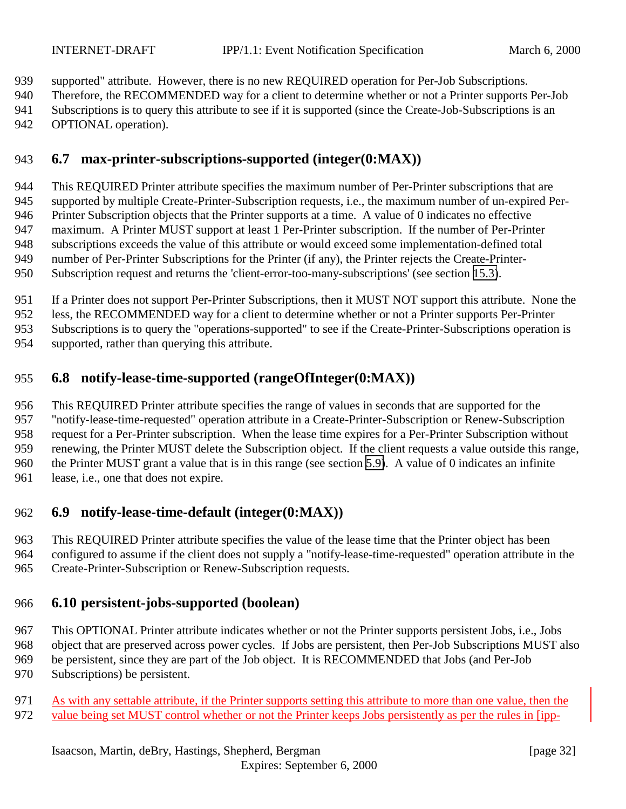<span id="page-31-0"></span>supported" attribute. However, there is no new REQUIRED operation for Per-Job Subscriptions.

Therefore, the RECOMMENDED way for a client to determine whether or not a Printer supports Per-Job

- Subscriptions is to query this attribute to see if it is supported (since the Create-Job-Subscriptions is an
- 942 OPTIONAL operation).

# **6.7 max-printer-subscriptions-supported (integer(0:MAX))**

 This REQUIRED Printer attribute specifies the maximum number of Per-Printer subscriptions that are supported by multiple Create-Printer-Subscription requests, i.e., the maximum number of un-expired Per- Printer Subscription objects that the Printer supports at a time. A value of 0 indicates no effective maximum. A Printer MUST support at least 1 Per-Printer subscription. If the number of Per-Printer subscriptions exceeds the value of this attribute or would exceed some implementation-defined total number of Per-Printer Subscriptions for the Printer (if any), the Printer rejects the Create-Printer-Subscription request and returns the 'client-error-too-many-subscriptions' (see section [15.3\)](#page-55-0).

If a Printer does not support Per-Printer Subscriptions, then it MUST NOT support this attribute. None the

less, the RECOMMENDED way for a client to determine whether or not a Printer supports Per-Printer

Subscriptions is to query the "operations-supported" to see if the Create-Printer-Subscriptions operation is

supported, rather than querying this attribute.

# **6.8 notify-lease-time-supported (rangeOfInteger(0:MAX))**

 This REQUIRED Printer attribute specifies the range of values in seconds that are supported for the "notify-lease-time-requested" operation attribute in a Create-Printer-Subscription or Renew-Subscription request for a Per-Printer subscription. When the lease time expires for a Per-Printer Subscription without renewing, the Printer MUST delete the Subscription object. If the client requests a value outside this range, the Printer MUST grant a value that is in this range (see section [5.9\)](#page-27-0). A value of 0 indicates an infinite lease, i.e., one that does not expire.

# **6.9 notify-lease-time-default (integer(0:MAX))**

This REQUIRED Printer attribute specifies the value of the lease time that the Printer object has been

configured to assume if the client does not supply a "notify-lease-time-requested" operation attribute in the

Create-Printer-Subscription or Renew-Subscription requests.

# **6.10 persistent-jobs-supported (boolean)**

 This OPTIONAL Printer attribute indicates whether or not the Printer supports persistent Jobs, i.e., Jobs object that are preserved across power cycles. If Jobs are persistent, then Per-Job Subscriptions MUST also be persistent, since they are part of the Job object. It is RECOMMENDED that Jobs (and Per-Job

Subscriptions) be persistent.

 As with any settable attribute, if the Printer supports setting this attribute to more than one value, then the value being set MUST control whether or not the Printer keeps Jobs persistently as per the rules in [ipp-

Isaacson, Martin, deBry, Hastings, Shepherd, Bergman [page 32]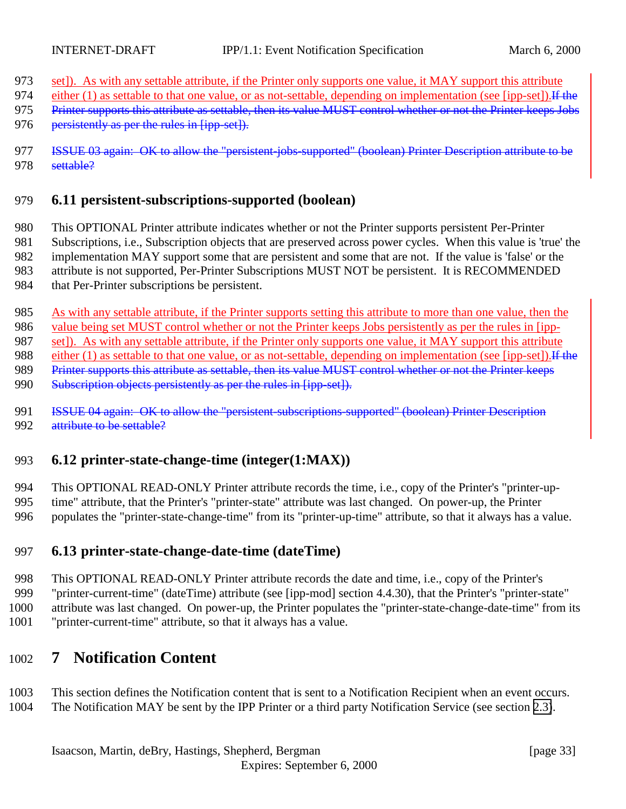- <span id="page-32-0"></span>973 set]). As with any settable attribute, if the Printer only supports one value, it MAY support this attribute
- 974 either (1) as settable to that one value, or as not-settable, depending on implementation (see [ipp-set]). If the
- 975 Printer supports this attribute as settable, then its value MUST control whether or not the Printer keeps Jobs
- 976 persistently as per the rules in [ipp-set]).
- 977 ISSUE 03 again: OK to allow the "persistent-jobs-supported" (boolean) Printer Description attribute to be 978 settable?

### 979 **6.11 persistent-subscriptions-supported (boolean)**

980 This OPTIONAL Printer attribute indicates whether or not the Printer supports persistent Per-Printer

981 Subscriptions, i.e., Subscription objects that are preserved across power cycles. When this value is 'true' the 982 implementation MAY support some that are persistent and some that are not. If the value is 'false' or the

983 attribute is not supported, Per-Printer Subscriptions MUST NOT be persistent. It is RECOMMENDED

- 984 that Per-Printer subscriptions be persistent.
- 985 As with any settable attribute, if the Printer supports setting this attribute to more than one value, then the

986 value being set MUST control whether or not the Printer keeps Jobs persistently as per the rules in [ipp-

987 set]). As with any settable attribute, if the Printer only supports one value, it MAY support this attribute

988 either (1) as settable to that one value, or as not-settable, depending on implementation (see [ipp-set]). If the

- 989 Printer supports this attribute as settable, then its value MUST control whether or not the Printer keeps
- 990 Subscription objects persistently as per the rules in [ipp-set]).
- 991 **ISSUE 04 again: OK to allow the "persistent-subscriptions-supported" (boolean) Printer Description** 992 attribute to be settable?

# 993 **6.12 printer-state-change-time (integer(1:MAX))**

994 This OPTIONAL READ-ONLY Printer attribute records the time, i.e., copy of the Printer's "printer-up-995 time" attribute, that the Printer's "printer-state" attribute was last changed. On power-up, the Printer 996 populates the "printer-state-change-time" from its "printer-up-time" attribute, so that it always has a value.

# 997 **6.13 printer-state-change-date-time (dateTime)**

- 998 This OPTIONAL READ-ONLY Printer attribute records the date and time, i.e., copy of the Printer's
- 999 "printer-current-time" (dateTime) attribute (see [ipp-mod] section 4.4.30), that the Printer's "printer-state"
- 1000 attribute was last changed. On power-up, the Printer populates the "printer-state-change-date-time" from its
- 1001 "printer-current-time" attribute, so that it always has a value.

# 1002 **7 Notification Content**

- 1003 This section defines the Notification content that is sent to a Notification Recipient when an event occurs.
- 1004 The Notification MAY be sent by the IPP Printer or a third party Notification Service (see section [2.3\)](#page-11-0).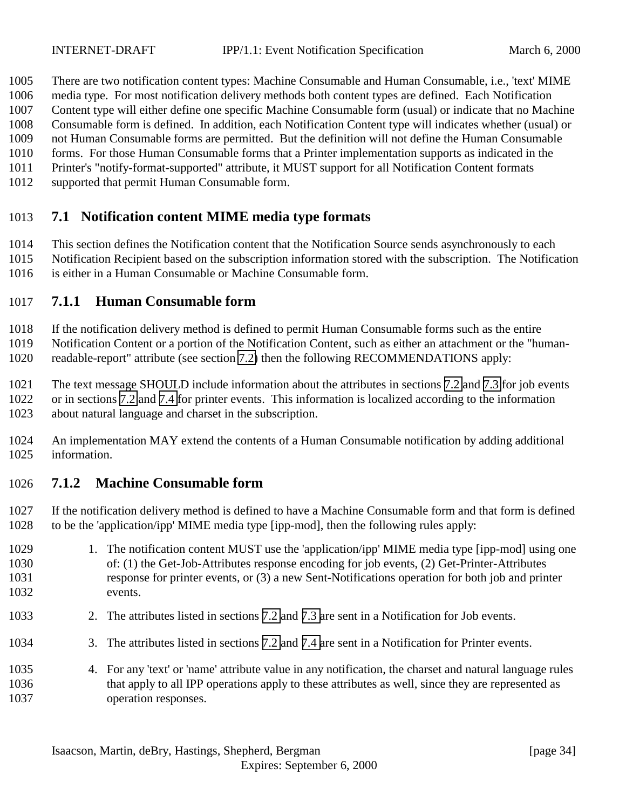<span id="page-33-0"></span>There are two notification content types: Machine Consumable and Human Consumable, i.e., 'text' MIME

- media type. For most notification delivery methods both content types are defined. Each Notification
- Content type will either define one specific Machine Consumable form (usual) or indicate that no Machine
- Consumable form is defined. In addition, each Notification Content type will indicates whether (usual) or
- not Human Consumable forms are permitted. But the definition will not define the Human Consumable forms. For those Human Consumable forms that a Printer implementation supports as indicated in the
- Printer's "notify-format-supported" attribute, it MUST support for all Notification Content formats
- supported that permit Human Consumable form.

# **7.1 Notification content MIME media type formats**

 This section defines the Notification content that the Notification Source sends asynchronously to each Notification Recipient based on the subscription information stored with the subscription. The Notification is either in a Human Consumable or Machine Consumable form.

# **7.1.1 Human Consumable form**

If the notification delivery method is defined to permit Human Consumable forms such as the entire

Notification Content or a portion of the Notification Content, such as either an attachment or the "human-

readable-report" attribute (see section [7.2\)](#page-34-0) then the following RECOMMENDATIONS apply:

The text message SHOULD include information about the attributes in sections [7.2](#page-38-0) and [7.3](#page-37-0) for job events

 or in sections [7.2](#page-34-0) and [7.4](#page-38-0) for printer events. This information is localized according to the information about natural language and charset in the subscription.

 An implementation MAY extend the contents of a Human Consumable notification by adding additional information.

# **7.1.2 Machine Consumable form**

 If the notification delivery method is defined to have a Machine Consumable form and that form is defined to be the 'application/ipp' MIME media type [ipp-mod], then the following rules apply:

- 1029 1. The notification content MUST use the 'application/ipp' MIME media type [ipp-mod] using one of: (1) the Get-Job-Attributes response encoding for job events, (2) Get-Printer-Attributes response for printer events, or (3) a new Sent-Notifications operation for both job and printer events.
- 2. The attributes listed in sections [7.2](#page-34-0) and [7.3 a](#page-37-0)re sent in a Notification for Job events.
- 3. The attributes listed in sections [7.2](#page-34-0) and [7.4 a](#page-38-0)re sent in a Notification for Printer events.
- 4. For any 'text' or 'name' attribute value in any notification, the charset and natural language rules that apply to all IPP operations apply to these attributes as well, since they are represented as operation responses.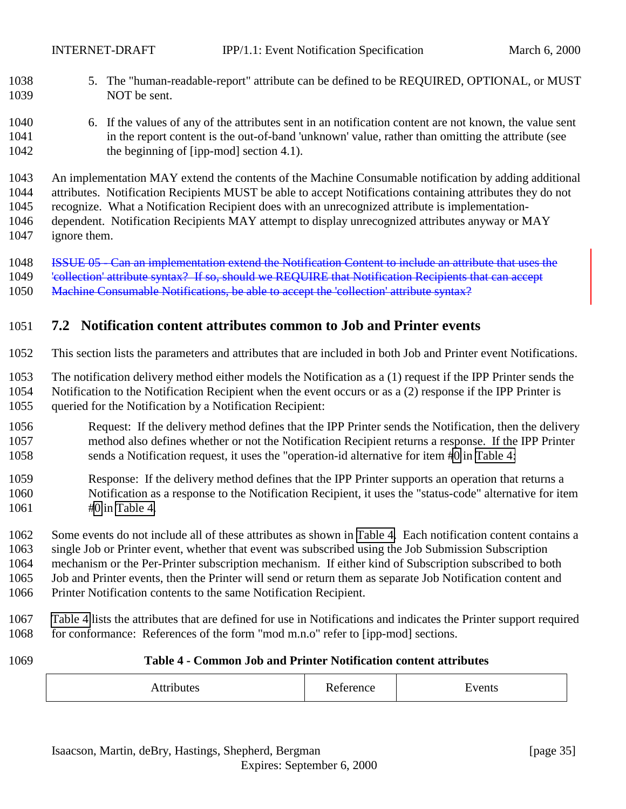<span id="page-34-0"></span>

- 5. The "human-readable-report" attribute can be defined to be REQUIRED, OPTIONAL, or MUST NOT be sent.
- 6. If the values of any of the attributes sent in an notification content are not known, the value sent in the report content is the out-of-band 'unknown' value, rather than omitting the attribute (see 1042 the beginning of [ipp-mod] section 4.1).

An implementation MAY extend the contents of the Machine Consumable notification by adding additional

 attributes. Notification Recipients MUST be able to accept Notifications containing attributes they do not recognize. What a Notification Recipient does with an unrecognized attribute is implementation-

 dependent. Notification Recipients MAY attempt to display unrecognized attributes anyway or MAY ignore them.

ISSUE 05 - Can an implementation extend the Notification Content to include an attribute that uses the

1049 'collection' attribute syntax? If so, should we REQUIRE that Notification Recipients that can accept

1050 Machine Consumable Notifications, be able to accept the 'collection' attribute syntax?

# **7.2 Notification content attributes common to Job and Printer events**

This section lists the parameters and attributes that are included in both Job and Printer event Notifications.

 The notification delivery method either models the Notification as a (1) request if the IPP Printer sends the Notification to the Notification Recipient when the event occurs or as a (2) response if the IPP Printer is queried for the Notification by a Notification Recipient:

- Request: If the delivery method defines that the IPP Printer sends the Notification, then the delivery method also defines whether or not the Notification Recipient returns a response. If the IPP Printer sends a Notification request, it uses the "operation-id alternative for item [#0](#page-35-0) in Table 4:
- Response: If the delivery method defines that the IPP Printer supports an operation that returns a Notification as a response to the Notification Recipient, it uses the "status-code" alternative for item [#0](#page-35-0) in Table 4.

 Some events do not include all of these attributes as shown in Table 4. Each notification content contains a single Job or Printer event, whether that event was subscribed using the Job Submission Subscription mechanism or the Per-Printer subscription mechanism. If either kind of Subscription subscribed to both Job and Printer events, then the Printer will send or return them as separate Job Notification content and Printer Notification contents to the same Notification Recipient.

 Table 4 lists the attributes that are defined for use in Notifications and indicates the Printer support required 1068 for conformance: References of the form "mod m.n.o" refer to [ipp-mod] sections.

#### **Table 4 - Common Job and Printer Notification content attributes**

| nuiel<br>11<br> | –<br>$\sim$<br>лка<br>. | .<br>Lycnes |
|-----------------|-------------------------|-------------|
|-----------------|-------------------------|-------------|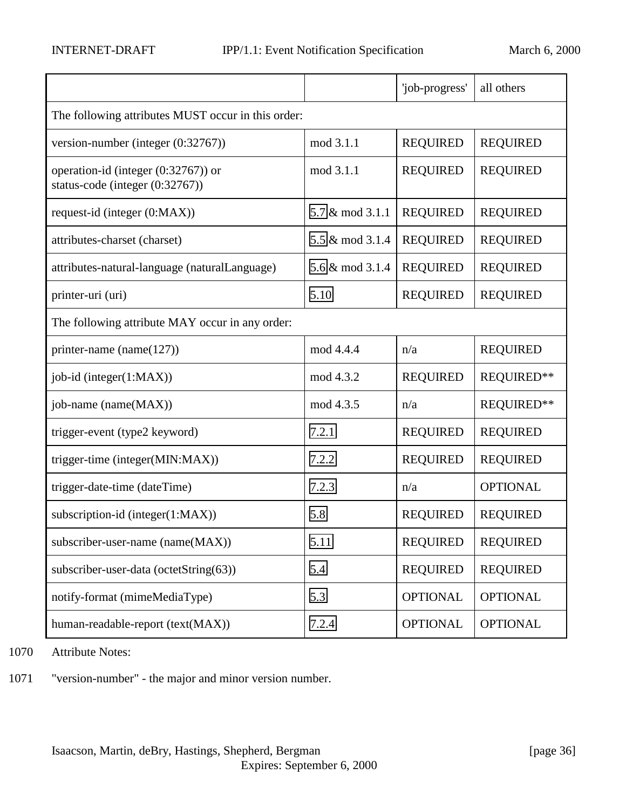<span id="page-35-0"></span>

|                                                                        |                 | 'job-progress'  | all others      |  |
|------------------------------------------------------------------------|-----------------|-----------------|-----------------|--|
| The following attributes MUST occur in this order:                     |                 |                 |                 |  |
| version-number (integer (0:32767))                                     | mod 3.1.1       | <b>REQUIRED</b> | <b>REQUIRED</b> |  |
| operation-id (integer (0:32767)) or<br>status-code (integer (0:32767)) | mod 3.1.1       | <b>REQUIRED</b> | <b>REQUIRED</b> |  |
| request-id (integer (0:MAX))                                           | 5.7 & mod 3.1.1 | <b>REQUIRED</b> | <b>REQUIRED</b> |  |
| attributes-charset (charset)                                           | 5.5 & mod 3.1.4 | <b>REQUIRED</b> | <b>REQUIRED</b> |  |
| attributes-natural-language (naturalLanguage)                          | 5.6 & mod 3.1.4 | <b>REQUIRED</b> | <b>REQUIRED</b> |  |
| printer-uri (uri)                                                      | 5.10            | <b>REQUIRED</b> | <b>REQUIRED</b> |  |
| The following attribute MAY occur in any order:                        |                 |                 |                 |  |
| printer-name (name $(127)$ )                                           | mod 4.4.4       | n/a             | <b>REQUIRED</b> |  |
| job-id (integer(1:MAX))                                                | mod 4.3.2       | <b>REQUIRED</b> | REQUIRED**      |  |
| job-name (name(MAX))                                                   | mod 4.3.5       | n/a             | REQUIRED**      |  |
| trigger-event (type2 keyword)                                          | 7.2.1           | <b>REQUIRED</b> | <b>REQUIRED</b> |  |
| trigger-time (integer(MIN:MAX))                                        | 7.2.2           | <b>REQUIRED</b> | <b>REQUIRED</b> |  |
| trigger-date-time (dateTime)                                           | 7.2.3           | n/a             | <b>OPTIONAL</b> |  |
| subscription-id (integer(1:MAX))                                       | 5.8             | <b>REQUIRED</b> | <b>REQUIRED</b> |  |
| subscriber-user-name (name(MAX))                                       | 5.11            | <b>REQUIRED</b> | <b>REQUIRED</b> |  |
| subscriber-user-data (octetString(63))                                 | 5.4             | <b>REQUIRED</b> | <b>REQUIRED</b> |  |
| notify-format (mimeMediaType)                                          | 5.3             | <b>OPTIONAL</b> | <b>OPTIONAL</b> |  |
| human-readable-report (text(MAX))                                      | 7.2.4           | <b>OPTIONAL</b> | <b>OPTIONAL</b> |  |

1070 Attribute Notes:

1071 "version-number" - the major and minor version number.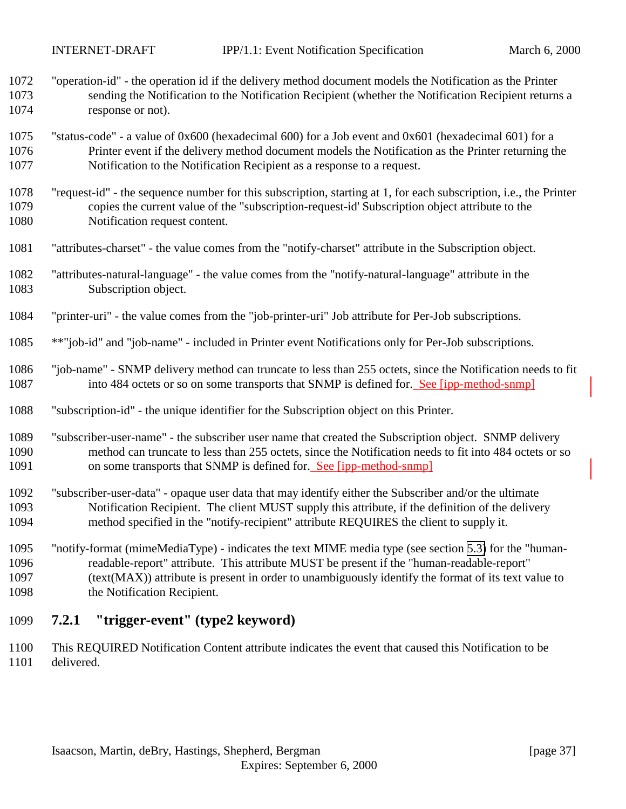- <span id="page-36-0"></span> "operation-id" - the operation id if the delivery method document models the Notification as the Printer sending the Notification to the Notification Recipient (whether the Notification Recipient returns a response or not).
- "status-code" a value of 0x600 (hexadecimal 600) for a Job event and 0x601 (hexadecimal 601) for a Printer event if the delivery method document models the Notification as the Printer returning the Notification to the Notification Recipient as a response to a request.
- "request-id" the sequence number for this subscription, starting at 1, for each subscription, i.e., the Printer copies the current value of the "subscription-request-id' Subscription object attribute to the Notification request content.
- "attributes-charset" the value comes from the "notify-charset" attribute in the Subscription object.
- "attributes-natural-language" the value comes from the "notify-natural-language" attribute in the Subscription object.
- "printer-uri" the value comes from the "job-printer-uri" Job attribute for Per-Job subscriptions.
- \*\*"job-id" and "job-name" included in Printer event Notifications only for Per-Job subscriptions.
- "job-name" SNMP delivery method can truncate to less than 255 octets, since the Notification needs to fit 1087 into 484 octets or so on some transports that SNMP is defined for. See [ipp-method-snmp]
- "subscription-id" the unique identifier for the Subscription object on this Printer.
- "subscriber-user-name" the subscriber user name that created the Subscription object. SNMP delivery method can truncate to less than 255 octets, since the Notification needs to fit into 484 octets or so on some transports that SNMP is defined for. See [ipp-method-snmp]
- "subscriber-user-data" opaque user data that may identify either the Subscriber and/or the ultimate Notification Recipient. The client MUST supply this attribute, if the definition of the delivery method specified in the "notify-recipient" attribute REQUIRES the client to supply it.
- "notify-format (mimeMediaType) indicates the text MIME media type (see section [5.3\)](#page-25-0) for the "human- readable-report" attribute. This attribute MUST be present if the "human-readable-report" (text(MAX)) attribute is present in order to unambiguously identify the format of its text value to the Notification Recipient.

# **7.2.1 "trigger-event" (type2 keyword)**

 This REQUIRED Notification Content attribute indicates the event that caused this Notification to be delivered.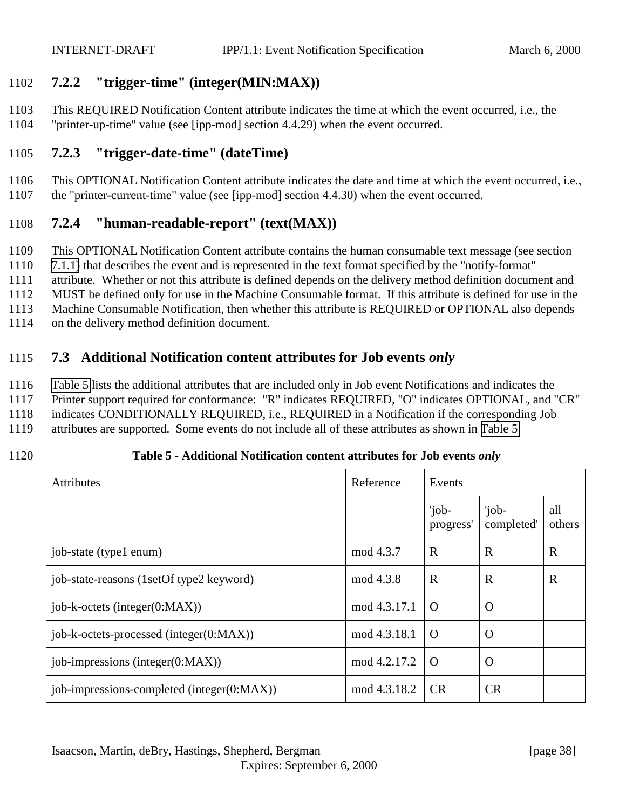# <span id="page-37-0"></span>1102 **7.2.2 "trigger-time" (integer(MIN:MAX))**

1103 This REQUIRED Notification Content attribute indicates the time at which the event occurred, i.e., the 1104 "printer-up-time" value (see [ipp-mod] section 4.4.29) when the event occurred.

# 1105 **7.2.3 "trigger-date-time" (dateTime)**

1106 This OPTIONAL Notification Content attribute indicates the date and time at which the event occurred, i.e., 1107 the "printer-current-time" value (see [ipp-mod] section 4.4.30) when the event occurred.

# 1108 **7.2.4 "human-readable-report" (text(MAX))**

- 1109 This OPTIONAL Notification Content attribute contains the human consumable text message (see section
- 1110 [7.1.1\)](#page-33-0) that describes the event and is represented in the text format specified by the "notify-format"
- 1111 attribute. Whether or not this attribute is defined depends on the delivery method definition document and
- 1112 MUST be defined only for use in the Machine Consumable format. If this attribute is defined for use in the
- 1113 Machine Consumable Notification, then whether this attribute is REQUIRED or OPTIONAL also depends
- 1114 on the delivery method definition document.

# 1115 **7.3 Additional Notification content attributes for Job events** *only*

1116 Table 5 lists the additional attributes that are included only in Job event Notifications and indicates the

- 1117 Printer support required for conformance: "R" indicates REQUIRED, "O" indicates OPTIONAL, and "CR"
- 1118 indicates CONDITIONALLY REQUIRED, i.e., REQUIRED in a Notification if the corresponding Job
- 1119 attributes are supported. Some events do not include all of these attributes as shown in Table 5.
- 

1120 **Table 5 - Additional Notification content attributes for Job events** *only*

| Attributes                                 | Reference    | Events             |                     |               |
|--------------------------------------------|--------------|--------------------|---------------------|---------------|
|                                            |              | 'job-<br>progress' | 'job-<br>completed' | all<br>others |
| job-state (type1 enum)                     | mod 4.3.7    | $\mathbf R$        | R                   | $\mathbf R$   |
| job-state-reasons (1setOf type2 keyword)   | mod 4.3.8    | $\mathbf R$        | $\mathbf R$         | $\mathbb{R}$  |
| $job-k-octets$ (integer( $0:MAX$ ))        | mod 4.3.17.1 | $\Omega$           | $\Omega$            |               |
| job-k-octets-processed (integer(0:MAX))    | mod 4.3.18.1 | $\Omega$           | O                   |               |
| job-impressions (integer $(0:MAX)$ )       | mod 4.2.17.2 | $\Omega$           | $\Omega$            |               |
| job-impressions-completed (integer(0:MAX)) | mod 4.3.18.2 | <b>CR</b>          | CR                  |               |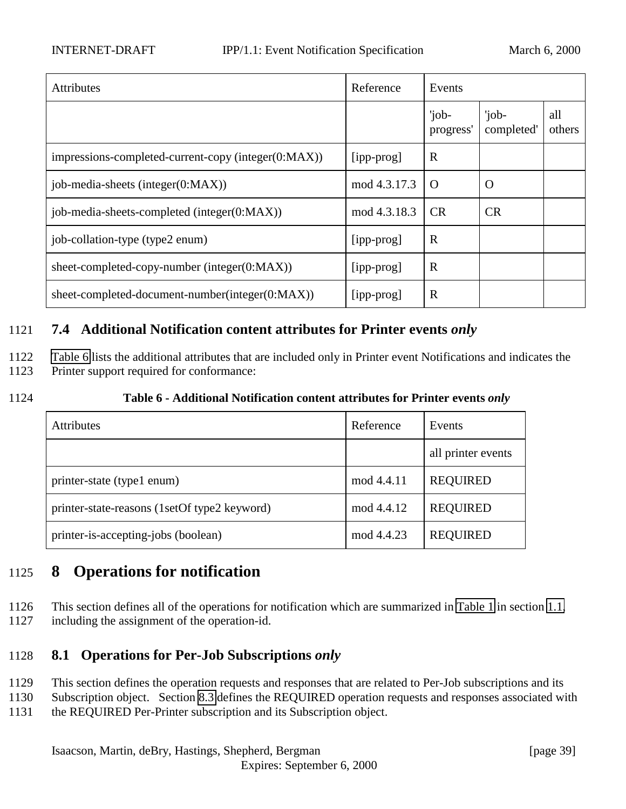<span id="page-38-0"></span>

| <b>Attributes</b>                                   | Reference    | Events             |                     |               |
|-----------------------------------------------------|--------------|--------------------|---------------------|---------------|
|                                                     |              | 'job-<br>progress' | 'job-<br>completed' | all<br>others |
| impressions-completed-current-copy (integer(0:MAX)) | [ipp-prog]   | $\mathbf R$        |                     |               |
| job-media-sheets (integer(0:MAX))                   | mod 4.3.17.3 | $\Omega$           | $\Omega$            |               |
| job-media-sheets-completed (integer(0:MAX))         | mod 4.3.18.3 | CR                 | CR                  |               |
| job-collation-type (type2 enum)                     | [ipp-prog]   | $\mathbb{R}$       |                     |               |
| sheet-completed-copy-number (integer $(0:MAX)$ )    | [ipp-prog]   | $\mathbf R$        |                     |               |
| sheet-completed-document-number(integer(0:MAX))     | [ipp-prog]   | $\mathbb{R}$       |                     |               |

# 1121 **7.4 Additional Notification content attributes for Printer events** *only*

1122 Table 6 lists the additional attributes that are included only in Printer event Notifications and indicates the 1123 Printer support required for conformance:

1124 **Table 6 - Additional Notification content attributes for Printer events** *only*

| <b>Attributes</b>                            | Reference  | Events             |
|----------------------------------------------|------------|--------------------|
|                                              |            | all printer events |
| printer-state (type1 enum)                   | mod 4.4.11 | <b>REQUIRED</b>    |
| printer-state-reasons (1setOf type2 keyword) | mod 4.4.12 | <b>REQUIRED</b>    |
| printer-is-accepting-jobs (boolean)          | mod 4.4.23 | <b>REQUIRED</b>    |

# 1125 **8 Operations for notification**

- 1126 This section defines all of the operations for notification which are summarized in [Table 1](#page-8-0) in section [1.1,](#page-7-0)
- 1127 including the assignment of the operation-id.

# 1128 **8.1 Operations for Per-Job Subscriptions** *only*

- 1129 This section defines the operation requests and responses that are related to Per-Job subscriptions and its
- 1130 Subscription object. Section [8.3](#page-47-0) defines the REQUIRED operation requests and responses associated with
- 1131 the REQUIRED Per-Printer subscription and its Subscription object.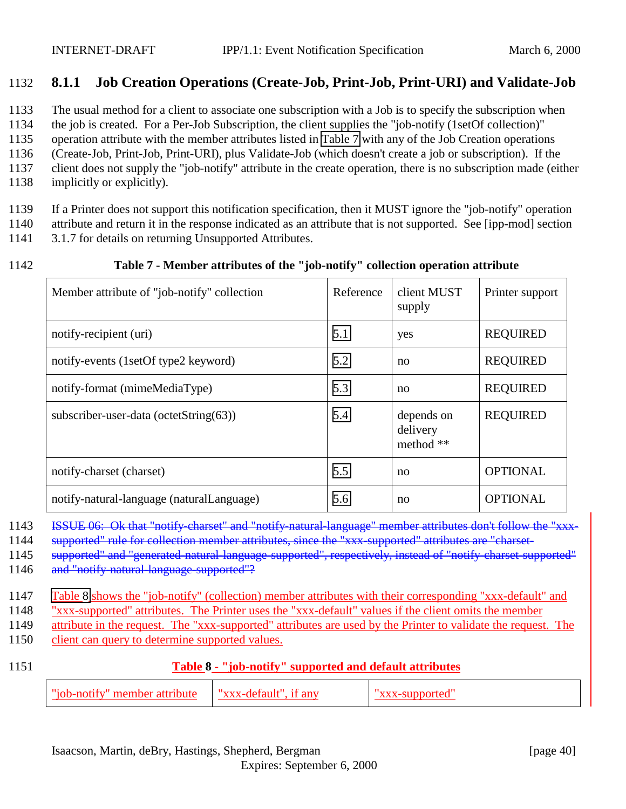# <span id="page-39-0"></span>1132 **8.1.1 Job Creation Operations (Create-Job, Print-Job, Print-URI) and Validate-Job**

1133 The usual method for a client to associate one subscription with a Job is to specify the subscription when

1134 the job is created. For a Per-Job Subscription, the client supplies the "job-notify (1setOf collection)"

1135 operation attribute with the member attributes listed in Table 7 with any of the Job Creation operations

1136 (Create-Job, Print-Job, Print-URI), plus Validate-Job (which doesn't create a job or subscription). If the

- 1137 client does not supply the "job-notify" attribute in the create operation, there is no subscription made (either
- 1138 implicitly or explicitly).

1139 If a Printer does not support this notification specification, then it MUST ignore the "job-notify" operation 1140 attribute and return it in the response indicated as an attribute that is not supported. See [ipp-mod] section

1141 3.1.7 for details on returning Unsupported Attributes.

#### 1142 **Table 7 - Member attributes of the "job-notify" collection operation attribute**

| Member attribute of "job-notify" collection | Reference | client MUST<br>supply               | Printer support |
|---------------------------------------------|-----------|-------------------------------------|-----------------|
| notify-recipient (uri)                      | 5.1       | yes                                 | <b>REQUIRED</b> |
| notify-events (1setOf type2 keyword)        | 5.2       | no                                  | <b>REQUIRED</b> |
| notify-format (mimeMediaType)               | 5.3       | no                                  | <b>REQUIRED</b> |
| subscriber-user-data (octetString(63))      | 5.4       | depends on<br>delivery<br>method ** | <b>REQUIRED</b> |
| notify-charset (charset)                    | 5.5       | no                                  | <b>OPTIONAL</b> |
| notify-natural-language (naturalLanguage)   | 5.6       | no                                  | <b>OPTIONAL</b> |

1143 ISSUE 06: Ok that "notify-charset" and "notify-natural-language" member attributes don't follow the "xxx-

1144 supported" rule for collection member attributes, since the "xxx-supported" attributes are "charset-

1145 supported" and "generated-natural-language-supported", respectively, instead of "notify-charset-supported"

1146 and "notify-natural-language-supported"?

1147 Table 8 shows the "job-notify" (collection) member attributes with their corresponding "xxx-default" and

1148 "xxx-supported" attributes. The Printer uses the "xxx-default" values if the client omits the member

1149 attribute in the request. The "xxx-supported" attributes are used by the Printer to validate the request. The

1150 client can query to determine supported values.

- 
- 1151 **Table 8 "job-notify" supported and default attributes**

| "iob-notify"<br>. member attribute | —"xxx-default" |  |
|------------------------------------|----------------|--|
|------------------------------------|----------------|--|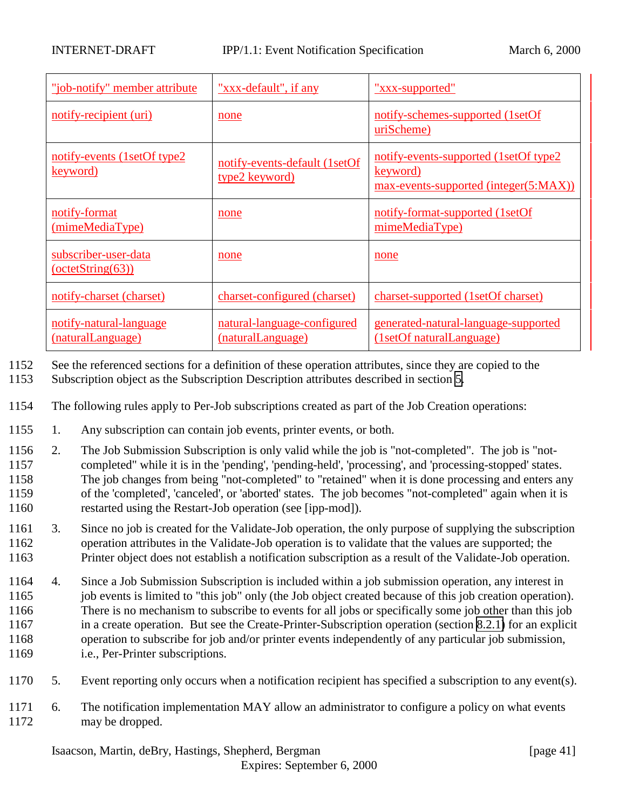| "job-notify" member attribute                  | "xxx-default", if any                            | "xxx-supported"                                                                             |
|------------------------------------------------|--------------------------------------------------|---------------------------------------------------------------------------------------------|
| notify-recipient (uri)                         | none                                             | notify-schemes-supported (1setOf<br>uriScheme)                                              |
| notify-events (1setOf type2<br><u>keyword)</u> | notify-events-default (1setOf<br>type2 keyword)  | notify-events-supported (1setOf type2)<br>keyword)<br>max-events-supported (integer(5:MAX)) |
| notify-format<br>(mimeMediaType)               | none                                             | notify-format-supported (1setOf<br>mimeMediaType)                                           |
| subscriber-user-data<br>$-octetString(63)$     | none                                             | none                                                                                        |
| notify-charset (charset)                       | charset-configured (charset)                     | charset-supported (1setOf charset)                                                          |
| notify-natural-language<br>(naturalLanguage)   | natural-language-configured<br>(naturalLanguage) | generated-natural-language-supported<br>(1setOf naturalLanguage)                            |

- 1152 See the referenced sections for a definition of these operation attributes, since they are copied to the
- 1153 Subscription object as the Subscription Description attributes described in section [5.](#page-18-0)
- 1154 The following rules apply to Per-Job subscriptions created as part of the Job Creation operations:
- 1155 1. Any subscription can contain job events, printer events, or both.
- 1156 2. The Job Submission Subscription is only valid while the job is "not-completed". The job is "not-1157 completed" while it is in the 'pending', 'pending-held', 'processing', and 'processing-stopped' states. 1158 The job changes from being "not-completed" to "retained" when it is done processing and enters any 1159 of the 'completed', 'canceled', or 'aborted' states. The job becomes "not-completed" again when it is 1160 restarted using the Restart-Job operation (see [ipp-mod]).
- 1161 3. Since no job is created for the Validate-Job operation, the only purpose of supplying the subscription 1162 operation attributes in the Validate-Job operation is to validate that the values are supported; the 1163 Printer object does not establish a notification subscription as a result of the Validate-Job operation.
- 1164 4. Since a Job Submission Subscription is included within a job submission operation, any interest in 1165 job events is limited to "this job" only (the Job object created because of this job creation operation). 1166 There is no mechanism to subscribe to events for all jobs or specifically some job other than this job 1167 in a create operation. But see the Create-Printer-Subscription operation (section [8.2.1\)](#page-44-0) for an explicit 1168 operation to subscribe for job and/or printer events independently of any particular job submission, 1169 i.e., Per-Printer subscriptions.
- 1170 5. Event reporting only occurs when a notification recipient has specified a subscription to any event(s).
- 1171 6. The notification implementation MAY allow an administrator to configure a policy on what events 1172 may be dropped.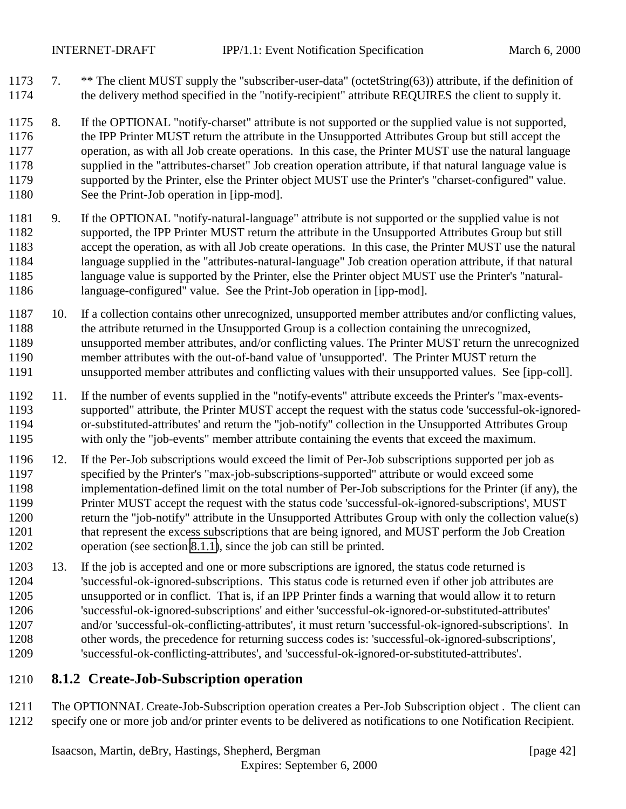- <span id="page-41-0"></span>1173 7. \*\* The client MUST supply the "subscriber-user-data" (octetString(63)) attribute, if the definition of the delivery method specified in the "notify-recipient" attribute REQUIRES the client to supply it.
- 8. If the OPTIONAL "notify-charset" attribute is not supported or the supplied value is not supported, the IPP Printer MUST return the attribute in the Unsupported Attributes Group but still accept the operation, as with all Job create operations. In this case, the Printer MUST use the natural language supplied in the "attributes-charset" Job creation operation attribute, if that natural language value is supported by the Printer, else the Printer object MUST use the Printer's "charset-configured" value. See the Print-Job operation in [ipp-mod].
- 9. If the OPTIONAL "notify-natural-language" attribute is not supported or the supplied value is not supported, the IPP Printer MUST return the attribute in the Unsupported Attributes Group but still accept the operation, as with all Job create operations. In this case, the Printer MUST use the natural language supplied in the "attributes-natural-language" Job creation operation attribute, if that natural language value is supported by the Printer, else the Printer object MUST use the Printer's "natural-language-configured" value. See the Print-Job operation in [ipp-mod].
- 10. If a collection contains other unrecognized, unsupported member attributes and/or conflicting values, the attribute returned in the Unsupported Group is a collection containing the unrecognized, unsupported member attributes, and/or conflicting values. The Printer MUST return the unrecognized member attributes with the out-of-band value of 'unsupported'. The Printer MUST return the unsupported member attributes and conflicting values with their unsupported values. See [ipp-coll].
- 11. If the number of events supplied in the "notify-events" attribute exceeds the Printer's "max-events- supported" attribute, the Printer MUST accept the request with the status code 'successful-ok-ignored- or-substituted-attributes' and return the "job-notify" collection in the Unsupported Attributes Group with only the "job-events" member attribute containing the events that exceed the maximum.
- 12. If the Per-Job subscriptions would exceed the limit of Per-Job subscriptions supported per job as specified by the Printer's "max-job-subscriptions-supported" attribute or would exceed some implementation-defined limit on the total number of Per-Job subscriptions for the Printer (if any), the Printer MUST accept the request with the status code 'successful-ok-ignored-subscriptions', MUST return the "job-notify" attribute in the Unsupported Attributes Group with only the collection value(s) that represent the excess subscriptions that are being ignored, and MUST perform the Job Creation operation (see section [8.1.1\)](#page-39-0), since the job can still be printed.
- 13. If the job is accepted and one or more subscriptions are ignored, the status code returned is 'successful-ok-ignored-subscriptions. This status code is returned even if other job attributes are unsupported or in conflict. That is, if an IPP Printer finds a warning that would allow it to return 'successful-ok-ignored-subscriptions' and either 'successful-ok-ignored-or-substituted-attributes' and/or 'successful-ok-conflicting-attributes', it must return 'successful-ok-ignored-subscriptions'. In other words, the precedence for returning success codes is: 'successful-ok-ignored-subscriptions', 'successful-ok-conflicting-attributes', and 'successful-ok-ignored-or-substituted-attributes'.

# **8.1.2 Create-Job-Subscription operation**

 The OPTIONNAL Create-Job-Subscription operation creates a Per-Job Subscription object . The client can specify one or more job and/or printer events to be delivered as notifications to one Notification Recipient.

Isaacson, Martin, deBry, Hastings, Shepherd, Bergman [page 42]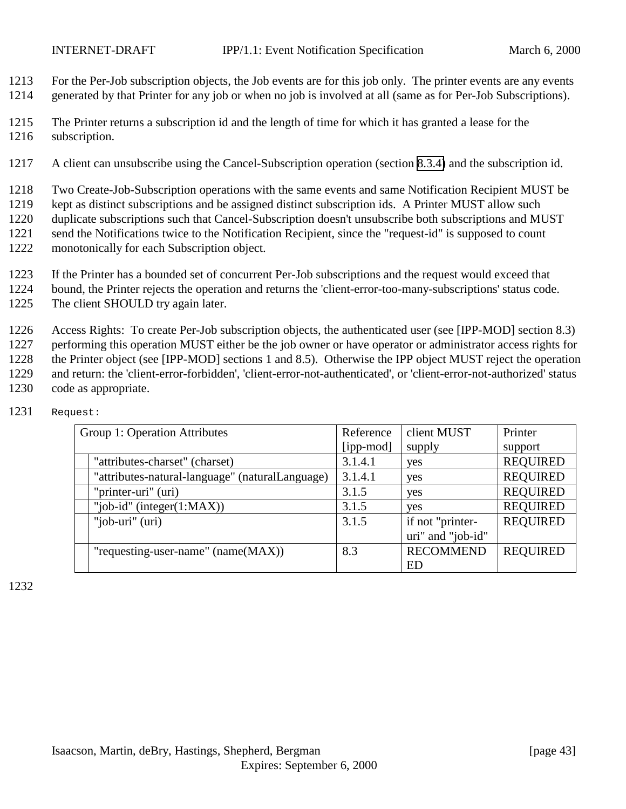1213 For the Per-Job subscription objects, the Job events are for this job only. The printer events are any events

- 1214 generated by that Printer for any job or when no job is involved at all (same as for Per-Job Subscriptions).
- 1215 The Printer returns a subscription id and the length of time for which it has granted a lease for the 1216 subscription.
- 1217 A client can unsubscribe using the Cancel-Subscription operation (section [8.3.4\)](#page-51-0) and the subscription id.

1218 Two Create-Job-Subscription operations with the same events and same Notification Recipient MUST be

- 1219 kept as distinct subscriptions and be assigned distinct subscription ids. A Printer MUST allow such
- 1220 duplicate subscriptions such that Cancel-Subscription doesn't unsubscribe both subscriptions and MUST
- 1221 send the Notifications twice to the Notification Recipient, since the "request-id" is supposed to count
- 1222 monotonically for each Subscription object.
- 1223 If the Printer has a bounded set of concurrent Per-Job subscriptions and the request would exceed that
- 1224 bound, the Printer rejects the operation and returns the 'client-error-too-many-subscriptions' status code.
- 1225 The client SHOULD try again later.
- 1226 Access Rights: To create Per-Job subscription objects, the authenticated user (see [IPP-MOD] section 8.3)
- 1227 performing this operation MUST either be the job owner or have operator or administrator access rights for 1228 the Printer object (see [IPP-MOD] sections 1 and 8.5). Otherwise the IPP object MUST reject the operation
- 1229 and return: the 'client-error-forbidden', 'client-error-not-authenticated', or 'client-error-not-authorized' status code as appropriate.
- code as appropriate.

| Group 1: Operation Attributes                   | Reference | client MUST       | Printer         |
|-------------------------------------------------|-----------|-------------------|-----------------|
|                                                 | [ipp-mod] | supply            | support         |
| "attributes-charset" (charset)                  | 3.1.4.1   | yes               | <b>REQUIRED</b> |
| "attributes-natural-language" (naturalLanguage) | 3.1.4.1   | yes               | <b>REQUIRED</b> |
| "printer-uri" (uri)                             | 3.1.5     | yes               | <b>REQUIRED</b> |
| "job-id" (integer $(1:MAX)$ )                   | 3.1.5     | yes               | <b>REQUIRED</b> |
| "job-uri" (uri)                                 | 3.1.5     | if not "printer-  | <b>REQUIRED</b> |
|                                                 |           | uri" and "job-id" |                 |
| "requesting-user-name" (name(MAX))              | 8.3       | <b>RECOMMEND</b>  | <b>REQUIRED</b> |
|                                                 |           | ED                |                 |

1231 Request: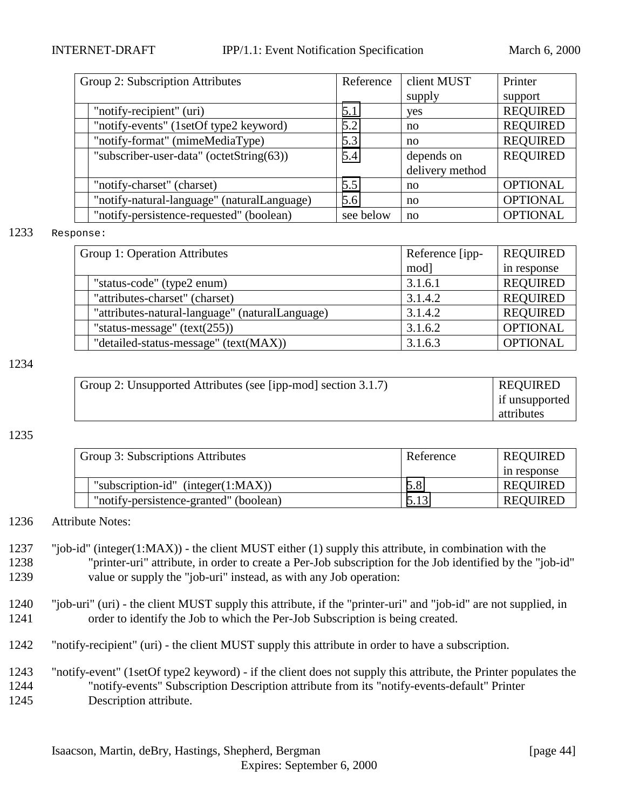| Group 2: Subscription Attributes |                                             | Reference | client MUST     | Printer         |
|----------------------------------|---------------------------------------------|-----------|-----------------|-----------------|
|                                  |                                             |           | supply          | support         |
|                                  | "notify-recipient" (uri)                    | 5.1       | yes             | <b>REQUIRED</b> |
|                                  | "notify-events" (1setOf type2 keyword)      | 5.2       | no              | <b>REQUIRED</b> |
|                                  | "notify-format" (mimeMediaType)             | 5.3       | no              | <b>REQUIRED</b> |
|                                  | "subscriber-user-data" (octetString(63))    | 5.4       | depends on      | <b>REQUIRED</b> |
|                                  |                                             |           | delivery method |                 |
|                                  | "notify-charset" (charset)                  | 5.5       | no              | <b>OPTIONAL</b> |
|                                  | "notify-natural-language" (naturalLanguage) | 5.6       | no              | <b>OPTIONAL</b> |
|                                  | "notify-persistence-requested" (boolean)    | see below | no              | <b>OPTIONAL</b> |

#### 1233 Response:

| Group 1: Operation Attributes |                                                 | Reference [ipp- | <b>REQUIRED</b> |
|-------------------------------|-------------------------------------------------|-----------------|-----------------|
|                               |                                                 | mod]            | in response     |
|                               | "status-code" (type2 enum)                      | 3.1.6.1         | <b>REQUIRED</b> |
|                               | "attributes-charset" (charset)                  | 3.1.4.2         | <b>REQUIRED</b> |
|                               | "attributes-natural-language" (naturalLanguage) | 3.1.4.2         | <b>REQUIRED</b> |
|                               | "status-message" $(text(255))$                  | 3.1.6.2         | <b>OPTIONAL</b> |
|                               | "detailed-status-message" (text(MAX))           | 3.1.6.3         | <b>OPTIONAL</b> |

#### 1234

| Group 2: Unsupported Attributes (see [ipp-mod] section 3.1.7) | <b>REQUIRED</b> |
|---------------------------------------------------------------|-----------------|
|                                                               | if unsupported  |
|                                                               | attributes      |

#### 1235

| Group 3: Subscriptions Attributes      | Reference | <b>REQUIRED</b> |
|----------------------------------------|-----------|-----------------|
|                                        |           | in response     |
| "subscription-id" (integer $(1:MAX)$ ) | 5.8       | <b>REOUIRED</b> |
| "notify-persistence-granted" (boolean) | 5.13      | <b>REQUIRED</b> |

1236 Attribute Notes:

1237 "job-id" (integer(1:MAX)) - the client MUST either (1) supply this attribute, in combination with the 1238 "printer-uri" attribute, in order to create a Per-Job subscription for the Job identified by the "job-id" 1239 value or supply the "job-uri" instead, as with any Job operation:

- 1240 "job-uri" (uri) the client MUST supply this attribute, if the "printer-uri" and "job-id" are not supplied, in 1241 order to identify the Job to which the Per-Job Subscription is being created.
- 1242 "notify-recipient" (uri) the client MUST supply this attribute in order to have a subscription.
- 1243 "notify-event" (1setOf type2 keyword) if the client does not supply this attribute, the Printer populates the 1244 "notify-events" Subscription Description attribute from its "notify-events-default" Printer 1245 Description attribute.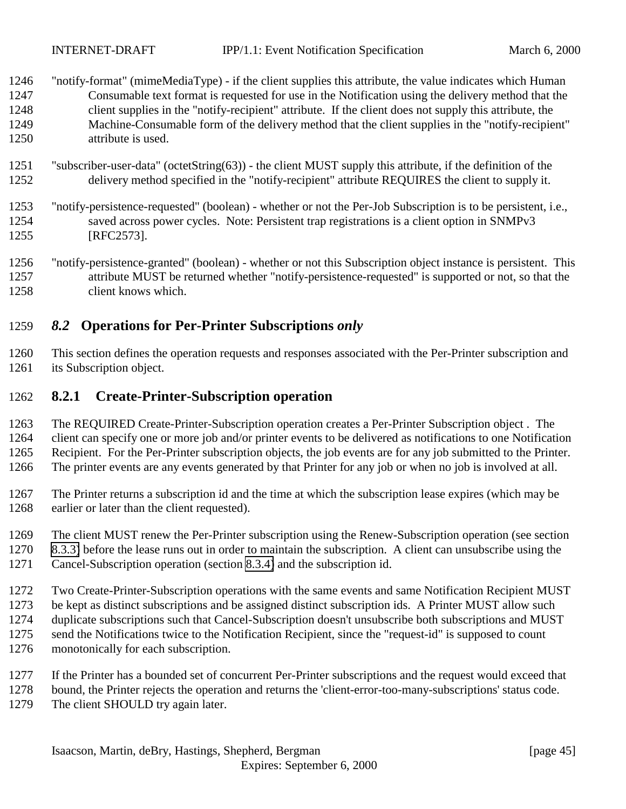<span id="page-44-0"></span>INTERNET-DRAFT IPP/1.1: Event Notification Specification March 6, 2000

| 1246 | "notify-format" (mimeMediaType) - if the client supplies this attribute, the value indicates which Human |
|------|----------------------------------------------------------------------------------------------------------|
| 1247 | Consumable text format is requested for use in the Notification using the delivery method that the       |
| 1248 | client supplies in the "notify-recipient" attribute. If the client does not supply this attribute, the   |
| 1249 | Machine-Consumable form of the delivery method that the client supplies in the "notify-recipient"        |
| 1250 | attribute is used.                                                                                       |

- "subscriber-user-data" (octetString(63)) the client MUST supply this attribute, if the definition of the delivery method specified in the "notify-recipient" attribute REQUIRES the client to supply it.
- "notify-persistence-requested" (boolean) whether or not the Per-Job Subscription is to be persistent, i.e., saved across power cycles. Note: Persistent trap registrations is a client option in SNMPv3 [RFC2573].
- "notify-persistence-granted" (boolean) whether or not this Subscription object instance is persistent. This attribute MUST be returned whether "notify-persistence-requested" is supported or not, so that the client knows which.

# *8.2* **Operations for Per-Printer Subscriptions** *only*

 This section defines the operation requests and responses associated with the Per-Printer subscription and its Subscription object.

# **8.2.1 Create-Printer-Subscription operation**

- The REQUIRED Create-Printer-Subscription operation creates a Per-Printer Subscription object . The client can specify one or more job and/or printer events to be delivered as notifications to one Notification Recipient. For the Per-Printer subscription objects, the job events are for any job submitted to the Printer. The printer events are any events generated by that Printer for any job or when no job is involved at all.
- The Printer returns a subscription id and the time at which the subscription lease expires (which may be earlier or later than the client requested).
- The client MUST renew the Per-Printer subscription using the Renew-Subscription operation (see section
- [8.3.3\)](#page-50-0) before the lease runs out in order to maintain the subscription. A client can unsubscribe using the
- Cancel-Subscription operation (section [8.3.4\)](#page-51-0) and the subscription id.
- Two Create-Printer-Subscription operations with the same events and same Notification Recipient MUST
- be kept as distinct subscriptions and be assigned distinct subscription ids. A Printer MUST allow such
- duplicate subscriptions such that Cancel-Subscription doesn't unsubscribe both subscriptions and MUST
- send the Notifications twice to the Notification Recipient, since the "request-id" is supposed to count
- monotonically for each subscription.
- If the Printer has a bounded set of concurrent Per-Printer subscriptions and the request would exceed that
- bound, the Printer rejects the operation and returns the 'client-error-too-many-subscriptions' status code.
- 1279 The client SHOULD try again later.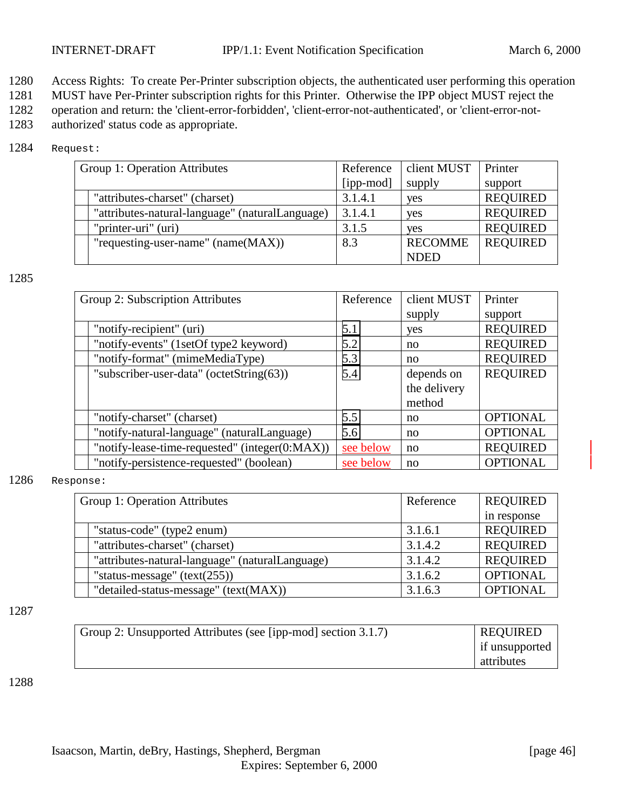1280 Access Rights: To create Per-Printer subscription objects, the authenticated user performing this operation

1281 MUST have Per-Printer subscription rights for this Printer. Otherwise the IPP object MUST reject the

1282 operation and return: the 'client-error-forbidden', 'client-error-not-authenticated', or 'client-error-not-

1283 authorized' status code as appropriate.

### 1284 Request:

| Group 1: Operation Attributes |                                                 | Reference | client MUST    | Printer         |
|-------------------------------|-------------------------------------------------|-----------|----------------|-----------------|
|                               |                                                 | [ipp-mod] | supply         | support         |
|                               | "attributes-charset" (charset)                  | 3.1.4.1   | yes            | <b>REQUIRED</b> |
|                               | "attributes-natural-language" (naturalLanguage) | 3.1.4.1   | yes            | <b>REQUIRED</b> |
|                               | "printer-uri" (uri)                             | 3.1.5     | yes            | <b>REQUIRED</b> |
|                               | "requesting-user-name" (name(MAX))              | 8.3       | <b>RECOMME</b> | <b>REQUIRED</b> |
|                               |                                                 |           | <b>NDED</b>    |                 |

#### 1285

| Group 2: Subscription Attributes               | Reference | client MUST  | Printer         |
|------------------------------------------------|-----------|--------------|-----------------|
|                                                |           | supply       | support         |
| "notify-recipient" (uri)                       | 5.1       | yes          | <b>REQUIRED</b> |
| "notify-events" (1setOf type2 keyword)         | 5.2       | no           | <b>REQUIRED</b> |
| "notify-format" (mimeMediaType)                | 5.3       | no           | <b>REQUIRED</b> |
| "subscriber-user-data" (octetString(63))       | 5.4       | depends on   | <b>REQUIRED</b> |
|                                                |           | the delivery |                 |
|                                                |           | method       |                 |
| "notify-charset" (charset)                     | 5.5       | no           | <b>OPTIONAL</b> |
| "notify-natural-language" (naturalLanguage)    | 5.6       | no           | <b>OPTIONAL</b> |
| "notify-lease-time-requested" (integer(0:MAX)) | see below | no           | <b>REQUIRED</b> |
| "notify-persistence-requested" (boolean)       | see below | no           | <b>OPTIONAL</b> |

#### 1286 Response:

| Group 1: Operation Attributes |                                                 | Reference | <b>REQUIRED</b> |
|-------------------------------|-------------------------------------------------|-----------|-----------------|
|                               |                                                 |           | in response     |
|                               | "status-code" (type2 enum)                      | 3.1.6.1   | <b>REQUIRED</b> |
|                               | "attributes-charset" (charset)                  | 3.1.4.2   | <b>REQUIRED</b> |
|                               | "attributes-natural-language" (naturalLanguage) | 3.1.4.2   | <b>REQUIRED</b> |
|                               | "status-message" $(text(255))$                  | 3.1.6.2   | <b>OPTIONAL</b> |
|                               | "detailed-status-message" (text(MAX))           | 3.1.6.3   | <b>OPTIONAL</b> |

#### 1287

| Group 2: Unsupported Attributes (see [ipp-mod] section 3.1.7) | <b>REQUIRED</b> |
|---------------------------------------------------------------|-----------------|
|                                                               | if unsupported  |
|                                                               | attributes      |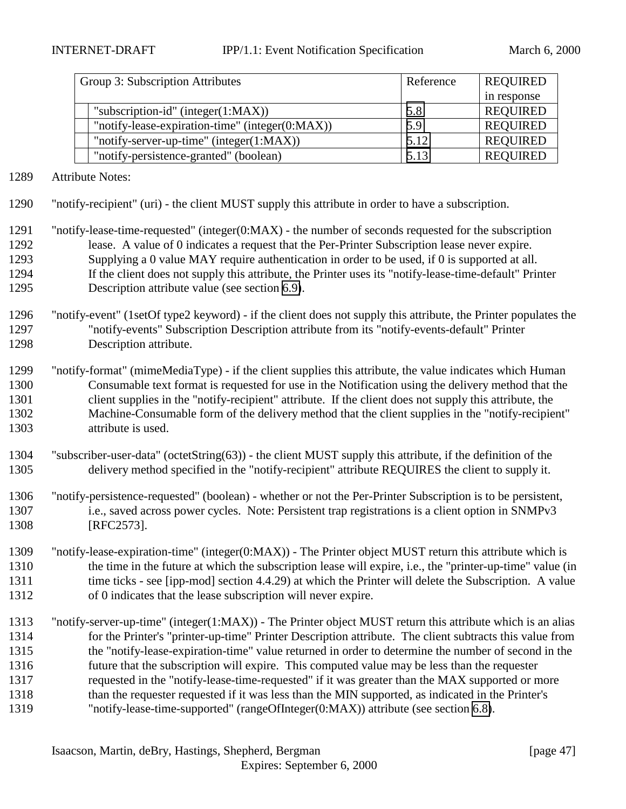| Group 3: Subscription Attributes                | Reference | <b>REQUIRED</b> |
|-------------------------------------------------|-----------|-----------------|
|                                                 |           | in response     |
| "subscription-id" (integer $(1:MAX)$ )          | 5.8       | <b>REQUIRED</b> |
| "notify-lease-expiration-time" (integer(0:MAX)) | 5.9       | <b>REQUIRED</b> |
| "notify-server-up-time" (integer(1:MAX))        | 5.12      | <b>REQUIRED</b> |
| "notify-persistence-granted" (boolean)          | 5.13      | <b>REQUIRED</b> |

Attribute Notes:

- "notify-recipient" (uri) the client MUST supply this attribute in order to have a subscription.
- "notify-lease-time-requested" (integer(0:MAX) the number of seconds requested for the subscription lease. A value of 0 indicates a request that the Per-Printer Subscription lease never expire. Supplying a 0 value MAY require authentication in order to be used, if 0 is supported at all. If the client does not supply this attribute, the Printer uses its "notify-lease-time-default" Printer Description attribute value (see section [6.9\)](#page-31-0).
- "notify-event" (1setOf type2 keyword) if the client does not supply this attribute, the Printer populates the "notify-events" Subscription Description attribute from its "notify-events-default" Printer Description attribute.
- "notify-format" (mimeMediaType) if the client supplies this attribute, the value indicates which Human Consumable text format is requested for use in the Notification using the delivery method that the client supplies in the "notify-recipient" attribute. If the client does not supply this attribute, the Machine-Consumable form of the delivery method that the client supplies in the "notify-recipient" attribute is used.
- "subscriber-user-data" (octetString(63)) the client MUST supply this attribute, if the definition of the delivery method specified in the "notify-recipient" attribute REQUIRES the client to supply it.
- "notify-persistence-requested" (boolean) whether or not the Per-Printer Subscription is to be persistent, i.e., saved across power cycles. Note: Persistent trap registrations is a client option in SNMPv3 [RFC2573].
- "notify-lease-expiration-time" (integer(0:MAX)) The Printer object MUST return this attribute which is the time in the future at which the subscription lease will expire, i.e., the "printer-up-time" value (in 1311 time ticks - see [ipp-mod] section 4.4.29) at which the Printer will delete the Subscription. A value of 0 indicates that the lease subscription will never expire.
- "notify-server-up-time" (integer(1:MAX)) The Printer object MUST return this attribute which is an alias for the Printer's "printer-up-time" Printer Description attribute. The client subtracts this value from the "notify-lease-expiration-time" value returned in order to determine the number of second in the future that the subscription will expire. This computed value may be less than the requester requested in the "notify-lease-time-requested" if it was greater than the MAX supported or more than the requester requested if it was less than the MIN supported, as indicated in the Printer's "notify-lease-time-supported" (rangeOfInteger(0:MAX)) attribute (see section [6.8\)](#page-31-0).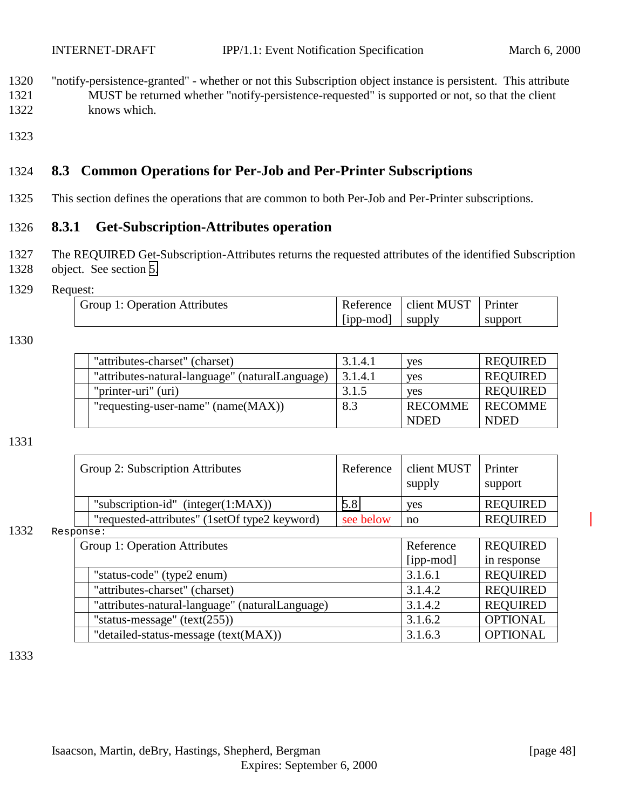- <span id="page-47-0"></span>1320 "notify-persistence-granted" - whether or not this Subscription object instance is persistent. This attribute 1321 MUST be returned whether "notify-persistence-requested" is supported or not, so that the client 1322 knows which.
- 1323

# 1324 **8.3 Common Operations for Per-Job and Per-Printer Subscriptions**

1325 This section defines the operations that are common to both Per-Job and Per-Printer subscriptions.

# 1326 **8.3.1 Get-Subscription-Attributes operation**

- 1327 The REQUIRED Get-Subscription-Attributes returns the requested attributes of the identified Subscription 1328 object. See section [5.](#page-18-0)
- 1329 Request:

| Group 1: Operation Attributes |           | Reference   client MUST   Printer |         |
|-------------------------------|-----------|-----------------------------------|---------|
|                               | [ipp-mod] | supply                            | support |

#### 1330

| "attributes-charset" (charset)                  | 3.1.4.1 | <b>ves</b>     | <b>REQUIRED</b> |
|-------------------------------------------------|---------|----------------|-----------------|
| "attributes-natural-language" (naturalLanguage) | 3.1.4.1 | <b>ves</b>     | <b>REQUIRED</b> |
| "printer-uri" (uri)                             | 3.1.5   | <b>ves</b>     | <b>REQUIRED</b> |
| "requesting-user-name" $(name(MAX))$            | 8.3     | <b>RECOMME</b> | <b>RECOMME</b>  |
|                                                 |         | <b>NDED</b>    | <b>NDED</b>     |

#### 1331

| Group 2: Subscription Attributes              | Reference | client MUST<br>supply | Printer<br>support |
|-----------------------------------------------|-----------|-----------------------|--------------------|
| "subscription-id" (integer $(1:MAX)$ )        | 5.8       | <b>ves</b>            | <b>REQUIRED</b>    |
| "requested-attributes" (1setOf type2 keyword) | see below | no                    | <b>REQUIRED</b>    |

#### 1332 Response:

| Group 1: Operation Attributes                   | Reference | <b>REQUIRED</b> |
|-------------------------------------------------|-----------|-----------------|
|                                                 | [ipp-mod] | in response     |
| "status-code" (type2 enum)                      | 3.1.6.1   | <b>REQUIRED</b> |
| "attributes-charset" (charset)                  | 3.1.4.2   | <b>REQUIRED</b> |
| "attributes-natural-language" (naturalLanguage) | 3.1.4.2   | <b>REQUIRED</b> |
| "status-message" $(text(255))$                  | 3.1.6.2   | <b>OPTIONAL</b> |
| "detailed-status-message (text(MAX))            | 3.1.6.3   | <b>OPTIONAL</b> |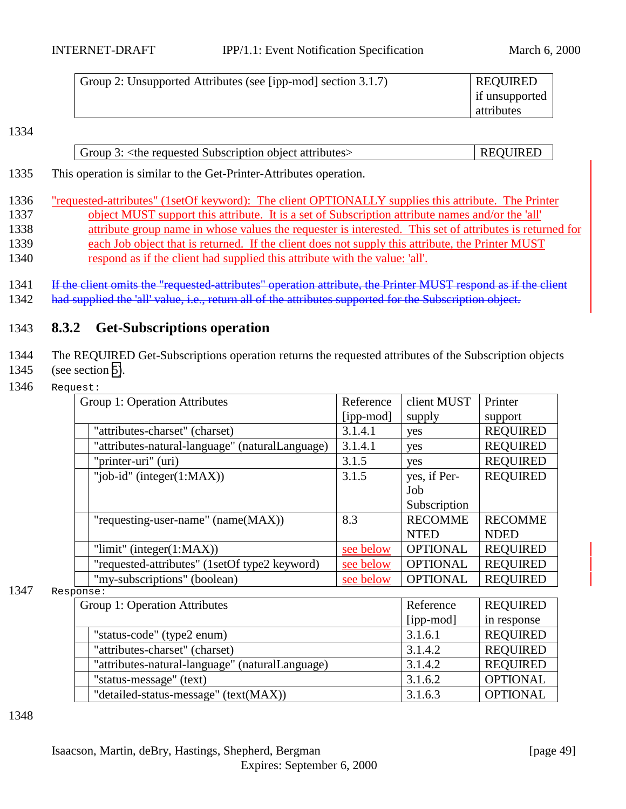<span id="page-48-0"></span>

| Group 2: Unsupported Attributes (see [ipp-mod] section 3.1.7) | <b>REQUIRED</b> |
|---------------------------------------------------------------|-----------------|
|                                                               | if unsupported  |
|                                                               | attributes      |

| Group 3: $\lt$ the requested Subscription object attributes > | <b>REQUIRED</b> |
|---------------------------------------------------------------|-----------------|
|---------------------------------------------------------------|-----------------|

1335 This operation is similar to the Get-Printer-Attributes operation.

- 1336 "requested-attributes" (1setOf keyword): The client OPTIONALLY supplies this attribute. The Printer 1337 object MUST support this attribute. It is a set of Subscription attribute names and/or the 'all' 1338 attribute group name in whose values the requester is interested. This set of attributes is returned for 1339 each Job object that is returned. If the client does not supply this attribute, the Printer MUST 1340 respond as if the client had supplied this attribute with the value: 'all'.
- 1341 If the client omits the "requested-attributes" operation attribute, the Printer MUST respond as if the client 1342 had supplied the 'all' value, i.e., return all of the attributes supported for the Subscription object.

# 1343 **8.3.2 Get-Subscriptions operation**

1344 The REQUIRED Get-Subscriptions operation returns the requested attributes of the Subscription objects 1345 (see section [5\)](#page-18-0).

1346 Request:

| Group 1: Operation Attributes                   | Reference | client MUST     | Printer         |
|-------------------------------------------------|-----------|-----------------|-----------------|
|                                                 | [ipp-mod] | supply          | support         |
| "attributes-charset" (charset)                  | 3.1.4.1   | yes             | <b>REQUIRED</b> |
| "attributes-natural-language" (naturalLanguage) | 3.1.4.1   | yes             | <b>REQUIRED</b> |
| "printer-uri" (uri)                             | 3.1.5     | yes             | <b>REQUIRED</b> |
| "job-id" (integer $(1:MAX)$ )                   | 3.1.5     | yes, if Per-    | <b>REQUIRED</b> |
|                                                 |           | Job             |                 |
|                                                 |           | Subscription    |                 |
| "requesting-user-name" (name(MAX))              | 8.3       | <b>RECOMME</b>  | <b>RECOMME</b>  |
|                                                 |           | <b>NTED</b>     | <b>NDED</b>     |
| "limit" (integer $(1:MAX)$ )                    | see below | <b>OPTIONAL</b> | <b>REQUIRED</b> |
| "requested-attributes" (1setOf type2 keyword)   | see below | <b>OPTIONAL</b> | <b>REQUIRED</b> |
| "my-subscriptions" (boolean)                    | see below | <b>OPTIONAL</b> | <b>REQUIRED</b> |

1347 Response:

| Group 1: Operation Attributes                   | Reference | <b>REQUIRED</b> |
|-------------------------------------------------|-----------|-----------------|
|                                                 | [ipp-mod] | in response     |
| "status-code" (type2 enum)                      | 3.1.6.1   | <b>REQUIRED</b> |
| "attributes-charset" (charset)                  | 3.1.4.2   | <b>REQUIRED</b> |
| "attributes-natural-language" (naturalLanguage) | 3.1.4.2   | <b>REQUIRED</b> |
| "status-message" (text)                         | 3.1.6.2   | <b>OPTIONAL</b> |
| "detailed-status-message" (text(MAX))           | 3.1.6.3   | <b>OPTIONAL</b> |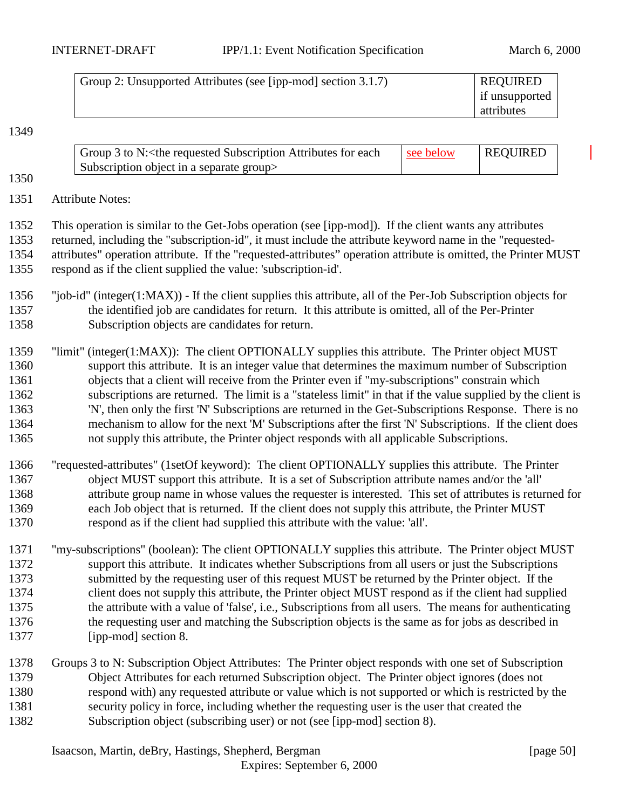| Group 2: Unsupported Attributes (see [ipp-mod] section 3.1.7) | <b>REQUIRED</b> |
|---------------------------------------------------------------|-----------------|
|                                                               | if unsupported  |
|                                                               | attributes      |

| Group 3 to N: < the requested Subscription Attributes for each | see below | REQUIRED |
|----------------------------------------------------------------|-----------|----------|
| Subscription object in a separate group                        |           |          |

Attribute Notes:

 This operation is similar to the Get-Jobs operation (see [ipp-mod]). If the client wants any attributes returned, including the "subscription-id", it must include the attribute keyword name in the "requested- attributes" operation attribute. If the "requested-attributes" operation attribute is omitted, the Printer MUST respond as if the client supplied the value: 'subscription-id'.

- "job-id" (integer(1:MAX)) If the client supplies this attribute, all of the Per-Job Subscription objects for the identified job are candidates for return. It this attribute is omitted, all of the Per-Printer Subscription objects are candidates for return.
- "limit" (integer(1:MAX)): The client OPTIONALLY supplies this attribute. The Printer object MUST support this attribute. It is an integer value that determines the maximum number of Subscription objects that a client will receive from the Printer even if "my-subscriptions" constrain which subscriptions are returned. The limit is a "stateless limit" in that if the value supplied by the client is 'N', then only the first 'N' Subscriptions are returned in the Get-Subscriptions Response. There is no mechanism to allow for the next 'M' Subscriptions after the first 'N' Subscriptions. If the client does not supply this attribute, the Printer object responds with all applicable Subscriptions.
- "requested-attributes" (1setOf keyword): The client OPTIONALLY supplies this attribute. The Printer object MUST support this attribute. It is a set of Subscription attribute names and/or the 'all' attribute group name in whose values the requester is interested. This set of attributes is returned for each Job object that is returned. If the client does not supply this attribute, the Printer MUST respond as if the client had supplied this attribute with the value: 'all'.
- "my-subscriptions" (boolean): The client OPTIONALLY supplies this attribute. The Printer object MUST support this attribute. It indicates whether Subscriptions from all users or just the Subscriptions submitted by the requesting user of this request MUST be returned by the Printer object. If the 1374 client does not supply this attribute, the Printer object MUST respond as if the client had supplied the attribute with a value of 'false', i.e., Subscriptions from all users. The means for authenticating the requesting user and matching the Subscription objects is the same as for jobs as described in [ipp-mod] section 8.
- Groups 3 to N: Subscription Object Attributes: The Printer object responds with one set of Subscription Object Attributes for each returned Subscription object. The Printer object ignores (does not respond with) any requested attribute or value which is not supported or which is restricted by the security policy in force, including whether the requesting user is the user that created the Subscription object (subscribing user) or not (see [ipp-mod] section 8).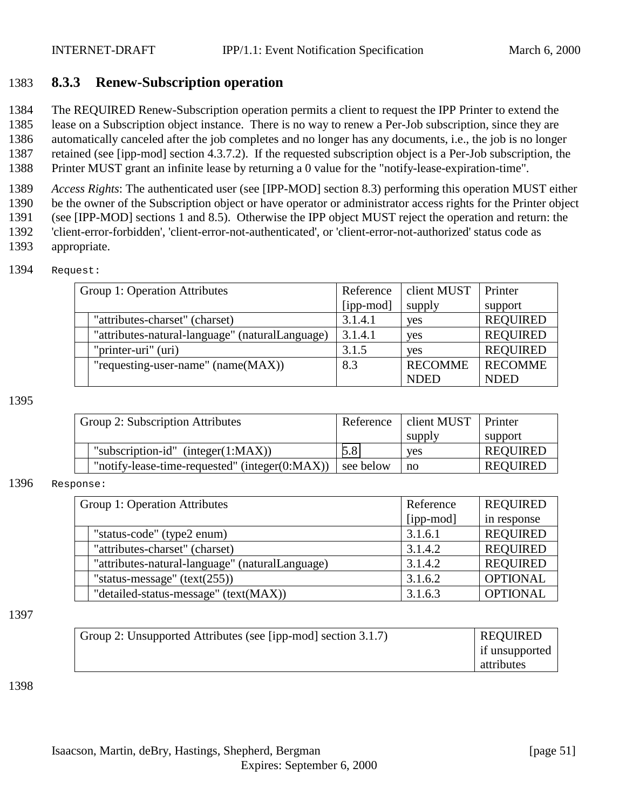# <span id="page-50-0"></span>1383 **8.3.3 Renew-Subscription operation**

1384 The REQUIRED Renew-Subscription operation permits a client to request the IPP Printer to extend the

1385 lease on a Subscription object instance. There is no way to renew a Per-Job subscription, since they are

1386 automatically canceled after the job completes and no longer has any documents, i.e., the job is no longer 1387 retained (see [ipp-mod] section 4.3.7.2). If the requested subscription object is a Per-Job subscription, the

1388 Printer MUST grant an infinite lease by returning a 0 value for the "notify-lease-expiration-time".

1389 *Access Rights*: The authenticated user (see [IPP-MOD] section 8.3) performing this operation MUST either

1390 be the owner of the Subscription object or have operator or administrator access rights for the Printer object 1391 (see [IPP-MOD] sections 1 and 8.5). Otherwise the IPP object MUST reject the operation and return: the

1392 'client-error-forbidden', 'client-error-not-authenticated', or 'client-error-not-authorized' status code as

1393 appropriate.

| 1394 | Request: |
|------|----------|
|------|----------|

| Group 1: Operation Attributes                   | Reference | client MUST    | Printer         |
|-------------------------------------------------|-----------|----------------|-----------------|
|                                                 | [ipp-mod] | supply         | support         |
| "attributes-charset" (charset)                  | 3.1.4.1   | yes            | <b>REQUIRED</b> |
| "attributes-natural-language" (naturalLanguage) | 3.1.4.1   | yes            | <b>REQUIRED</b> |
| "printer-uri" (uri)                             | 3.1.5     | <b>ves</b>     | <b>REQUIRED</b> |
| "requesting-user-name" $(name(MAX))$            | 8.3       | <b>RECOMME</b> | <b>RECOMME</b>  |
|                                                 |           | <b>NDED</b>    | <b>NDED</b>     |

1395

| Group 2: Subscription Attributes |                                                    | Reference | client MUST Printer |                 |
|----------------------------------|----------------------------------------------------|-----------|---------------------|-----------------|
|                                  |                                                    |           | supply              | support         |
|                                  | "subscription-id" (integer $(1:MAX)$ )             | 5.8       | <b>ves</b>          | <b>REQUIRED</b> |
|                                  | "notify-lease-time-requested" (integer $(0:MAX)$ ) | see below | $\mathbf{n}$        | <b>REQUIRED</b> |

#### 1396 Response:

| Group 1: Operation Attributes |                                                 | Reference | <b>REQUIRED</b> |
|-------------------------------|-------------------------------------------------|-----------|-----------------|
|                               |                                                 | [ipp-mod] | in response     |
|                               | "status-code" (type2 enum)                      | 3.1.6.1   | <b>REQUIRED</b> |
|                               | "attributes-charset" (charset)                  | 3.1.4.2   | <b>REQUIRED</b> |
|                               | "attributes-natural-language" (naturalLanguage) | 3.1.4.2   | <b>REQUIRED</b> |
|                               | "status-message" $(text(255))$                  | 3.1.6.2   | <b>OPTIONAL</b> |
|                               | "detailed-status-message" (text(MAX))           | 3.1.6.3   | <b>OPTIONAL</b> |

#### 1397

| Group 2: Unsupported Attributes (see [ipp-mod] section 3.1.7) | <b>REQUIRED</b> |
|---------------------------------------------------------------|-----------------|
|                                                               | if unsupported  |
|                                                               | attributes      |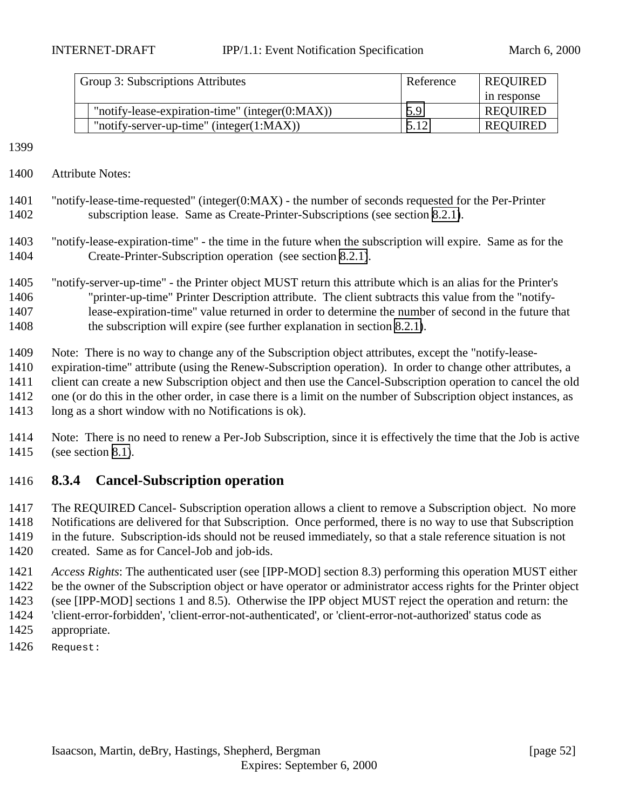<span id="page-51-0"></span>

| Group 3: Subscriptions Attributes                   | Reference | <b>REQUIRED</b> |
|-----------------------------------------------------|-----------|-----------------|
|                                                     |           | in response     |
| "notify-lease-expiration-time" (integer $(0:MAX)$ ) | 5.9       | REQUIRED        |
| "notify-server-up-time" (integer $(1:MAX)$ )        | 5.12      | <b>REQUIRED</b> |

- Attribute Notes:
- "notify-lease-time-requested" (integer(0:MAX) the number of seconds requested for the Per-Printer subscription lease. Same as Create-Printer-Subscriptions (see section [8.2.1\)](#page-44-0).
- "notify-lease-expiration-time" the time in the future when the subscription will expire. Same as for the Create-Printer-Subscription operation (see section [8.2.1\)](#page-44-0).
- "notify-server-up-time" the Printer object MUST return this attribute which is an alias for the Printer's "printer-up-time" Printer Description attribute. The client subtracts this value from the "notify- lease-expiration-time" value returned in order to determine the number of second in the future that the subscription will expire (see further explanation in section [8.2.1\)](#page-44-0).
- Note: There is no way to change any of the Subscription object attributes, except the "notify-lease-
- expiration-time" attribute (using the Renew-Subscription operation). In order to change other attributes, a
- client can create a new Subscription object and then use the Cancel-Subscription operation to cancel the old
- one (or do this in the other order, in case there is a limit on the number of Subscription object instances, as
- long as a short window with no Notifications is ok).
- Note: There is no need to renew a Per-Job Subscription, since it is effectively the time that the Job is active (see section [8.1\)](#page-38-0).

# **8.3.4 Cancel-Subscription operation**

- The REQUIRED Cancel- Subscription operation allows a client to remove a Subscription object. No more Notifications are delivered for that Subscription. Once performed, there is no way to use that Subscription in the future. Subscription-ids should not be reused immediately, so that a stale reference situation is not created. Same as for Cancel-Job and job-ids.
- *Access Rights*: The authenticated user (see [IPP-MOD] section 8.3) performing this operation MUST either be the owner of the Subscription object or have operator or administrator access rights for the Printer object (see [IPP-MOD] sections 1 and 8.5). Otherwise the IPP object MUST reject the operation and return: the 'client-error-forbidden', 'client-error-not-authenticated', or 'client-error-not-authorized' status code as
- appropriate.
- Request: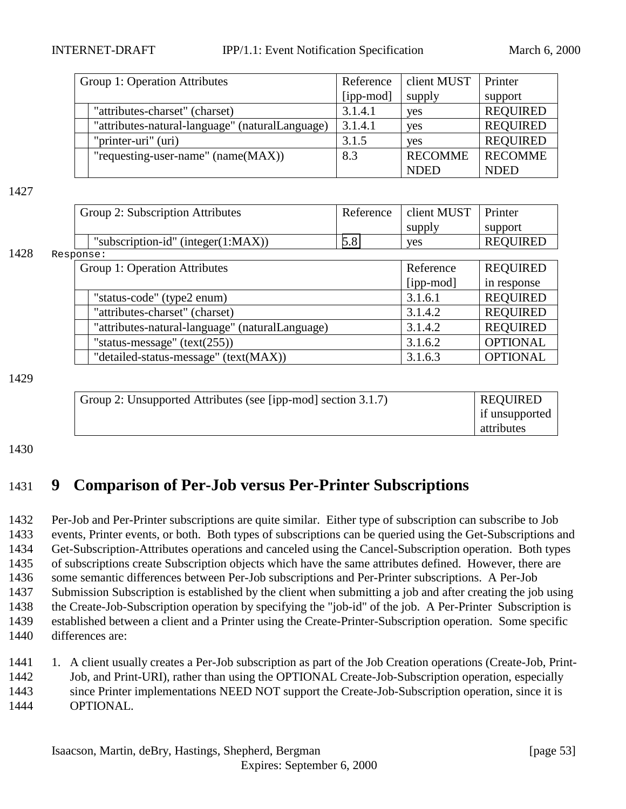<span id="page-52-0"></span>

| Group 1: Operation Attributes                   | Reference | client MUST    | Printer         |
|-------------------------------------------------|-----------|----------------|-----------------|
|                                                 | [ipp-mod] | supply         | support         |
| "attributes-charset" (charset)                  | 3.1.4.1   | yes            | <b>REQUIRED</b> |
| "attributes-natural-language" (naturalLanguage) | 3.1.4.1   | yes            | <b>REQUIRED</b> |
| "printer-uri" (uri)                             | 3.1.5     | <b>ves</b>     | <b>REQUIRED</b> |
| "requesting-user-name" $(name(MAX))$            | 8.3       | <b>RECOMME</b> | <b>RECOMME</b>  |
|                                                 |           | <b>NDED</b>    | <b>NDED</b>     |

|      | Group 2: Subscription Attributes                | Reference | client MUST | Printer         |
|------|-------------------------------------------------|-----------|-------------|-----------------|
|      |                                                 |           | supply      | support         |
|      | "subscription-id" (integer $(1:MAX)$ )          | 5.8       | yes         | <b>REQUIRED</b> |
| 1428 | Response:                                       |           |             |                 |
|      | Group 1: Operation Attributes                   |           | Reference   | <b>REQUIRED</b> |
|      |                                                 |           | $[ipp-mod]$ | in response     |
|      | "status-code" (type2 enum)                      |           | 3.1.6.1     | <b>REQUIRED</b> |
|      | "attributes-charset" (charset)                  |           | 3.1.4.2     | <b>REQUIRED</b> |
|      | "attributes-natural-language" (naturalLanguage) |           | 3.1.4.2     | <b>REQUIRED</b> |
|      | "status-message" $(text(255))$                  |           | 3.1.6.2     | <b>OPTIONAL</b> |
|      | "detailed-status-message" (text(MAX))           |           | 3.1.6.3     | <b>OPTIONAL</b> |

1429

| Group 2: Unsupported Attributes (see [ipp-mod] section 3.1.7) | <b>REQUIRED</b> |
|---------------------------------------------------------------|-----------------|
|                                                               | if unsupported  |
|                                                               | attributes      |

1430

# 1431 **9 Comparison of Per-Job versus Per-Printer Subscriptions**

 Per-Job and Per-Printer subscriptions are quite similar. Either type of subscription can subscribe to Job events, Printer events, or both. Both types of subscriptions can be queried using the Get-Subscriptions and Get-Subscription-Attributes operations and canceled using the Cancel-Subscription operation. Both types of subscriptions create Subscription objects which have the same attributes defined. However, there are some semantic differences between Per-Job subscriptions and Per-Printer subscriptions. A Per-Job Submission Subscription is established by the client when submitting a job and after creating the job using the Create-Job-Subscription operation by specifying the "job-id" of the job. A Per-Printer Subscription is established between a client and a Printer using the Create-Printer-Subscription operation. Some specific differences are:

1441 1. A client usually creates a Per-Job subscription as part of the Job Creation operations (Create-Job, Print-

1442 Job, and Print-URI), rather than using the OPTIONAL Create-Job-Subscription operation, especially

1443 since Printer implementations NEED NOT support the Create-Job-Subscription operation, since it is

1444 OPTIONAL.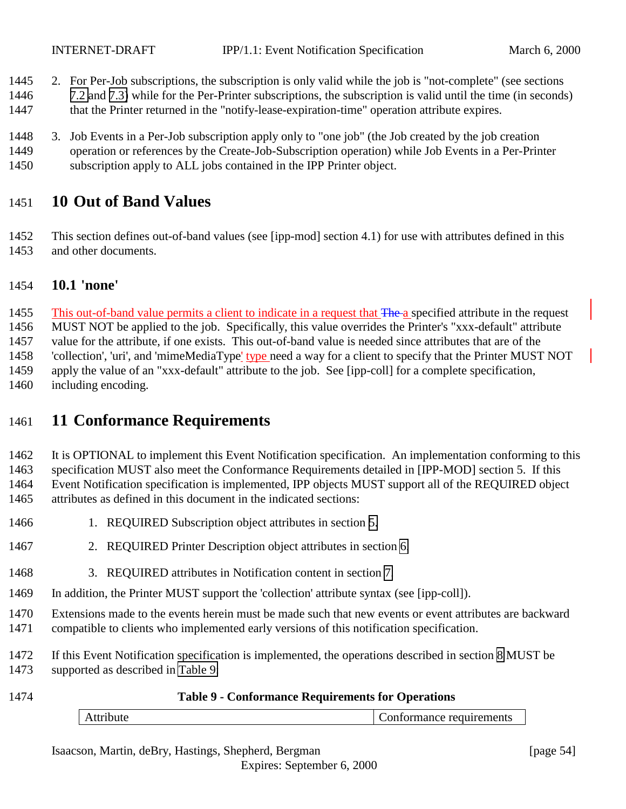- <span id="page-53-0"></span>2. For Per-Job subscriptions, the subscription is only valid while the job is "not-complete" (see sections
- [7.2](#page-34-0) and [7.3\)](#page-37-0) while for the Per-Printer subscriptions, the subscription is valid until the time (in seconds)
- 1447 that the Printer returned in the "notify-lease-expiration-time" operation attribute expires.
- 3. Job Events in a Per-Job subscription apply only to "one job" (the Job created by the job creation
- operation or references by the Create-Job-Subscription operation) while Job Events in a Per-Printer subscription apply to ALL jobs contained in the IPP Printer object.

# **10 Out of Band Values**

 This section defines out-of-band values (see [ipp-mod] section 4.1) for use with attributes defined in this and other documents.

# **10.1 'none'**

1455 This out-of-band value permits a client to indicate in a request that The a specified attribute in the request MUST NOT be applied to the job. Specifically, this value overrides the Printer's "xxx-default" attribute value for the attribute, if one exists. This out-of-band value is needed since attributes that are of the 'collection', 'uri', and 'mimeMediaType' type need a way for a client to specify that the Printer MUST NOT apply the value of an "xxx-default" attribute to the job. See [ipp-coll] for a complete specification, including encoding.

# **11 Conformance Requirements**

 It is OPTIONAL to implement this Event Notification specification. An implementation conforming to this specification MUST also meet the Conformance Requirements detailed in [IPP-MOD] section 5. If this Event Notification specification is implemented, IPP objects MUST support all of the REQUIRED object attributes as defined in this document in the indicated sections:

- 1466 1. REQUIRED Subscription object attributes in section [5.](#page-18-0)
- 2. REQUIRED Printer Description object attributes in section [6.](#page-28-0)
- 3. REQUIRED attributes in Notification content in section [7.](#page-32-0)
- In addition, the Printer MUST support the 'collection' attribute syntax (see [ipp-coll]).
- Extensions made to the events herein must be made such that new events or event attributes are backward
- compatible to clients who implemented early versions of this notification specification.
- If this Event Notification specification is implemented, the operations described in section [8](#page-38-0) MUST be
- supported as described in Table 9:

| 1474 |           | <b>Table 9 - Conformance Requirements for Operations</b> |                          |
|------|-----------|----------------------------------------------------------|--------------------------|
|      | Attribute |                                                          | Conformance requirements |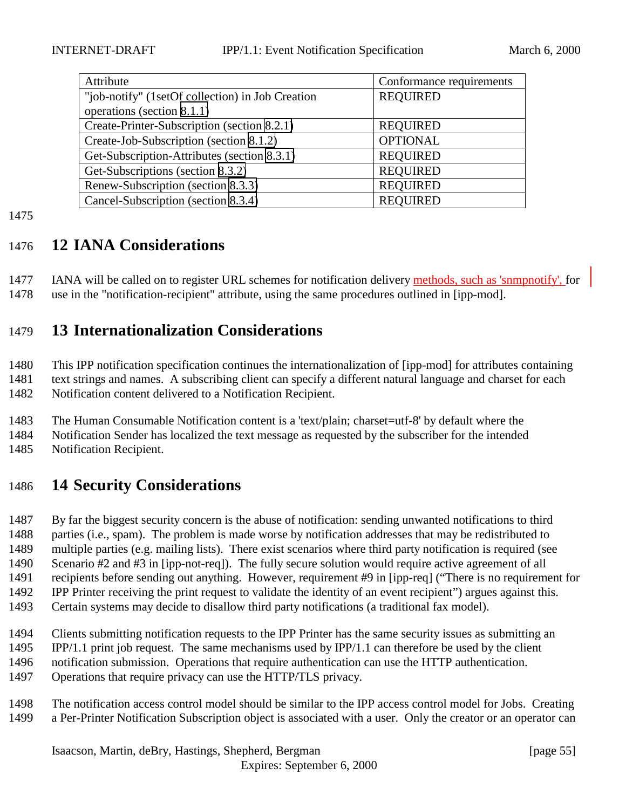<span id="page-54-0"></span>

| Attribute                                        | Conformance requirements |
|--------------------------------------------------|--------------------------|
| "job-notify" (1setOf collection) in Job Creation | <b>REQUIRED</b>          |
| operations (section 8.1.1)                       |                          |
| Create-Printer-Subscription (section 8.2.1)      | <b>REQUIRED</b>          |
| Create-Job-Subscription (section 8.1.2)          | <b>OPTIONAL</b>          |
| Get-Subscription-Attributes (section 8.3.1)      | <b>REQUIRED</b>          |
| Get-Subscriptions (section 8.3.2)                | <b>REQUIRED</b>          |
| Renew-Subscription (section 8.3.3)               | <b>REQUIRED</b>          |
| Cancel-Subscription (section 8.3.4)              | <b>REQUIRED</b>          |

# **12 IANA Considerations**

1477 IANA will be called on to register URL schemes for notification delivery methods, such as 'snmpnotify', for use in the "notification-recipient" attribute, using the same procedures outlined in [ipp-mod].

# **13 Internationalization Considerations**

 This IPP notification specification continues the internationalization of [ipp-mod] for attributes containing text strings and names. A subscribing client can specify a different natural language and charset for each Notification content delivered to a Notification Recipient.

The Human Consumable Notification content is a 'text/plain; charset=utf-8' by default where the

Notification Sender has localized the text message as requested by the subscriber for the intended

Notification Recipient.

# **14 Security Considerations**

 By far the biggest security concern is the abuse of notification: sending unwanted notifications to third parties (i.e., spam). The problem is made worse by notification addresses that may be redistributed to multiple parties (e.g. mailing lists). There exist scenarios where third party notification is required (see Scenario #2 and #3 in [ipp-not-req]). The fully secure solution would require active agreement of all

recipients before sending out anything. However, requirement #9 in [ipp-req] ("There is no requirement for

- IPP Printer receiving the print request to validate the identity of an event recipient") argues against this.
- Certain systems may decide to disallow third party notifications (a traditional fax model).
- Clients submitting notification requests to the IPP Printer has the same security issues as submitting an
- IPP/1.1 print job request. The same mechanisms used by IPP/1.1 can therefore be used by the client
- notification submission. Operations that require authentication can use the HTTP authentication.
- Operations that require privacy can use the HTTP/TLS privacy.
- The notification access control model should be similar to the IPP access control model for Jobs. Creating a Per-Printer Notification Subscription object is associated with a user. Only the creator or an operator can

Isaacson, Martin, deBry, Hastings, Shepherd, Bergman [page 55] Expires: September 6, 2000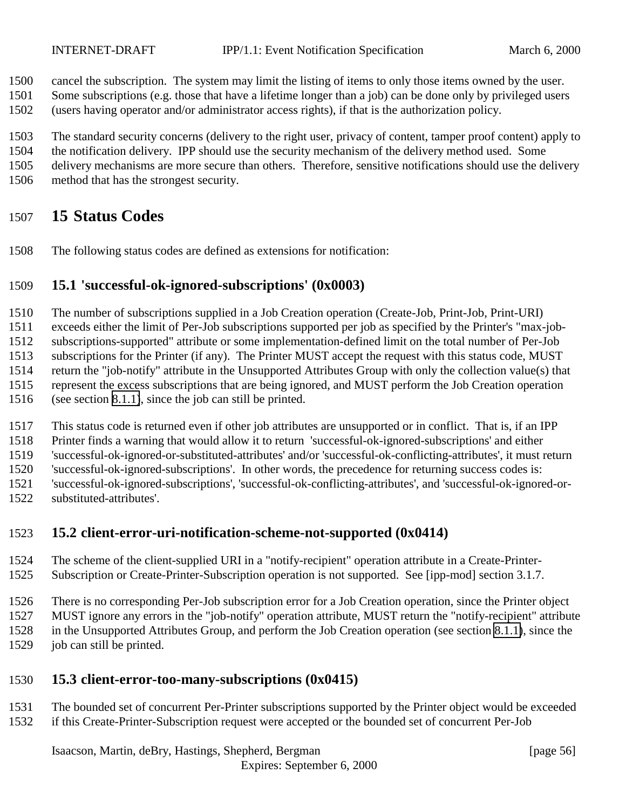<span id="page-55-0"></span>cancel the subscription. The system may limit the listing of items to only those items owned by the user.

 Some subscriptions (e.g. those that have a lifetime longer than a job) can be done only by privileged users (users having operator and/or administrator access rights), if that is the authorization policy.

The standard security concerns (delivery to the right user, privacy of content, tamper proof content) apply to

the notification delivery. IPP should use the security mechanism of the delivery method used. Some

delivery mechanisms are more secure than others. Therefore, sensitive notifications should use the delivery

method that has the strongest security.

# **15 Status Codes**

The following status codes are defined as extensions for notification:

# **15.1 'successful-ok-ignored-subscriptions' (0x0003)**

The number of subscriptions supplied in a Job Creation operation (Create-Job, Print-Job, Print-URI)

exceeds either the limit of Per-Job subscriptions supported per job as specified by the Printer's "max-job-

subscriptions-supported" attribute or some implementation-defined limit on the total number of Per-Job

subscriptions for the Printer (if any). The Printer MUST accept the request with this status code, MUST

 return the "job-notify" attribute in the Unsupported Attributes Group with only the collection value(s) that represent the excess subscriptions that are being ignored, and MUST perform the Job Creation operation

(see section [8.1.1\)](#page-39-0), since the job can still be printed.

This status code is returned even if other job attributes are unsupported or in conflict. That is, if an IPP

Printer finds a warning that would allow it to return 'successful-ok-ignored-subscriptions' and either

'successful-ok-ignored-or-substituted-attributes' and/or 'successful-ok-conflicting-attributes', it must return

'successful-ok-ignored-subscriptions'. In other words, the precedence for returning success codes is:

'successful-ok-ignored-subscriptions', 'successful-ok-conflicting-attributes', and 'successful-ok-ignored-or-

substituted-attributes'.

# **15.2 client-error-uri-notification-scheme-not-supported (0x0414)**

 The scheme of the client-supplied URI in a "notify-recipient" operation attribute in a Create-Printer-Subscription or Create-Printer-Subscription operation is not supported. See [ipp-mod] section 3.1.7.

 There is no corresponding Per-Job subscription error for a Job Creation operation, since the Printer object MUST ignore any errors in the "job-notify" operation attribute, MUST return the "notify-recipient" attribute in the Unsupported Attributes Group, and perform the Job Creation operation (see section [8.1.1\)](#page-39-0), since the job can still be printed.

- **15.3 client-error-too-many-subscriptions (0x0415)**
- The bounded set of concurrent Per-Printer subscriptions supported by the Printer object would be exceeded
- if this Create-Printer-Subscription request were accepted or the bounded set of concurrent Per-Job

Isaacson, Martin, deBry, Hastings, Shepherd, Bergman [page 56]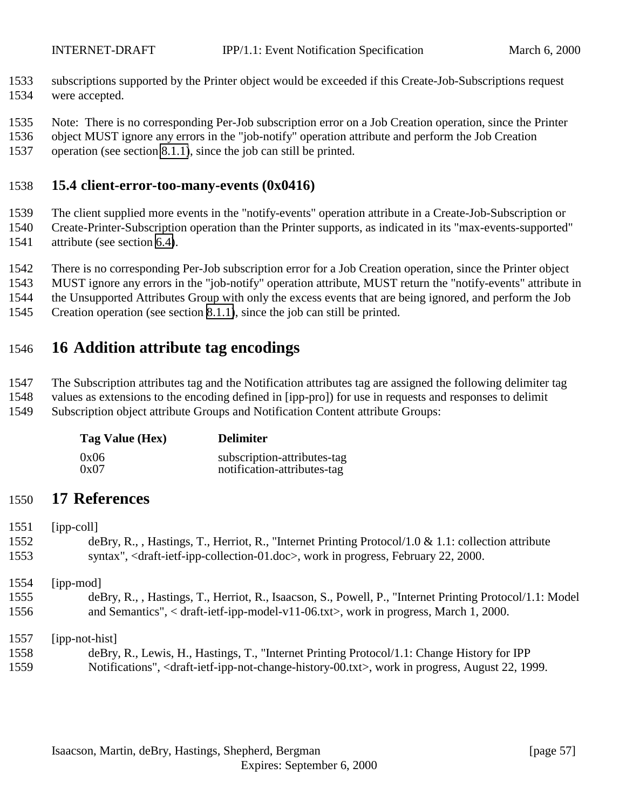- <span id="page-56-0"></span> subscriptions supported by the Printer object would be exceeded if this Create-Job-Subscriptions request were accepted.
- Note: There is no corresponding Per-Job subscription error on a Job Creation operation, since the Printer
- object MUST ignore any errors in the "job-notify" operation attribute and perform the Job Creation
- operation (see section [8.1.1\)](#page-39-0), since the job can still be printed.

### **15.4 client-error-too-many-events (0x0416)**

The client supplied more events in the "notify-events" operation attribute in a Create-Job-Subscription or

- Create-Printer-Subscription operation than the Printer supports, as indicated in its "max-events-supported" attribute (see section [6.4\)](#page-30-0).
- There is no corresponding Per-Job subscription error for a Job Creation operation, since the Printer object
- MUST ignore any errors in the "job-notify" operation attribute, MUST return the "notify-events" attribute in
- the Unsupported Attributes Group with only the excess events that are being ignored, and perform the Job
- Creation operation (see section [8.1.1\)](#page-39-0), since the job can still be printed.

# **16 Addition attribute tag encodings**

The Subscription attributes tag and the Notification attributes tag are assigned the following delimiter tag

- values as extensions to the encoding defined in [ipp-pro]) for use in requests and responses to delimit
- Subscription object attribute Groups and Notification Content attribute Groups:

| Tag Value (Hex) | <b>Delimiter</b>            |
|-----------------|-----------------------------|
| 0x06            | subscription-attributes-tag |
| 0x07            | notification-attributes-tag |

# **17 References**

 [ipp-coll] deBry, R., , Hastings, T., Herriot, R., "Internet Printing Protocol/1.0 & 1.1: collection attribute syntax", <draft-ietf-ipp-collection-01.doc>, work in progress, February 22, 2000. [ipp-mod] deBry, R., , Hastings, T., Herriot, R., Isaacson, S., Powell, P., "Internet Printing Protocol/1.1: Model and Semantics", < draft-ietf-ipp-model-v11-06.txt>, work in progress, March 1, 2000.

[ipp-not-hist]

 deBry, R., Lewis, H., Hastings, T., "Internet Printing Protocol/1.1: Change History for IPP Notifications", <draft-ietf-ipp-not-change-history-00.txt>, work in progress, August 22, 1999.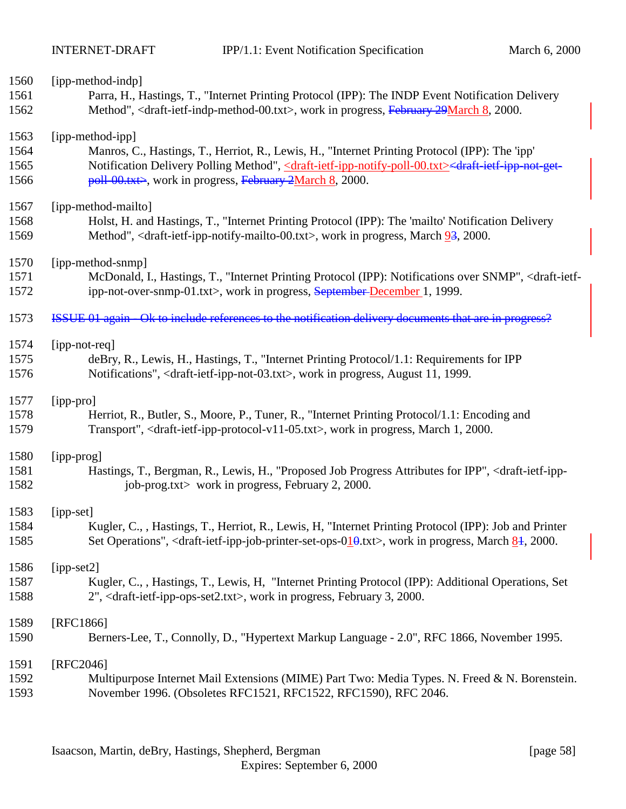| 1560 | [ipp-method-indp]                                                                                                                                                         |
|------|---------------------------------------------------------------------------------------------------------------------------------------------------------------------------|
| 1561 | Parra, H., Hastings, T., "Internet Printing Protocol (IPP): The INDP Event Notification Delivery                                                                          |
| 1562 | Method", <draft-ietf-indp-method-00.txt>, work in progress, February 29March 8, 2000.</draft-ietf-indp-method-00.txt>                                                     |
| 1563 | [ipp-method-ipp]                                                                                                                                                          |
| 1564 | Manros, C., Hastings, T., Herriot, R., Lewis, H., "Internet Printing Protocol (IPP): The 'ipp'                                                                            |
| 1565 | Notification Delivery Polling Method", <draft-ietf-ipp-notify-poll-00.txt><draft-ietf-ipp-not-get-< td=""></draft-ietf-ipp-not-get-<></draft-ietf-ipp-notify-poll-00.txt> |
| 1566 | $poll-00.txt$ , work in progress, February 2March 8, 2000.                                                                                                                |
| 1567 | [ipp-method-mailto]                                                                                                                                                       |
| 1568 | Holst, H. and Hastings, T., "Internet Printing Protocol (IPP): The 'mailto' Notification Delivery                                                                         |
| 1569 | Method", <draft-ietf-ipp-notify-mailto-00.txt>, work in progress, March <math>9\frac{3}{5}</math>, 2000.</draft-ietf-ipp-notify-mailto-00.txt>                            |
| 1570 | [ipp-method-snmp]                                                                                                                                                         |
| 1571 | McDonald, I., Hastings, T., "Internet Printing Protocol (IPP): Notifications over SNMP", <draft-ietf-< td=""></draft-ietf-<>                                              |
| 1572 | ipp-not-over-snmp-01.txt>, work in progress, September-December 1, 1999.                                                                                                  |
| 1573 | ISSUE 01 again - Ok to include references to the notification delivery documents that are in progress?                                                                    |
| 1574 | [ipp-not-req]                                                                                                                                                             |
| 1575 | deBry, R., Lewis, H., Hastings, T., "Internet Printing Protocol/1.1: Requirements for IPP                                                                                 |
| 1576 | Notifications", <draft-ietf-ipp-not-03.txt>, work in progress, August 11, 1999.</draft-ietf-ipp-not-03.txt>                                                               |
| 1577 | [ipp-pro]                                                                                                                                                                 |
| 1578 | Herriot, R., Butler, S., Moore, P., Tuner, R., "Internet Printing Protocol/1.1: Encoding and                                                                              |
| 1579 | Transport", <draft-ietf-ipp-protocol-v11-05.txt>, work in progress, March 1, 2000.</draft-ietf-ipp-protocol-v11-05.txt>                                                   |
| 1580 | [ipp-prog]                                                                                                                                                                |
| 1581 | Hastings, T., Bergman, R., Lewis, H., "Proposed Job Progress Attributes for IPP", <draft-ietf-ipp-< td=""></draft-ietf-ipp-<>                                             |
| 1582 | job-prog.txt> work in progress, February 2, 2000.                                                                                                                         |
| 1583 | [ipp-set]                                                                                                                                                                 |
| 1584 | Kugler, C., , Hastings, T., Herriot, R., Lewis, H. "Internet Printing Protocol (IPP): Job and Printer                                                                     |
| 1585 | Set Operations", <draft-ietf-ipp-job-printer-set-ops-<math>010.txt&gt;, work in progress, March <math>81</math>, 2000.</draft-ietf-ipp-job-printer-set-ops-<math>         |
| 1586 | [ipp-set2]                                                                                                                                                                |
| 1587 | Kugler, C., , Hastings, T., Lewis, H. "Internet Printing Protocol (IPP): Additional Operations, Set                                                                       |
| 1588 | 2", <draft-ietf-ipp-ops-set2.txt>, work in progress, February 3, 2000.</draft-ietf-ipp-ops-set2.txt>                                                                      |
| 1589 | [RFC1866]                                                                                                                                                                 |
| 1590 | Berners-Lee, T., Connolly, D., "Hypertext Markup Language - 2.0", RFC 1866, November 1995.                                                                                |
| 1591 | [RFC2046]                                                                                                                                                                 |
| 1592 | Multipurpose Internet Mail Extensions (MIME) Part Two: Media Types. N. Freed & N. Borenstein.                                                                             |
| 1593 | November 1996. (Obsoletes RFC1521, RFC1522, RFC1590), RFC 2046.                                                                                                           |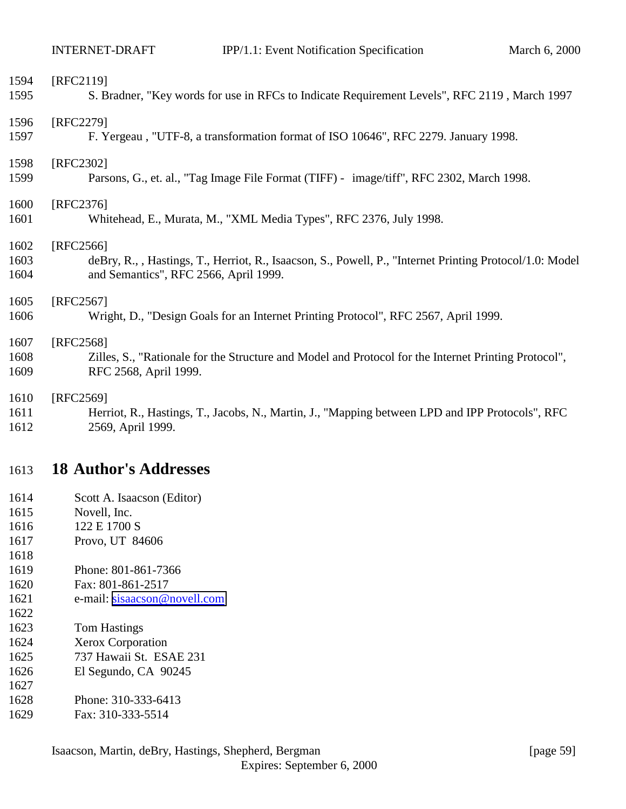<span id="page-58-0"></span>

| 1594 | [RFC2119]                                                                                                |
|------|----------------------------------------------------------------------------------------------------------|
| 1595 | S. Bradner, "Key words for use in RFCs to Indicate Requirement Levels", RFC 2119, March 1997             |
| 1596 | [RFC2279]                                                                                                |
| 1597 | F. Yergeau, "UTF-8, a transformation format of ISO 10646", RFC 2279. January 1998.                       |
| 1598 | [RFC2302]                                                                                                |
| 1599 | Parsons, G., et. al., "Tag Image File Format (TIFF) - image/tiff", RFC 2302, March 1998.                 |
| 1600 | [RFC2376]                                                                                                |
| 1601 | Whitehead, E., Murata, M., "XML Media Types", RFC 2376, July 1998.                                       |
| 1602 | [RFC2566]                                                                                                |
| 1603 | deBry, R., , Hastings, T., Herriot, R., Isaacson, S., Powell, P., "Internet Printing Protocol/1.0: Model |
| 1604 | and Semantics", RFC 2566, April 1999.                                                                    |
| 1605 | [RFC2567]                                                                                                |
| 1606 | Wright, D., "Design Goals for an Internet Printing Protocol", RFC 2567, April 1999.                      |
| 1607 | [RFC2568]                                                                                                |
| 1608 | Zilles, S., "Rationale for the Structure and Model and Protocol for the Internet Printing Protocol",     |
| 1609 | RFC 2568, April 1999.                                                                                    |
| 1610 | [RFC2569]                                                                                                |
| 1611 | Herriot, R., Hastings, T., Jacobs, N., Martin, J., "Mapping between LPD and IPP Protocols", RFC          |
| 1612 | 2569, April 1999.                                                                                        |

# **18 Author's Addresses**

- Scott A. Isaacson (Editor)
- Novell, Inc.
- 1616 122 E 1700 S
- Provo, UT 84606
- 

- Phone: 801-861-7366
- Fax: 801-861-2517
- 1621 e-mail: [sisaacson@novell.com](mailto:sisaacson@novell.com)
- Tom Hastings
- Xerox Corporation
- 737 Hawaii St. ESAE 231
- El Segundo, CA 90245
- 
- Phone: 310-333-6413
- Fax: 310-333-5514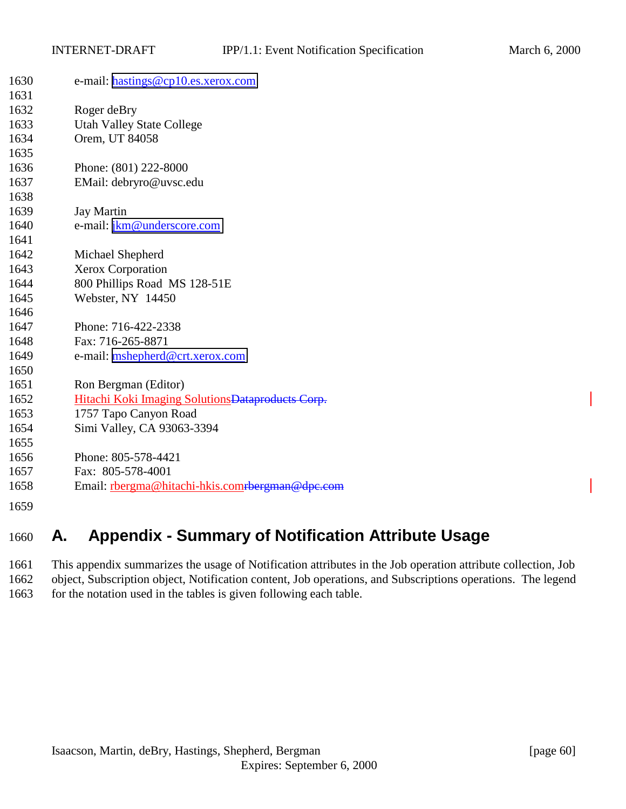<span id="page-59-0"></span>

| 1630 | e-mail: hastings@cp10.es.xerox.com                |
|------|---------------------------------------------------|
| 1631 |                                                   |
| 1632 | Roger deBry                                       |
| 1633 | <b>Utah Valley State College</b>                  |
| 1634 | Orem, UT 84058                                    |
| 1635 |                                                   |
| 1636 | Phone: (801) 222-8000                             |
| 1637 | EMail: debryro@uvsc.edu                           |
| 1638 |                                                   |
| 1639 | <b>Jay Martin</b>                                 |
| 1640 | e-mail: jkm@underscore.com                        |
| 1641 |                                                   |
| 1642 | Michael Shepherd                                  |
| 1643 | Xerox Corporation                                 |
| 1644 | 800 Phillips Road MS 128-51E                      |
| 1645 | Webster, NY 14450                                 |
| 1646 |                                                   |
| 1647 | Phone: 716-422-2338                               |
| 1648 | Fax: 716-265-8871                                 |
| 1649 | e-mail: mshepherd@crt.xerox.com                   |
| 1650 |                                                   |
| 1651 | Ron Bergman (Editor)                              |
| 1652 | Hitachi Koki Imaging Solutions Dataproducts Corp. |
| 1653 | 1757 Tapo Canyon Road                             |
| 1654 | Simi Valley, CA 93063-3394                        |
| 1655 |                                                   |
| 1656 | Phone: 805-578-4421                               |
| 1657 | Fax: 805-578-4001                                 |
| 1658 | Email: rbergma@hitachi-hkis.comrbergman@dpc.com   |
| 1659 |                                                   |

# **A. Appendix - Summary of Notification Attribute Usage**

 This appendix summarizes the usage of Notification attributes in the Job operation attribute collection, Job object, Subscription object, Notification content, Job operations, and Subscriptions operations. The legend 1663 for the notation used in the tables is given following each table.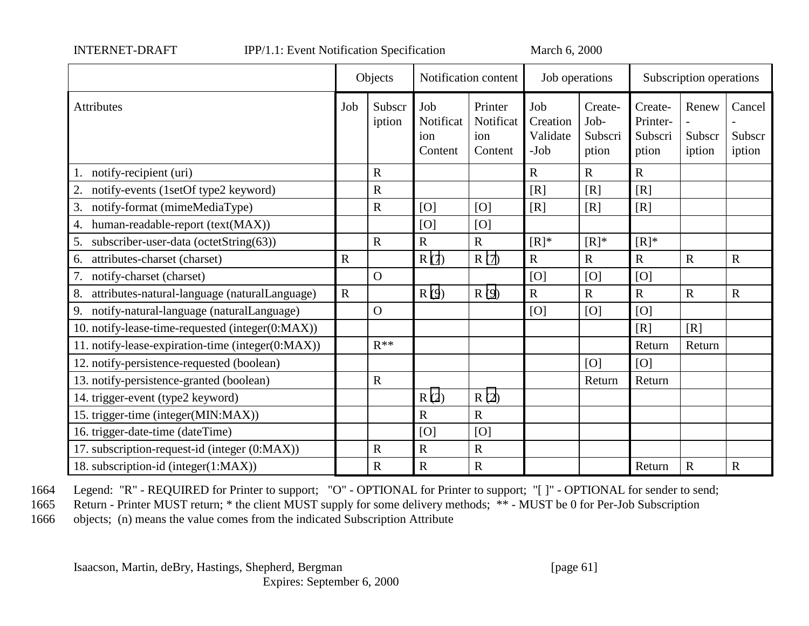| NTERNET-DRAFT |
|---------------|
|---------------|

INTERNET-DRAFT IPP/1.1: Event Notification Specification March 6, 2000

|                                                     |             | Objects          |                                    | Notification content                   | Job operations                        |                                     | Subscription operations                 |                           |                            |
|-----------------------------------------------------|-------------|------------------|------------------------------------|----------------------------------------|---------------------------------------|-------------------------------------|-----------------------------------------|---------------------------|----------------------------|
| Attributes                                          | Job         | Subscr<br>iption | Job<br>Notificat<br>ion<br>Content | Printer<br>Notificat<br>ion<br>Content | Job<br>Creation<br>Validate<br>$-Job$ | Create-<br>Job-<br>Subscri<br>ption | Create-<br>Printer-<br>Subscri<br>ption | Renew<br>Subscr<br>iption | Cancel<br>Subscr<br>iption |
| notify-recipient (uri)                              |             | $\mathbf R$      |                                    |                                        | $\mathbf R$                           | $\mathbf R$                         | $\mathbf R$                             |                           |                            |
| 2.<br>notify-events (1setOf type2 keyword)          |             | $\mathbf R$      |                                    |                                        | [R]                                   | [R]                                 | [R]                                     |                           |                            |
| notify-format (mimeMediaType)<br>3.                 |             | $\mathbf R$      | [O]                                | [O]                                    | [R]                                   | [R]                                 | [R]                                     |                           |                            |
| human-readable-report (text(MAX))<br>4.             |             |                  | [O]                                | [O]                                    |                                       |                                     |                                         |                           |                            |
| subscriber-user-data (octetString(63))<br>5.        |             | $\mathbf R$      | $\mathbf R$                        | $\mathbf R$                            | $[R]^*$                               | $[R]^*$                             | $[R]^*$                                 |                           |                            |
| attributes-charset (charset)<br>6.                  | $\mathbf R$ |                  | R(7)                               | R(7)                                   | $\mathbf R$                           | $\mathbf R$                         | $\overline{R}$                          | $\mathbf R$               | $\mathbf R$                |
| 7.<br>notify-charset (charset)                      |             | $\Omega$         |                                    |                                        | [O]                                   | [O]                                 | [O]                                     |                           |                            |
| attributes-natural-language (naturalLanguage)<br>8. | $\mathbf R$ |                  | R(9)                               | R(9)                                   | $\mathbf R$                           | $\mathbf R$                         | $\mathbf R$                             | $\mathbf R$               | $\mathbf R$                |
| notify-natural-language (naturalLanguage)<br>9.     |             | $\mathbf{O}$     |                                    |                                        | [O]                                   | [O]                                 | [O]                                     |                           |                            |
| 10. notify-lease-time-requested (integer(0:MAX))    |             |                  |                                    |                                        |                                       |                                     | [R]                                     | [R]                       |                            |
| 11. notify-lease-expiration-time (integer(0:MAX))   |             | $R^{**}$         |                                    |                                        |                                       |                                     | Return                                  | Return                    |                            |
| 12. notify-persistence-requested (boolean)          |             |                  |                                    |                                        |                                       | [O]                                 | [O]                                     |                           |                            |
| 13. notify-persistence-granted (boolean)            |             | $\mathbf R$      |                                    |                                        |                                       | Return                              | Return                                  |                           |                            |
| 14. trigger-event (type2 keyword)                   |             |                  | R(2)                               | R(2)                                   |                                       |                                     |                                         |                           |                            |
| 15. trigger-time (integer(MIN:MAX))                 |             |                  | $\mathbf R$                        | $\mathbf R$                            |                                       |                                     |                                         |                           |                            |
| 16. trigger-date-time (dateTime)                    |             |                  | [O]                                | [O]                                    |                                       |                                     |                                         |                           |                            |
| 17. subscription-request-id (integer (0:MAX))       |             | $\mathbf R$      | $\mathbf R$                        | $\mathbf R$                            |                                       |                                     |                                         |                           |                            |
| 18. subscription-id (integer(1:MAX))                |             | $\mathbf R$      | $\mathbf R$                        | ${\bf R}$                              |                                       |                                     | Return                                  | $\mathbf R$               | $\mathbf R$                |

1664 Legend: "R" - REQUIRED for Printer to support; "O" - OPTIONAL for Printer to support; "[ ]" - OPTIONAL for sender to send;

1665 Return - Printer MUST return; \* the client MUST supply for some delivery methods; \*\* - MUST be 0 for Per-Job Subscription

1666 objects; (n) means the value comes from the indicated Subscription Attribute

Isaacson, Martin, deBry, Hastings, Shepherd, Bergman [page 61]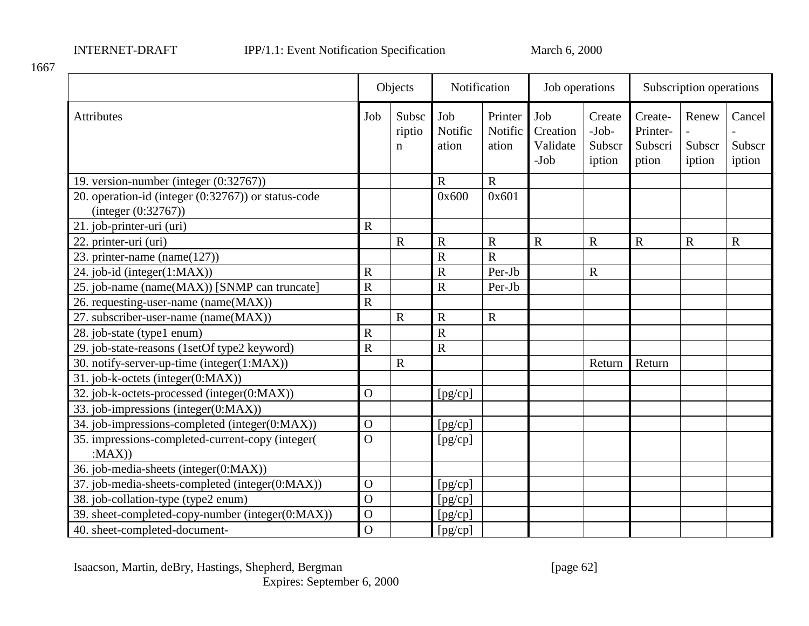|                                                                            |                | Objects                        | Notification            |                             | Job operations                      |                                       | Subscription operations                 |                           |                            |
|----------------------------------------------------------------------------|----------------|--------------------------------|-------------------------|-----------------------------|-------------------------------------|---------------------------------------|-----------------------------------------|---------------------------|----------------------------|
| <b>Attributes</b>                                                          | Job            | Subsc<br>riptio<br>$\mathbf n$ | Job<br>Notific<br>ation | Printer<br>Notific<br>ation | Job<br>Creation<br>Validate<br>-Job | Create<br>$-Job-$<br>Subscr<br>iption | Create-<br>Printer-<br>Subscri<br>ption | Renew<br>Subscr<br>iption | Cancel<br>Subscr<br>iption |
| 19. version-number (integer (0:32767))                                     |                |                                | $\mathbf R$             | $\mathbf R$                 |                                     |                                       |                                         |                           |                            |
| 20. operation-id (integer (0:32767)) or status-code<br>(integer (0:32767)) |                |                                | 0x600                   | 0x601                       |                                     |                                       |                                         |                           |                            |
| 21. job-printer-uri (uri)                                                  | $\mathbf R$    |                                |                         |                             |                                     |                                       |                                         |                           |                            |
| 22. printer-uri (uri)                                                      |                | $\mathbf R$                    | $\mathbf R$             | $\mathbf R$                 | ${\bf R}$                           | $\mathbf R$                           | $\mathbf R$                             | $\mathbf R$               | $\mathbf R$                |
| 23. printer-name (name( $127$ ))                                           |                |                                | $\overline{\text{R}}$   | $\overline{R}$              |                                     |                                       |                                         |                           |                            |
| 24. job-id (integer(1:MAX))                                                | $\mathbf R$    |                                | $\overline{\text{R}}$   | Per-Jb                      |                                     | $\mathbf R$                           |                                         |                           |                            |
| 25. job-name (name(MAX)) [SNMP can truncate]                               | $\mathbf R$    |                                | $\overline{\text{R}}$   | Per-Jb                      |                                     |                                       |                                         |                           |                            |
| 26. requesting-user-name (name(MAX))                                       | $\mathbf R$    |                                |                         |                             |                                     |                                       |                                         |                           |                            |
| 27. subscriber-user-name (name(MAX))                                       |                | $\mathbf R$                    | $\mathbf R$             | $\mathbf R$                 |                                     |                                       |                                         |                           |                            |
| 28. job-state (type1 enum)                                                 | $\mathbf R$    |                                | $\overline{\text{R}}$   |                             |                                     |                                       |                                         |                           |                            |
| 29. job-state-reasons (1setOf type2 keyword)                               | $\overline{R}$ |                                | $\overline{\text{R}}$   |                             |                                     |                                       |                                         |                           |                            |
| 30. notify-server-up-time (integer(1:MAX))                                 |                | $\mathbf R$                    |                         |                             |                                     | Return                                | Return                                  |                           |                            |
| 31. job-k-octets (integer(0:MAX))                                          |                |                                |                         |                             |                                     |                                       |                                         |                           |                            |
| 32. job-k-octets-processed (integer(0:MAX))                                | $\Omega$       |                                | [pg/cp]                 |                             |                                     |                                       |                                         |                           |                            |
| 33. job-impressions (integer(0:MAX))                                       |                |                                |                         |                             |                                     |                                       |                                         |                           |                            |
| 34. job-impressions-completed (integer(0:MAX))                             | $\Omega$       |                                | [pg/cp]                 |                             |                                     |                                       |                                         |                           |                            |
| 35. impressions-completed-current-copy (integer(                           | $\overline{O}$ |                                | [pg/cp]                 |                             |                                     |                                       |                                         |                           |                            |
| :MAX()                                                                     |                |                                |                         |                             |                                     |                                       |                                         |                           |                            |
| 36. job-media-sheets (integer(0:MAX))                                      |                |                                |                         |                             |                                     |                                       |                                         |                           |                            |
| 37. job-media-sheets-completed (integer(0:MAX))                            | $\mathbf{O}$   |                                | [pg/cp]                 |                             |                                     |                                       |                                         |                           |                            |
| 38. job-collation-type (type2 enum)                                        | $\overline{O}$ |                                | [pg/cp]                 |                             |                                     |                                       |                                         |                           |                            |
| 39. sheet-completed-copy-number (integer(0:MAX))                           | $\mathbf O$    |                                | [pg/cp]                 |                             |                                     |                                       |                                         |                           |                            |
| 40. sheet-completed-document-                                              | $\overline{O}$ |                                | [pg/cp]                 |                             |                                     |                                       |                                         |                           |                            |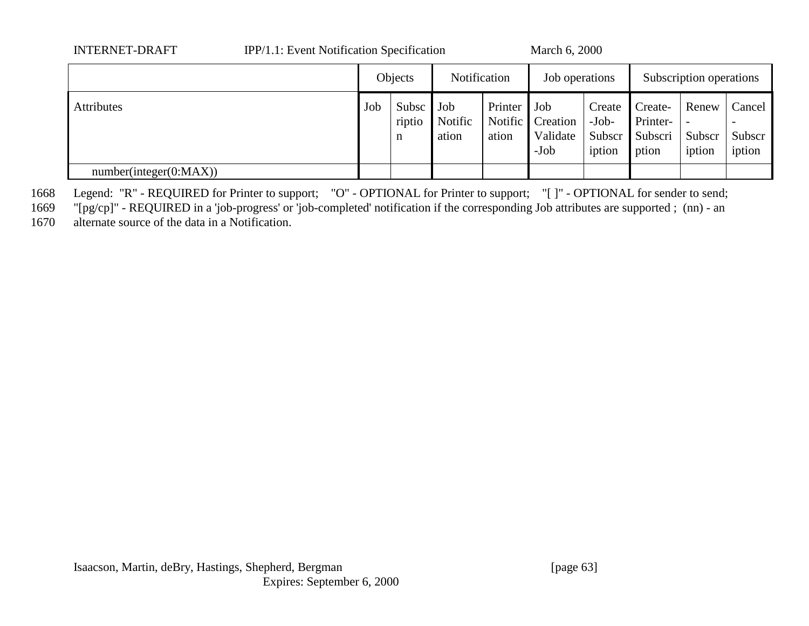| <b>INTERNET-DRAFT</b>  | IPP/1.1: Event Notification Specification |         |                      |                         |                                     | March 6, 2000                  |                                       |                                         |                           |                            |  |
|------------------------|-------------------------------------------|---------|----------------------|-------------------------|-------------------------------------|--------------------------------|---------------------------------------|-----------------------------------------|---------------------------|----------------------------|--|
|                        |                                           | Objects |                      | Notification            |                                     | Job operations                 |                                       | Subscription operations                 |                           |                            |  |
| <b>Attributes</b>      |                                           | Job     | Subsc<br>riptio<br>n | Job<br>Notific<br>ation | Printer   Job<br>Notific  <br>ation | Creation<br>Validate<br>$-Job$ | Create<br>$-Job-$<br>Subscr<br>iption | Create-<br>Printer-<br>Subscri<br>ption | Renew<br>Subscr<br>iption | Cancel<br>Subscr<br>iption |  |
| number(integer(0:MAX)) |                                           |         |                      |                         |                                     |                                |                                       |                                         |                           |                            |  |

1668 Legend: "R" - REQUIRED for Printer to support; "O" - OPTIONAL for Printer to support; "[ ]" - OPTIONAL for sender to send;

1669 "[pg/cp]" - REQUIRED in a 'job-progress' or 'job-completed' notification if the corresponding Job attributes are supported ; (nn) - an

1670 alternate source of the data in a Notification.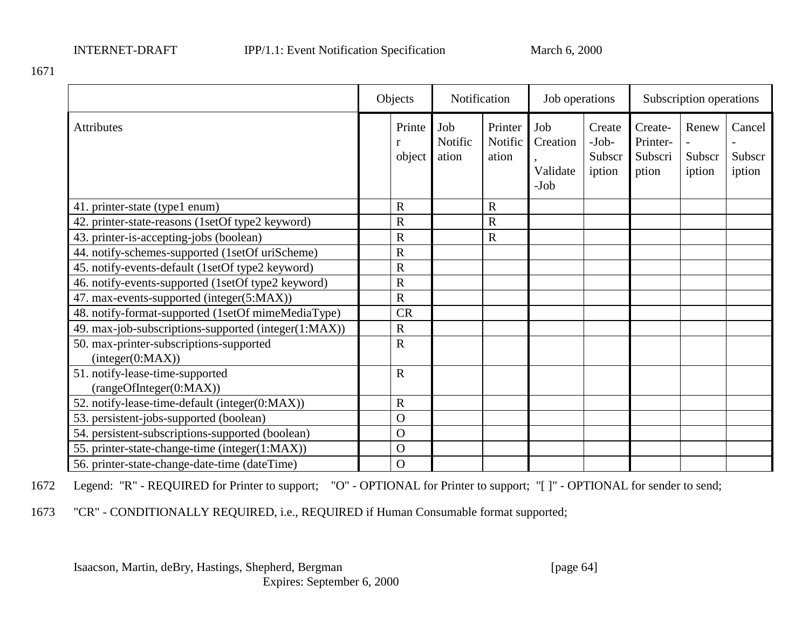|                                                             | Objects        |                  | Notification            |                             | Job operations                        |                                       | Subscription operations                 |                           |                            |
|-------------------------------------------------------------|----------------|------------------|-------------------------|-----------------------------|---------------------------------------|---------------------------------------|-----------------------------------------|---------------------------|----------------------------|
| <b>Attributes</b>                                           |                | Printe<br>object | Job<br>Notific<br>ation | Printer<br>Notific<br>ation | Job<br>Creation<br>Validate<br>$-Job$ | Create<br>$-Job-$<br>Subscr<br>iption | Create-<br>Printer-<br>Subscri<br>ption | Renew<br>Subscr<br>iption | Cancel<br>Subscr<br>iption |
| 41. printer-state (type1 enum)                              |                | $\mathbf R$      |                         | $\mathbb{R}$                |                                       |                                       |                                         |                           |                            |
| 42. printer-state-reasons (1setOf type2 keyword)            |                | $\mathbf R$      |                         | $\overline{\text{R}}$       |                                       |                                       |                                         |                           |                            |
| 43. printer-is-accepting-jobs (boolean)                     |                | $\mathbf R$      |                         | $\mathbf R$                 |                                       |                                       |                                         |                           |                            |
| 44. notify-schemes-supported (1setOf uriScheme)             |                | $\mathbf R$      |                         |                             |                                       |                                       |                                         |                           |                            |
| 45. notify-events-default (1setOf type2 keyword)            |                | $\mathbf R$      |                         |                             |                                       |                                       |                                         |                           |                            |
| 46. notify-events-supported (1setOf type2 keyword)          |                | $\mathbf R$      |                         |                             |                                       |                                       |                                         |                           |                            |
| 47. max-events-supported (integer(5:MAX))                   |                | $\mathbf R$      |                         |                             |                                       |                                       |                                         |                           |                            |
| 48. notify-format-supported (1setOf mimeMediaType)          |                | <b>CR</b>        |                         |                             |                                       |                                       |                                         |                           |                            |
| 49. max-job-subscriptions-supported (integer(1:MAX))        |                | $\mathbf R$      |                         |                             |                                       |                                       |                                         |                           |                            |
| 50. max-printer-subscriptions-supported<br>interger(0:MAX)) |                | $\mathbf R$      |                         |                             |                                       |                                       |                                         |                           |                            |
| 51. notify-lease-time-supported<br>(rangeOfInteger(0:MAX))  |                | $\mathbf R$      |                         |                             |                                       |                                       |                                         |                           |                            |
| 52. notify-lease-time-default (integer(0:MAX))              |                | $\mathbf R$      |                         |                             |                                       |                                       |                                         |                           |                            |
| 53. persistent-jobs-supported (boolean)                     |                | $\Omega$         |                         |                             |                                       |                                       |                                         |                           |                            |
| 54. persistent-subscriptions-supported (boolean)            |                | $\Omega$         |                         |                             |                                       |                                       |                                         |                           |                            |
| 55. printer-state-change-time (integer(1:MAX))              | $\overline{O}$ |                  |                         |                             |                                       |                                       |                                         |                           |                            |
| 56. printer-state-change-date-time (dateTime)               |                | $\Omega$         |                         |                             |                                       |                                       |                                         |                           |                            |

1672 Legend: "R" - REQUIRED for Printer to support; "O" - OPTIONAL for Printer to support; "[ ]" - OPTIONAL for sender to send;

1673 "CR" - CONDITIONALLY REQUIRED, i.e., REQUIRED if Human Consumable format supported;

Isaacson, Martin, deBry, Hastings, Shepherd, Bergman [page 64]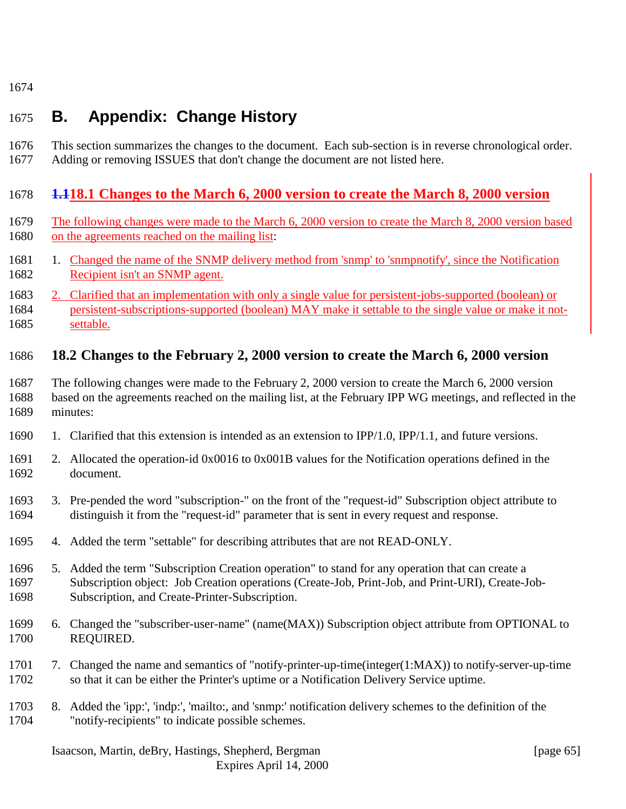# <span id="page-64-0"></span>**B. Appendix: Change History**

 This section summarizes the changes to the document. Each sub-section is in reverse chronological order. Adding or removing ISSUES that don't change the document are not listed here.

# **1.118.1 Changes to the March 6, 2000 version to create the March 8, 2000 version**

- The following changes were made to the March 6, 2000 version to create the March 8, 2000 version based on the agreements reached on the mailing list:
- 1681 1. Changed the name of the SNMP delivery method from 'snmp' to 'snmpnotify', since the Notification Recipient isn't an SNMP agent.
- 2. Clarified that an implementation with only a single value for persistent-jobs-supported (boolean) or persistent-subscriptions-supported (boolean) MAY make it settable to the single value or make it not-settable.

# **18.2 Changes to the February 2, 2000 version to create the March 6, 2000 version**

- The following changes were made to the February 2, 2000 version to create the March 6, 2000 version based on the agreements reached on the mailing list, at the February IPP WG meetings, and reflected in the minutes:
- 1. Clarified that this extension is intended as an extension to IPP/1.0, IPP/1.1, and future versions.
- 2. Allocated the operation-id 0x0016 to 0x001B values for the Notification operations defined in the document.
- 3. Pre-pended the word "subscription-" on the front of the "request-id" Subscription object attribute to distinguish it from the "request-id" parameter that is sent in every request and response.
- 4. Added the term "settable" for describing attributes that are not READ-ONLY.
- 5. Added the term "Subscription Creation operation" to stand for any operation that can create a Subscription object: Job Creation operations (Create-Job, Print-Job, and Print-URI), Create-Job-Subscription, and Create-Printer-Subscription.
- 6. Changed the "subscriber-user-name" (name(MAX)) Subscription object attribute from OPTIONAL to REQUIRED.
- 7. Changed the name and semantics of "notify-printer-up-time(integer(1:MAX)) to notify-server-up-time so that it can be either the Printer's uptime or a Notification Delivery Service uptime.
- 8. Added the 'ipp:', 'indp:', 'mailto:, and 'snmp:' notification delivery schemes to the definition of the "notify-recipients" to indicate possible schemes.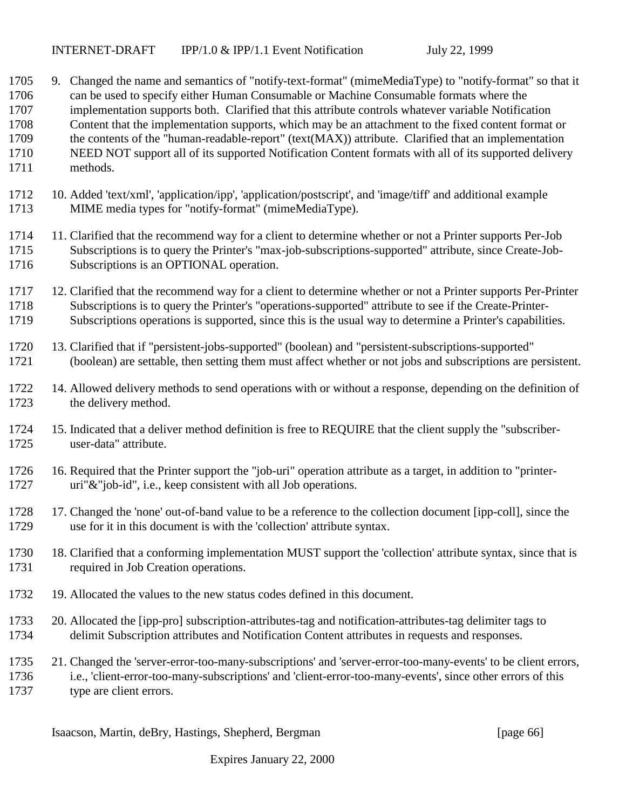- 9. Changed the name and semantics of "notify-text-format" (mimeMediaType) to "notify-format" so that it can be used to specify either Human Consumable or Machine Consumable formats where the implementation supports both. Clarified that this attribute controls whatever variable Notification Content that the implementation supports, which may be an attachment to the fixed content format or the contents of the "human-readable-report" (text(MAX)) attribute. Clarified that an implementation NEED NOT support all of its supported Notification Content formats with all of its supported delivery methods.
- 10. Added 'text/xml', 'application/ipp', 'application/postscript', and 'image/tiff' and additional example MIME media types for "notify-format" (mimeMediaType).
- 11. Clarified that the recommend way for a client to determine whether or not a Printer supports Per-Job Subscriptions is to query the Printer's "max-job-subscriptions-supported" attribute, since Create-Job-Subscriptions is an OPTIONAL operation.
- 12. Clarified that the recommend way for a client to determine whether or not a Printer supports Per-Printer Subscriptions is to query the Printer's "operations-supported" attribute to see if the Create-Printer-Subscriptions operations is supported, since this is the usual way to determine a Printer's capabilities.
- 13. Clarified that if "persistent-jobs-supported" (boolean) and "persistent-subscriptions-supported" (boolean) are settable, then setting them must affect whether or not jobs and subscriptions are persistent.
- 14. Allowed delivery methods to send operations with or without a response, depending on the definition of the delivery method.
- 15. Indicated that a deliver method definition is free to REQUIRE that the client supply the "subscriber-user-data" attribute.
- 16. Required that the Printer support the "job-uri" operation attribute as a target, in addition to "printer-uri"&"job-id", i.e., keep consistent with all Job operations.
- 17. Changed the 'none' out-of-band value to be a reference to the collection document [ipp-coll], since the use for it in this document is with the 'collection' attribute syntax.
- 18. Clarified that a conforming implementation MUST support the 'collection' attribute syntax, since that is required in Job Creation operations.
- 19. Allocated the values to the new status codes defined in this document.
- 20. Allocated the [ipp-pro] subscription-attributes-tag and notification-attributes-tag delimiter tags to delimit Subscription attributes and Notification Content attributes in requests and responses.
- 21. Changed the 'server-error-too-many-subscriptions' and 'server-error-too-many-events' to be client errors, i.e., 'client-error-too-many-subscriptions' and 'client-error-too-many-events', since other errors of this type are client errors.

Isaacson, Martin, deBry, Hastings, Shepherd, Bergman [page 66]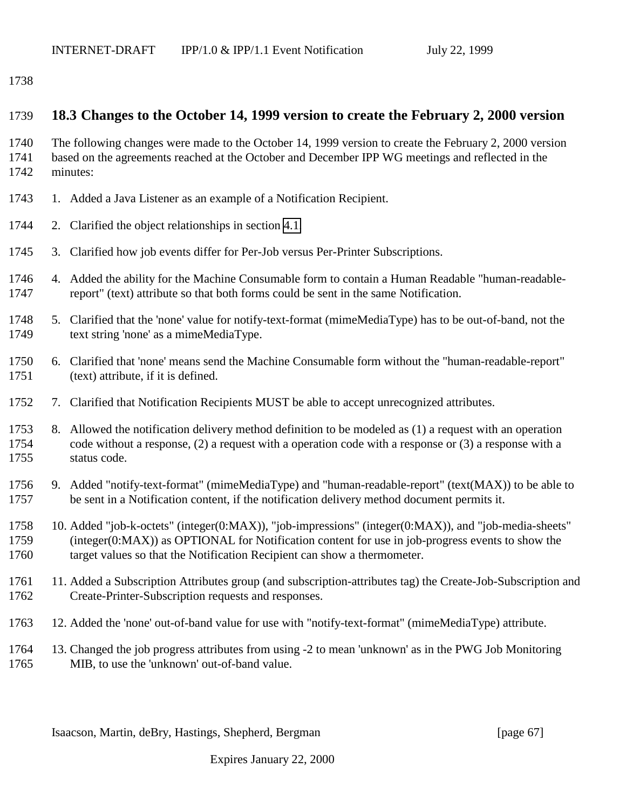### <span id="page-66-0"></span>**18.3 Changes to the October 14, 1999 version to create the February 2, 2000 version**

 The following changes were made to the October 14, 1999 version to create the February 2, 2000 version based on the agreements reached at the October and December IPP WG meetings and reflected in the minutes:

- 1743 1. Added a Java Listener as an example of a Notification Recipient.
- 2. Clarified the object relationships in section [4.1.](#page-17-0)
- 3. Clarified how job events differ for Per-Job versus Per-Printer Subscriptions.
- 4. Added the ability for the Machine Consumable form to contain a Human Readable "human-readable-report" (text) attribute so that both forms could be sent in the same Notification.
- 5. Clarified that the 'none' value for notify-text-format (mimeMediaType) has to be out-of-band, not the text string 'none' as a mimeMediaType.
- 6. Clarified that 'none' means send the Machine Consumable form without the "human-readable-report" (text) attribute, if it is defined.
- 7. Clarified that Notification Recipients MUST be able to accept unrecognized attributes.
- 8. Allowed the notification delivery method definition to be modeled as (1) a request with an operation code without a response, (2) a request with a operation code with a response or (3) a response with a status code.
- 9. Added "notify-text-format" (mimeMediaType) and "human-readable-report" (text(MAX)) to be able to be sent in a Notification content, if the notification delivery method document permits it.
- 10. Added "job-k-octets" (integer(0:MAX)), "job-impressions" (integer(0:MAX)), and "job-media-sheets" (integer(0:MAX)) as OPTIONAL for Notification content for use in job-progress events to show the target values so that the Notification Recipient can show a thermometer.
- 11. Added a Subscription Attributes group (and subscription-attributes tag) the Create-Job-Subscription and Create-Printer-Subscription requests and responses.
- 12. Added the 'none' out-of-band value for use with "notify-text-format" (mimeMediaType) attribute.
- 13. Changed the job progress attributes from using -2 to mean 'unknown' as in the PWG Job Monitoring MIB, to use the 'unknown' out-of-band value.